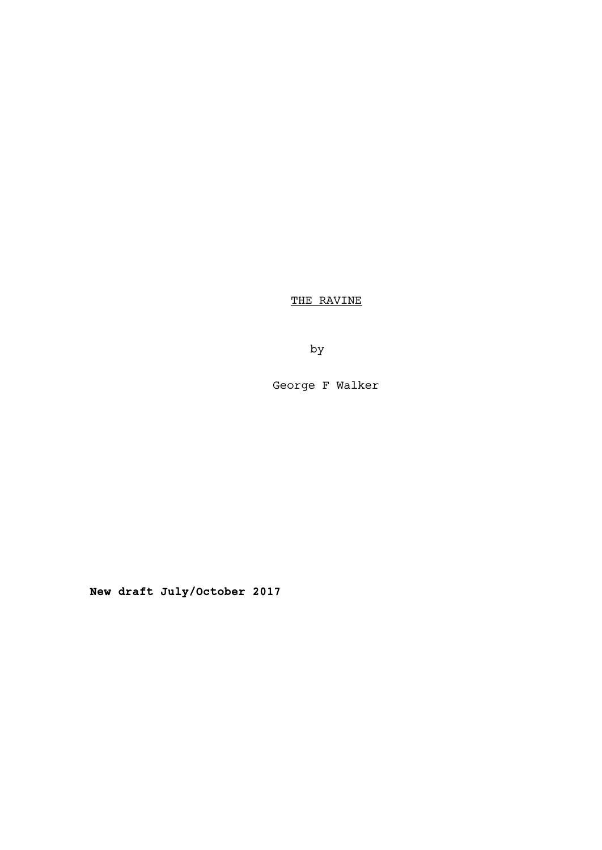THE RAVINE

by

George F Walker

**New draft July/October 2017**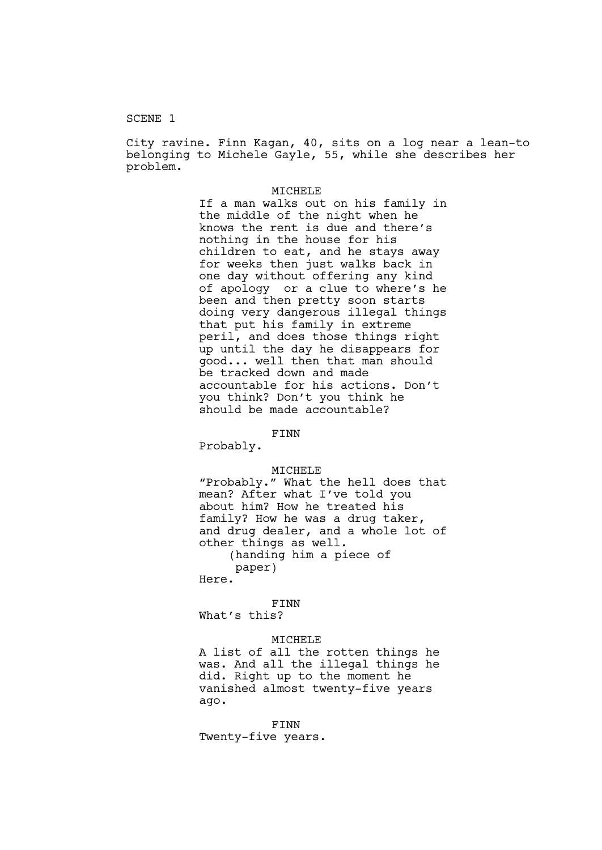### SCENE 1

City ravine. Finn Kagan, 40, sits on a log near a lean-to belonging to Michele Gayle, 55, while she describes her problem.

### MICHELE

If a man walks out on his family in the middle of the night when he knows the rent is due and there's nothing in the house for his children to eat, and he stays away for weeks then just walks back in one day without offering any kind of apology or a clue to where's he been and then pretty soon starts doing very dangerous illegal things that put his family in extreme peril, and does those things right up until the day he disappears for good... well then that man should be tracked down and made accountable for his actions. Don't you think? Don't you think he should be made accountable?

# FINN

Probably.

#### MICHELE

"Probably." What the hell does that mean? After what I've told you about him? How he treated his family? How he was a drug taker, and drug dealer, and a whole lot of other things as well. (handing him a piece of paper)

Here.

FINN What's this?

#### MICHELE

A list of all the rotten things he was. And all the illegal things he did. Right up to the moment he vanished almost twenty-five years ago.

FINN Twenty-five years.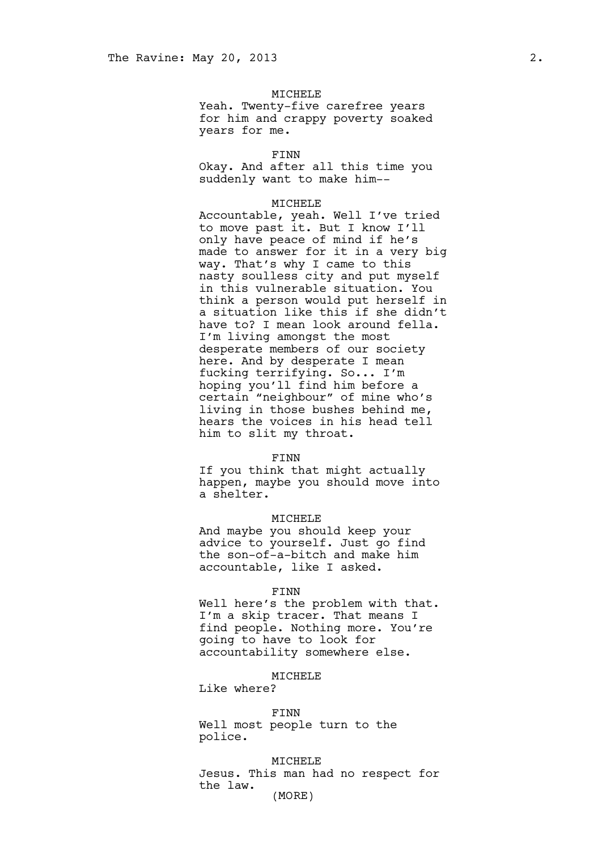### MICHELE

Yeah. Twenty-five carefree years for him and crappy poverty soaked years for me.

#### FINN

Okay. And after all this time you suddenly want to make him--

## MICHELE

Accountable, yeah. Well I've tried to move past it. But I know I'll only have peace of mind if he's made to answer for it in a very big way. That's why I came to this nasty soulless city and put myself in this vulnerable situation. You think a person would put herself in a situation like this if she didn't have to? I mean look around fella. I'm living amongst the most desperate members of our society here. And by desperate I mean fucking terrifying. So... I'm hoping you'll find him before a certain "neighbour" of mine who's living in those bushes behind me, hears the voices in his head tell him to slit my throat.

#### FINN

If you think that might actually happen, maybe you should move into a shelter.

### MICHELE

And maybe you should keep your advice to yourself. Just go find the son-of-a-bitch and make him accountable, like I asked.

### FINN

Well here's the problem with that. I'm a skip tracer. That means I find people. Nothing more. You're going to have to look for accountability somewhere else.

#### MICHELE

Like where?

#### FINN

Well most people turn to the police.

MICHELE Jesus. This man had no respect for the law. (MORE)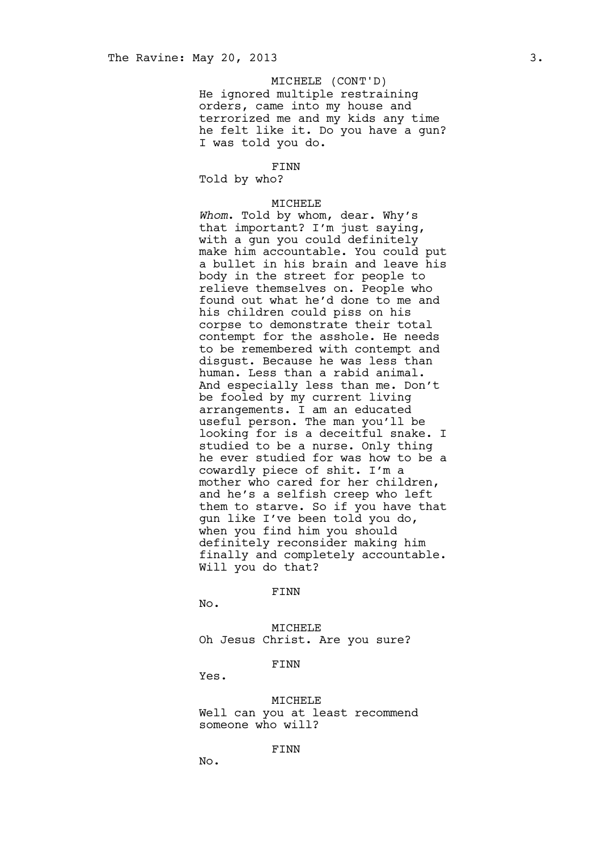# MICHELE (CONT'D)

He ignored multiple restraining orders, came into my house and terrorized me and my kids any time he felt like it. Do you have a gun? I was told you do.

#### FINN

Told by who?

#### MICHELE

*Whom*. Told by whom, dear. Why's that important? I'm just saying, with a gun you could definitely make him accountable. You could put a bullet in his brain and leave his body in the street for people to relieve themselves on. People who found out what he'd done to me and his children could piss on his corpse to demonstrate their total contempt for the asshole. He needs to be remembered with contempt and disgust. Because he was less than human. Less than a rabid animal. And especially less than me. Don't be fooled by my current living arrangements. I am an educated useful person. The man you'll be looking for is a deceitful snake. I studied to be a nurse. Only thing he ever studied for was how to be a cowardly piece of shit. I'm a mother who cared for her children, and he's a selfish creep who left them to starve. So if you have that gun like I've been told you do, when you find him you should definitely reconsider making him finally and completely accountable. Will you do that?

#### FINN

No.

MICHELE Oh Jesus Christ. Are you sure?

# FINN

Yes.

MICHELE Well can you at least recommend someone who will?

FINN

No.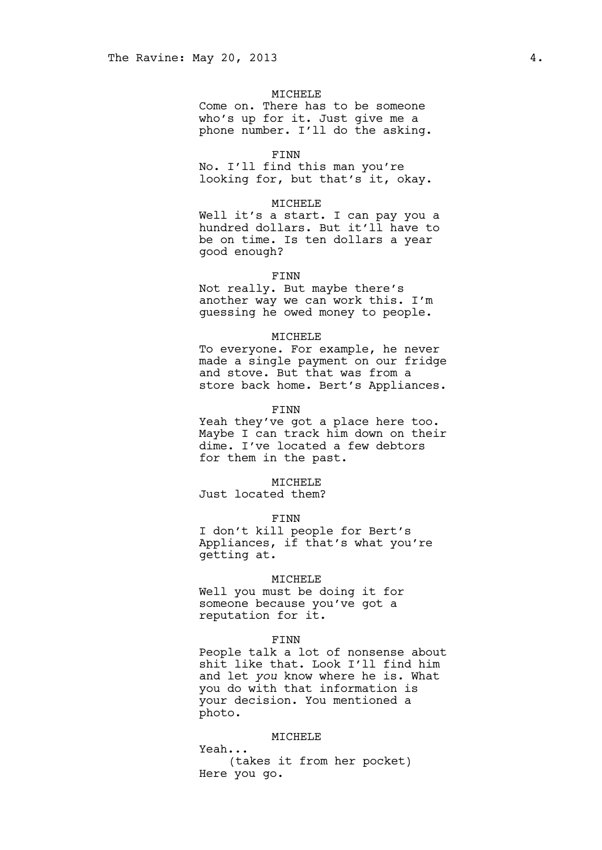### MICHELE

Come on. There has to be someone who's up for it. Just give me a phone number. I'll do the asking.

#### FINN

No. I'll find this man you're looking for, but that's it, okay.

## MICHELE

Well it's a start. I can pay you a hundred dollars. But it'll have to be on time. Is ten dollars a year good enough?

#### FINN

Not really. But maybe there's another way we can work this. I'm guessing he owed money to people.

#### MICHELE

To everyone. For example, he never made a single payment on our fridge and stove. But that was from a store back home. Bert's Appliances.

#### FINN

Yeah they've got a place here too. Maybe I can track him down on their dime. I've located a few debtors for them in the past.

### MICHELE

Just located them?

### FINN

I don't kill people for Bert's Appliances, if that's what you're getting at.

#### MICHELE

Well you must be doing it for someone because you've got a reputation for it.

#### FINN

People talk a lot of nonsense about shit like that. Look I'll find him and let *you* know where he is. What you do with that information is your decision. You mentioned a photo.

### MICHELE

Yeah... (takes it from her pocket) Here you go.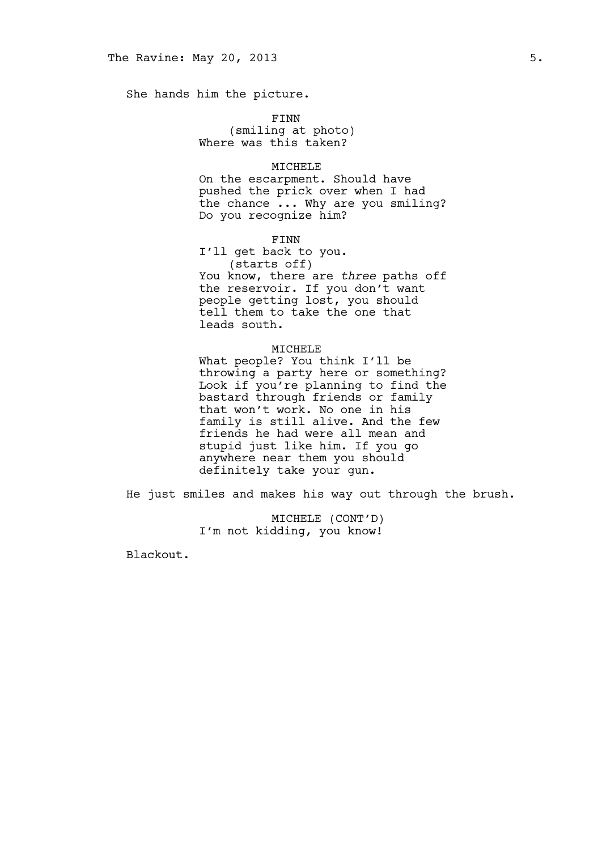She hands him the picture.

FINN

(smiling at photo) Where was this taken?

## MICHELE

On the escarpment. Should have pushed the prick over when I had the chance ... Why are you smiling? Do you recognize him?

FINN

I'll get back to you. (starts off) You know, there are *three* paths off the reservoir. If you don't want people getting lost, you should tell them to take the one that leads south.

### MICHELE

What people? You think I'll be throwing a party here or something? Look if you're planning to find the bastard through friends or family that won't work. No one in his family is still alive. And the few friends he had were all mean and stupid just like him. If you go anywhere near them you should definitely take your gun.

He just smiles and makes his way out through the brush.

MICHELE (CONT'D) I'm not kidding, you know!

Blackout.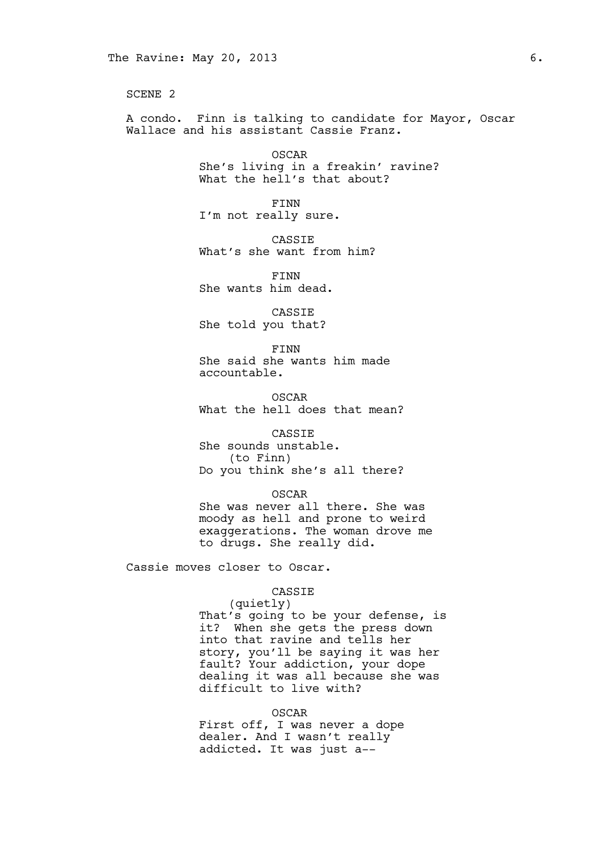SCENE 2

A condo. Finn is talking to candidate for Mayor, Oscar Wallace and his assistant Cassie Franz.

> OSCAR She's living in a freakin' ravine? What the hell's that about?

FINN I'm not really sure.

CASSIE What's she want from him?

FINN She wants him dead.

CASSIE She told you that?

FINN She said she wants him made accountable.

OSCAR What the hell does that mean?

CASSIE

She sounds unstable. (to Finn) Do you think she's all there?

OSCAR

She was never all there. She was moody as hell and prone to weird exaggerations. The woman drove me to drugs. She really did.

Cassie moves closer to Oscar.

## CASSIE

(quietly) That's going to be your defense, is it? When she gets the press down into that ravine and tells her story, you'll be saying it was her fault? Your addiction, your dope dealing it was all because she was difficult to live with?

OSCAR

First off, I was never a dope dealer. And I wasn't really addicted. It was just a--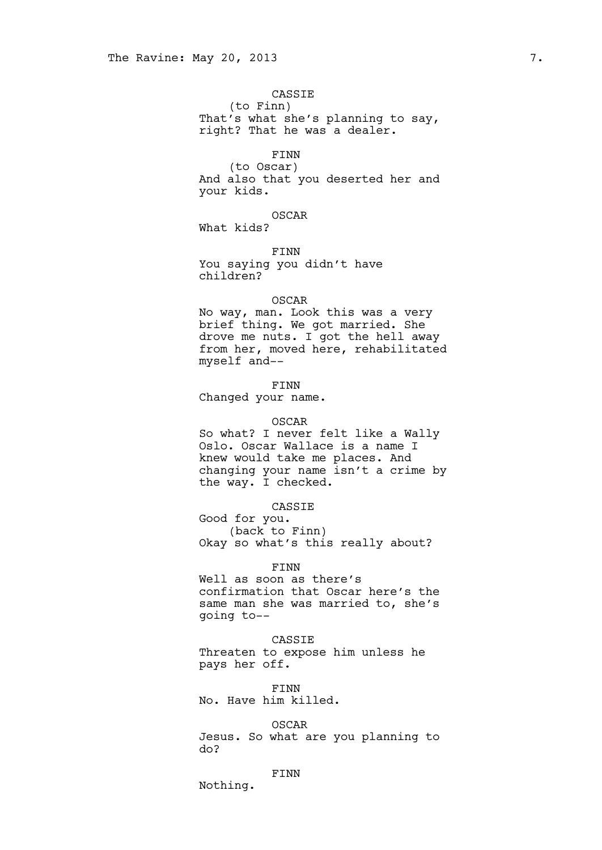### CASSIE

(to Finn) That's what she's planning to say, right? That he was a dealer.

#### FINN

(to Oscar) And also that you deserted her and your kids.

# OSCAR

What kids?

FINN You saying you didn't have children?

## OSCAR

No way, man. Look this was a very brief thing. We got married. She drove me nuts. I got the hell away from her, moved here, rehabilitated myself and--

### FINN

Changed your name.

#### OSCAR

So what? I never felt like a Wally Oslo. Oscar Wallace is a name I knew would take me places. And changing your name isn't a crime by the way. I checked.

# CASSIE

Good for you. (back to Finn) Okay so what's this really about?

### FINN

Well as soon as there's confirmation that Oscar here's the same man she was married to, she's going to--

# CASSIE

Threaten to expose him unless he pays her off.

FINN No. Have him killed.

OSCAR Jesus. So what are you planning to do?

# FINN

Nothing.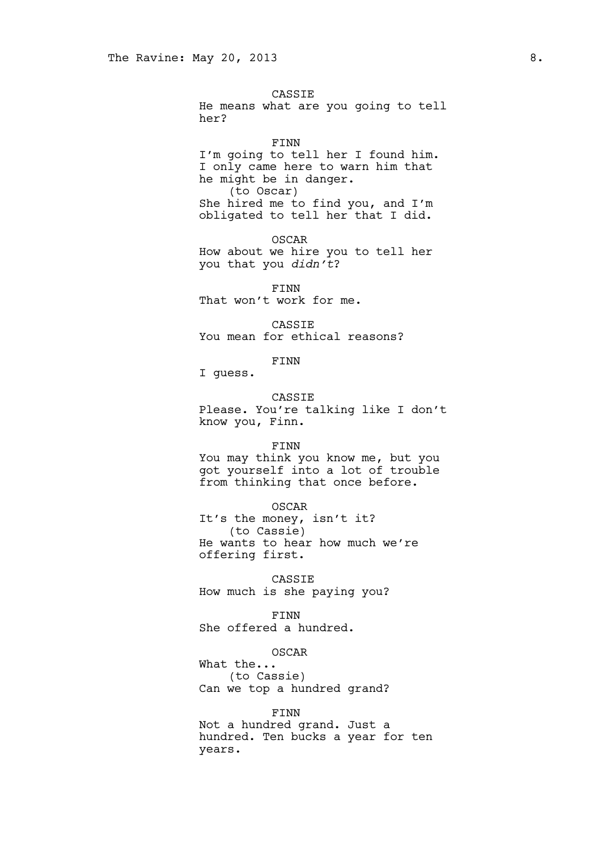CASSIE

He means what are you going to tell her?

FINN

I'm going to tell her I found him. I only came here to warn him that he might be in danger. (to Oscar) She hired me to find you, and I'm obligated to tell her that I did.

OSCAR How about we hire you to tell her you that you *didn't*?

FINN That won't work for me.

CASSIE You mean for ethical reasons?

FINN

I guess.

CASSIE Please. You're talking like I don't know you, Finn.

FINN

You may think you know me, but you got yourself into a lot of trouble from thinking that once before.

OSCAR

It's the money, isn't it? (to Cassie) He wants to hear how much we're offering first.

CASSIE How much is she paying you?

FINN

She offered a hundred.

OSCAR

What the... (to Cassie) Can we top a hundred grand?

FINN

Not a hundred grand. Just a hundred. Ten bucks a year for ten years.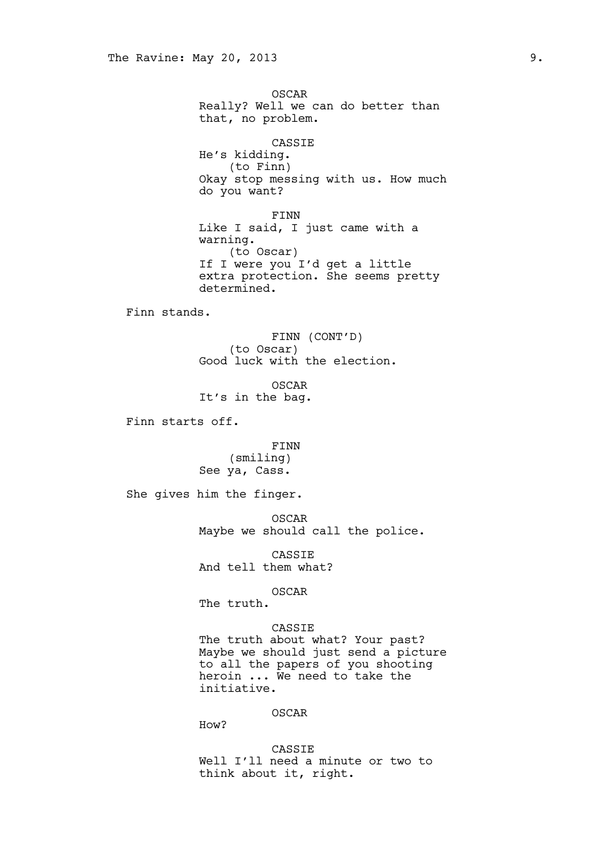OSCAR Really? Well we can do better than that, no problem. CASSIE He's kidding. (to Finn) Okay stop messing with us. How much do you want? FINN Like I said, I just came with a warning. (to Oscar) If I were you I'd get a little extra protection. She seems pretty determined. Finn stands. FINN (CONT'D) (to Oscar) Good luck with the election. OSCAR It's in the bag. Finn starts off. FINN (smiling) See ya, Cass. She gives him the finger. OSCAR Maybe we should call the police. CASSIE And tell them what? OSCAR The truth. CASSIE The truth about what? Your past? Maybe we should just send a picture to all the papers of you shooting heroin ... We need to take the initiative. OSCAR How? CASSIE

Well I'll need a minute or two to

think about it, right.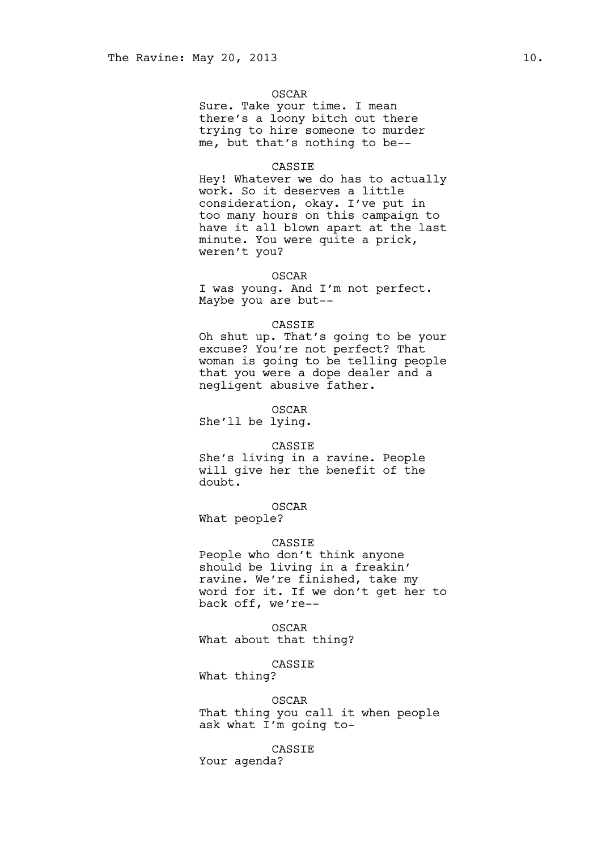#### OSCAR

Sure. Take your time. I mean there's a loony bitch out there trying to hire someone to murder me, but that's nothing to be--

#### CASSIE

Hey! Whatever we do has to actually work. So it deserves a little consideration, okay. I've put in too many hours on this campaign to have it all blown apart at the last minute. You were quite a prick, weren't you?

#### OSCAR

I was young. And I'm not perfect. Maybe you are but--

### CASSIE

Oh shut up. That's going to be your excuse? You're not perfect? That woman is going to be telling people that you were a dope dealer and a negligent abusive father.

OSCAR

She'll be lying.

#### CASSIE

She's living in a ravine. People will give her the benefit of the doubt.

# OSCAR

What people?

### CASSIE

People who don't think anyone should be living in a freakin' ravine. We're finished, take my word for it. If we don't get her to back off, we're--

OSCAR What about that thing?

### CASSIE

What thing?

#### OSCAR

That thing you call it when people ask what I'm going to-

CASSIE

Your agenda?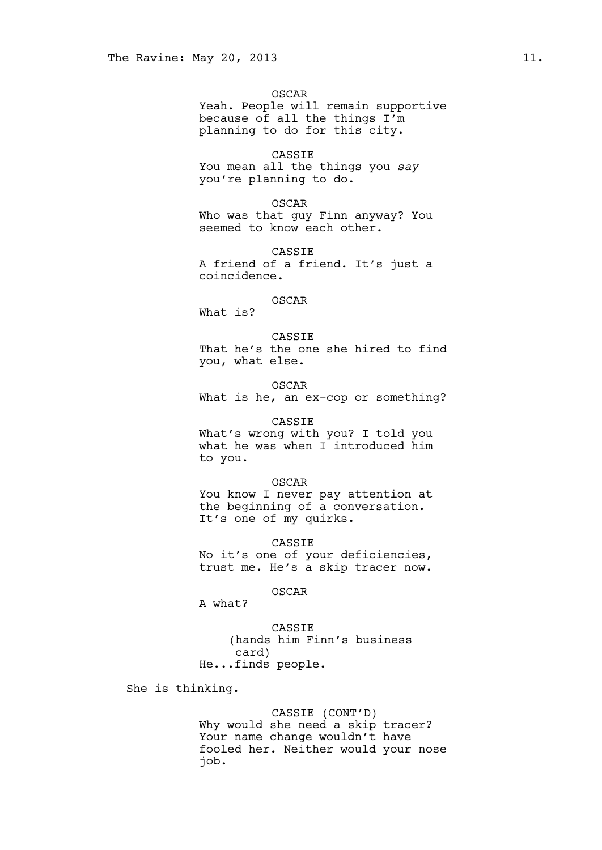OSCAR Yeah. People will remain supportive because of all the things I'm planning to do for this city.

CASSIE You mean all the things you *say* you're planning to do.

OSCAR Who was that guy Finn anyway? You seemed to know each other.

CASSIE A friend of a friend. It's just a coincidence.

OSCAR What is?

CASSIE That he's the one she hired to find you, what else.

OSCAR What is he, an ex-cop or something?

CASSIE

What's wrong with you? I told you what he was when I introduced him to you.

OSCAR

You know I never pay attention at the beginning of a conversation. It's one of my quirks.

CASSIE No it's one of your deficiencies, trust me. He's a skip tracer now.

OSCAR

A what?

CASSIE (hands him Finn's business card) He...finds people.

She is thinking.

CASSIE (CONT'D) Why would she need a skip tracer? Your name change wouldn't have fooled her. Neither would your nose job.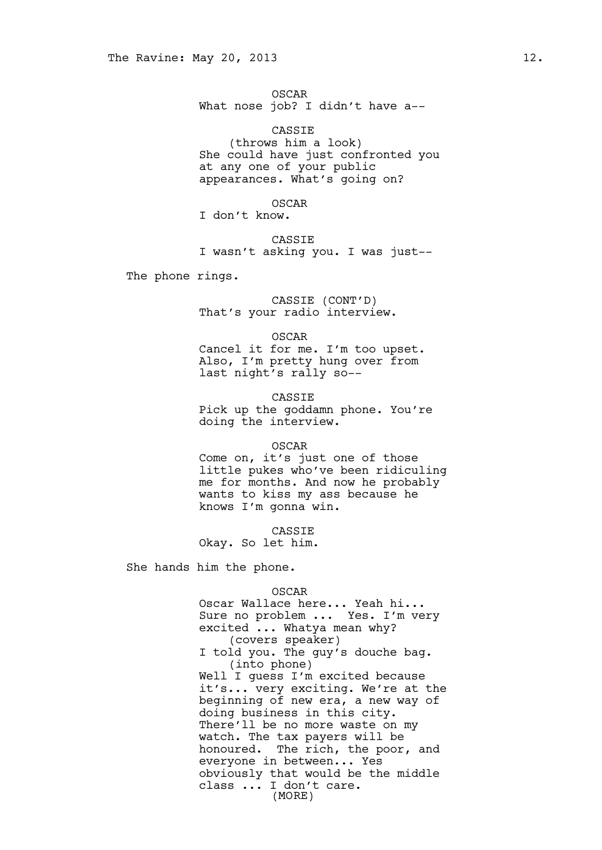OSCAR What nose job? I didn't have a--

CASSIE (throws him a look) She could have just confronted you at any one of your public appearances. What's going on?

OSCAR

I don't know.

CASSIE I wasn't asking you. I was just--

The phone rings.

CASSIE (CONT'D) That's your radio interview.

OSCAR

Cancel it for me. I'm too upset. Also, I'm pretty hung over from last night's rally so--

CASSIE Pick up the goddamn phone. You're doing the interview.

OSCAR

Come on, it's just one of those little pukes who've been ridiculing me for months. And now he probably wants to kiss my ass because he knows I'm gonna win.

CASSIE Okay. So let him.

She hands him the phone.

#### OSCAR

Oscar Wallace here... Yeah hi... Sure no problem ... Yes. I'm very excited ... Whatya mean why? (covers speaker) I told you. The guy's douche bag. (into phone) Well I guess I'm excited because it's... very exciting. We're at the beginning of new era, a new way of doing business in this city. There'll be no more waste on my watch. The tax payers will be honoured. The rich, the poor, and everyone in between... Yes obviously that would be the middle class ... I don't care. (MORE)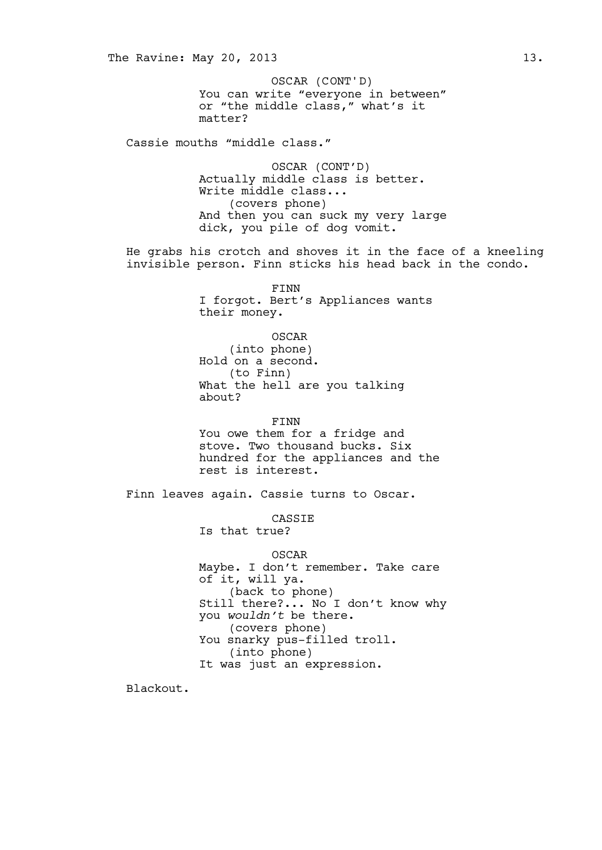You can write "everyone in between" or "the middle class," what's it matter? OSCAR (CONT'D)

Cassie mouths "middle class."

OSCAR (CONT'D) Actually middle class is better. Write middle class... (covers phone) And then you can suck my very large dick, you pile of dog vomit.

He grabs his crotch and shoves it in the face of a kneeling invisible person. Finn sticks his head back in the condo.

> FINN I forgot. Bert's Appliances wants their money.

OSCAR (into phone) Hold on a second. (to Finn) What the hell are you talking about?

FINN

You owe them for a fridge and stove. Two thousand bucks. Six hundred for the appliances and the rest is interest.

Finn leaves again. Cassie turns to Oscar.

CASSIE

Is that true?

OSCAR Maybe. I don't remember. Take care of it, will ya. (back to phone) Still there?... No I don't know why you *wouldn't* be there. (covers phone) You snarky pus-filled troll. (into phone) It was just an expression.

Blackout.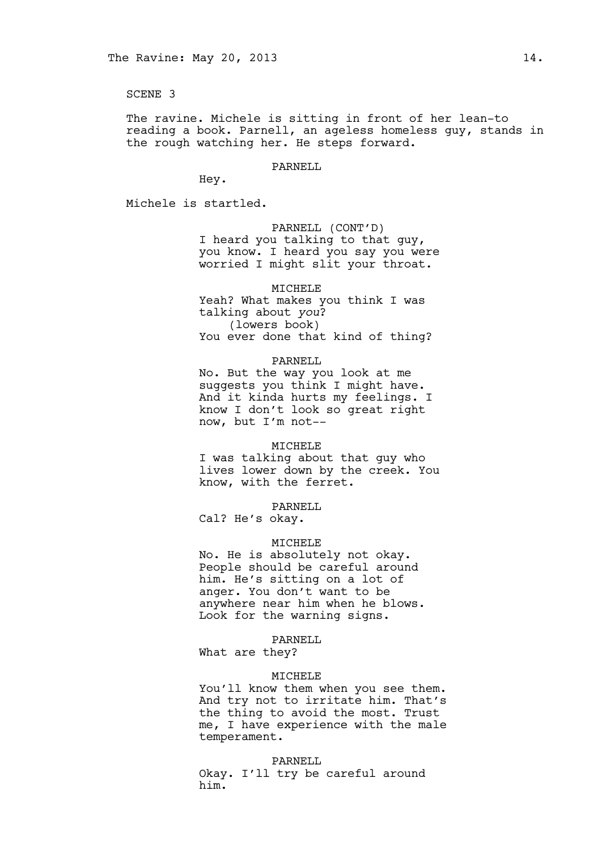### SCENE 3

The ravine. Michele is sitting in front of her lean-to reading a book. Parnell, an ageless homeless guy, stands in the rough watching her. He steps forward.

#### PARNELL

Hey.

Michele is startled.

# PARNELL (CONT'D)

I heard you talking to that guy, you know. I heard you say you were worried I might slit your throat.

# MICHELE

Yeah? What makes you think I was talking about *you*? (lowers book) You ever done that kind of thing?

## PARNELL

No. But the way you look at me suggests you think I might have. And it kinda hurts my feelings. I know I don't look so great right now, but I'm not--

### MICHELE

I was talking about that guy who lives lower down by the creek. You know, with the ferret.

## PARNELL

Cal? He's okay.

#### MICHELE

No. He is absolutely not okay. People should be careful around him. He's sitting on a lot of anger. You don't want to be anywhere near him when he blows. Look for the warning signs.

#### PARNELL

What are they?

#### MICHELE

You'll know them when you see them. And try not to irritate him. That's the thing to avoid the most. Trust me, I have experience with the male temperament.

#### PARNELL

Okay. I'll try be careful around him.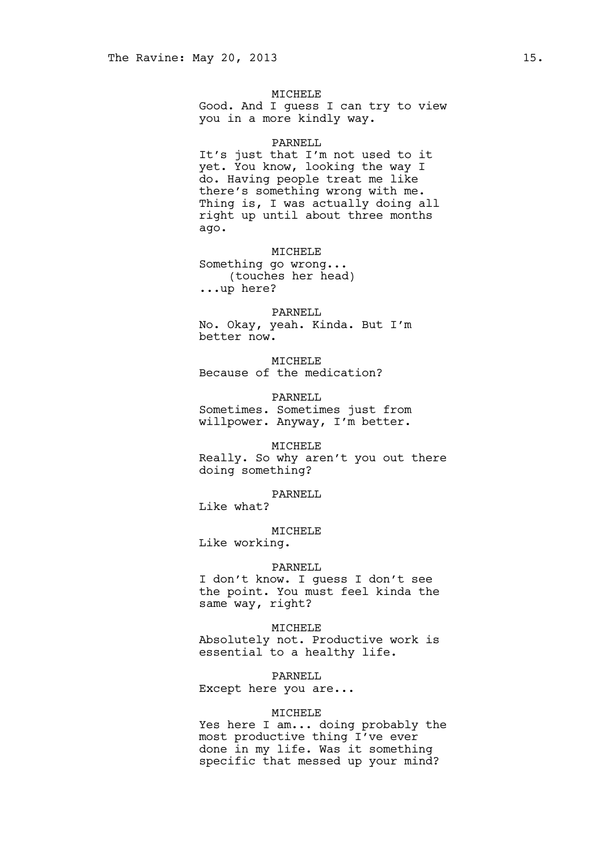### MICHELE

Good. And I guess I can try to view you in a more kindly way.

### PARNELL

It's just that I'm not used to it yet. You know, looking the way I do. Having people treat me like there's something wrong with me. Thing is, I was actually doing all right up until about three months ago.

### MICHELE

Something go wrong... (touches her head) ...up here?

#### PARNELL

No. Okay, yeah. Kinda. But I'm better now.

MICHELE Because of the medication?

PARNELL Sometimes. Sometimes just from willpower. Anyway, I'm better.

## MICHELE

Really. So why aren't you out there doing something?

PARNELL Like what?

MICHELE

Like working.

#### PARNELL

I don't know. I guess I don't see the point. You must feel kinda the same way, right?

MICHELE Absolutely not. Productive work is essential to a healthy life.

PARNELL

Except here you are...

### MICHELE

Yes here I am... doing probably the most productive thing I've ever done in my life. Was it something specific that messed up your mind?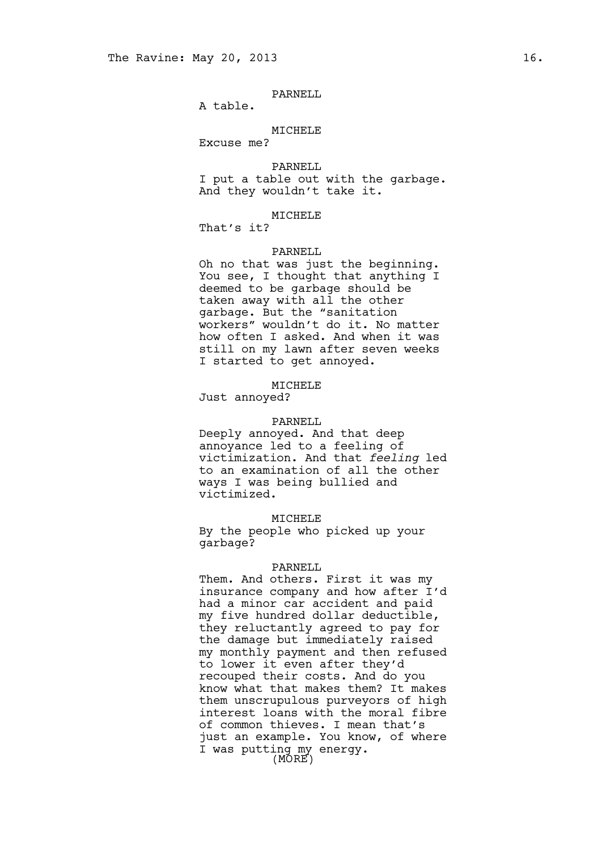### PARNELL

A table.

### MICHELE

Excuse me?

PARNELL

I put a table out with the garbage. And they wouldn't take it.

# MICHELE

That's it?

### PARNELL

Oh no that was just the beginning. You see, I thought that anything I deemed to be garbage should be taken away with all the other garbage. But the "sanitation workers" wouldn't do it. No matter how often I asked. And when it was still on my lawn after seven weeks I started to get annoyed.

#### MICHELE

Just annoyed?

#### PARNELL

Deeply annoyed. And that deep annoyance led to a feeling of victimization. And that *feeling* led to an examination of all the other ways I was being bullied and victimized.

MICHELE

By the people who picked up your garbage?

### PARNELL

Them. And others. First it was my insurance company and how after I'd had a minor car accident and paid my five hundred dollar deductible, they reluctantly agreed to pay for the damage but immediately raised my monthly payment and then refused to lower it even after they'd recouped their costs. And do you know what that makes them? It makes them unscrupulous purveyors of high interest loans with the moral fibre of common thieves. I mean that's just an example. You know, of where I was putting my energy. (MORE)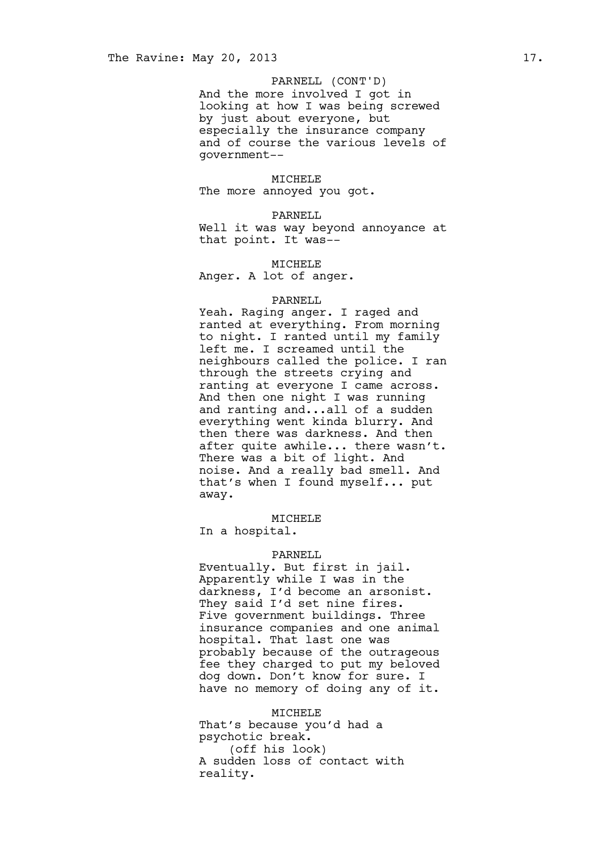# PARNELL (CONT'D)

And the more involved I got in looking at how I was being screwed by just about everyone, but especially the insurance company and of course the various levels of government--

### MICHELE

The more annoyed you got.

#### PARNELL

Well it was way beyond annoyance at that point. It was--

#### MICHELE

Anger. A lot of anger.

### PARNELL

Yeah. Raging anger. I raged and ranted at everything. From morning to night. I ranted until my family left me. I screamed until the neighbours called the police. I ran through the streets crying and ranting at everyone I came across. And then one night I was running and ranting and...all of a sudden everything went kinda blurry. And then there was darkness. And then after quite awhile... there wasn't. There was a bit of light. And noise. And a really bad smell. And that's when I found myself... put away.

#### MICHELE

In a hospital.

## PARNELL

Eventually. But first in jail. Apparently while I was in the darkness, I'd become an arsonist. They said I'd set nine fires. Five government buildings. Three insurance companies and one animal hospital. That last one was probably because of the outrageous fee they charged to put my beloved dog down. Don't know for sure. I have no memory of doing any of it.

MICHELE That's because you'd had a psychotic break. (off his look) A sudden loss of contact with reality.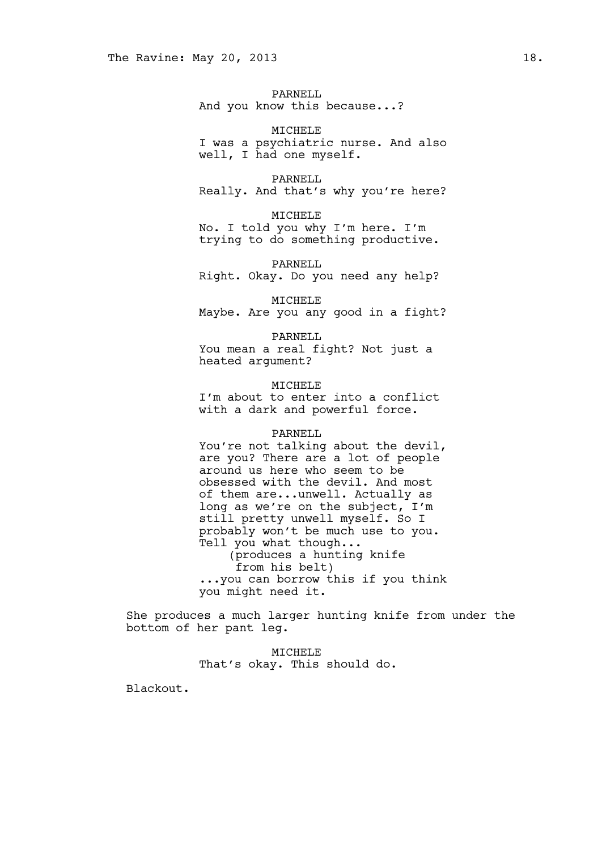PARNELL And you know this because...?

MICHELE I was a psychiatric nurse. And also well, I had one myself.

PARNELL Really. And that's why you're here?

MICHELE No. I told you why I'm here. I'm trying to do something productive.

PARNELL Right. Okay. Do you need any help?

MICHELE Maybe. Are you any good in a fight?

PARNELL You mean a real fight? Not just a heated argument?

MICHELE I'm about to enter into a conflict with a dark and powerful force.

#### PARNELL

You're not talking about the devil, are you? There are a lot of people around us here who seem to be obsessed with the devil. And most of them are...unwell. Actually as long as we're on the subject, I'm still pretty unwell myself. So I probably won't be much use to you. Tell you what though... (produces a hunting knife from his belt) ...you can borrow this if you think you might need it.

She produces a much larger hunting knife from under the bottom of her pant leg.

> MICHELE That's okay. This should do.

Blackout.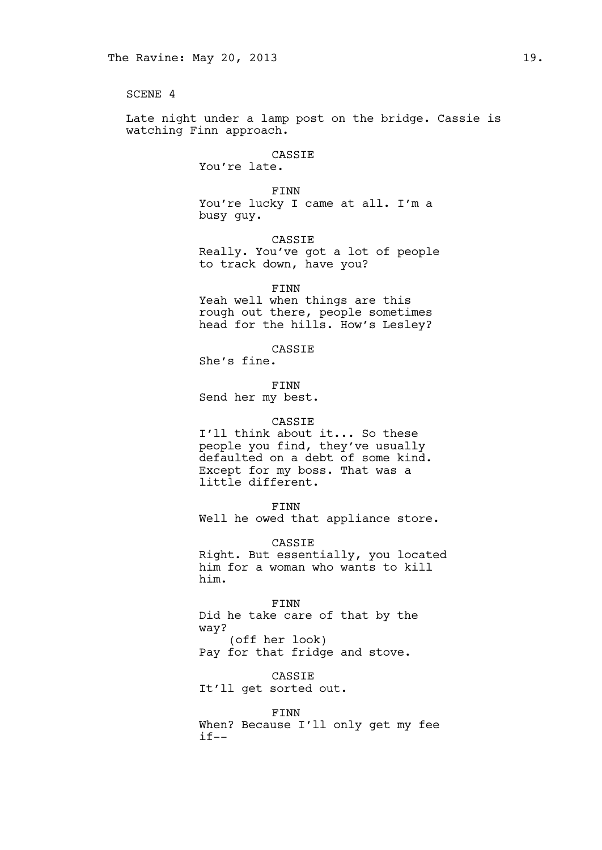SCENE 4

Late night under a lamp post on the bridge. Cassie is watching Finn approach.

# CASSIE

You're late.

FINN You're lucky I came at all. I'm a busy guy.

CASSIE Really. You've got a lot of people to track down, have you?

FINN

Yeah well when things are this rough out there, people sometimes head for the hills. How's Lesley?

CASSIE

She's fine.

FINN Send her my best.

### CASSIE

I'll think about it... So these people you find, they've usually defaulted on a debt of some kind. Except for my boss. That was a little different.

FINN

Well he owed that appliance store.

CASSIE Right. But essentially, you located him for a woman who wants to kill him.

#### FINN

Did he take care of that by the way? (off her look)

Pay for that fridge and stove.

CASSIE

It'll get sorted out.

### FINN

When? Because I'll only get my fee  $if--$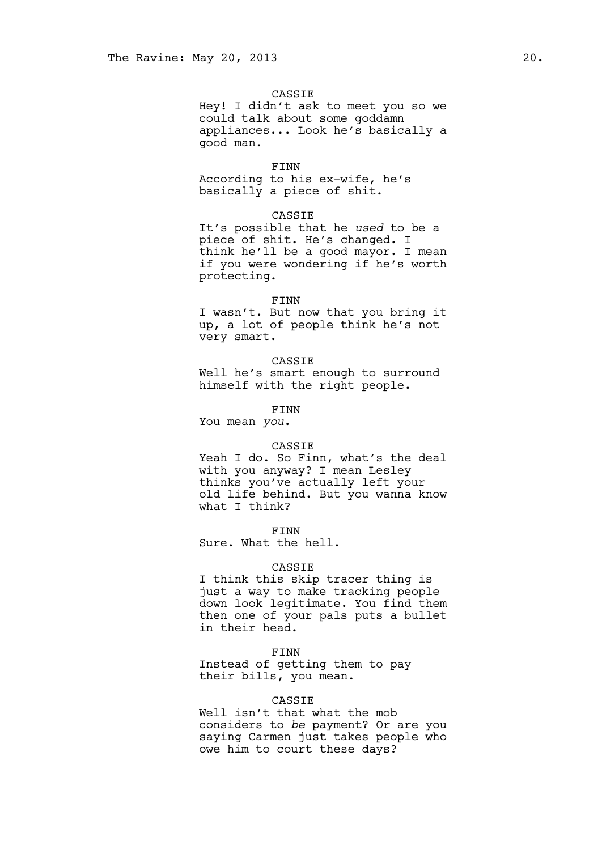### CASSIE

Hey! I didn't ask to meet you so we could talk about some goddamn appliances... Look he's basically a good man.

#### FINN

According to his ex-wife, he's basically a piece of shit.

### CASSIE

It's possible that he *used* to be a piece of shit. He's changed. I think he'll be a good mayor. I mean if you were wondering if he's worth protecting.

### FINN

I wasn't. But now that you bring it up, a lot of people think he's not very smart.

CASSIE Well he's smart enough to surround himself with the right people.

### FINN

You mean *you*.

### CASSIE

Yeah I do. So Finn, what's the deal with you anyway? I mean Lesley thinks you've actually left your old life behind. But you wanna know what I think?

FINN

Sure. What the hell.

#### CASSIE

I think this skip tracer thing is just a way to make tracking people down look legitimate. You find them then one of your pals puts a bullet in their head.

#### FINN

Instead of getting them to pay their bills, you mean.

# CASSIE

Well isn't that what the mob considers to *be* payment? Or are you saying Carmen just takes people who owe him to court these days?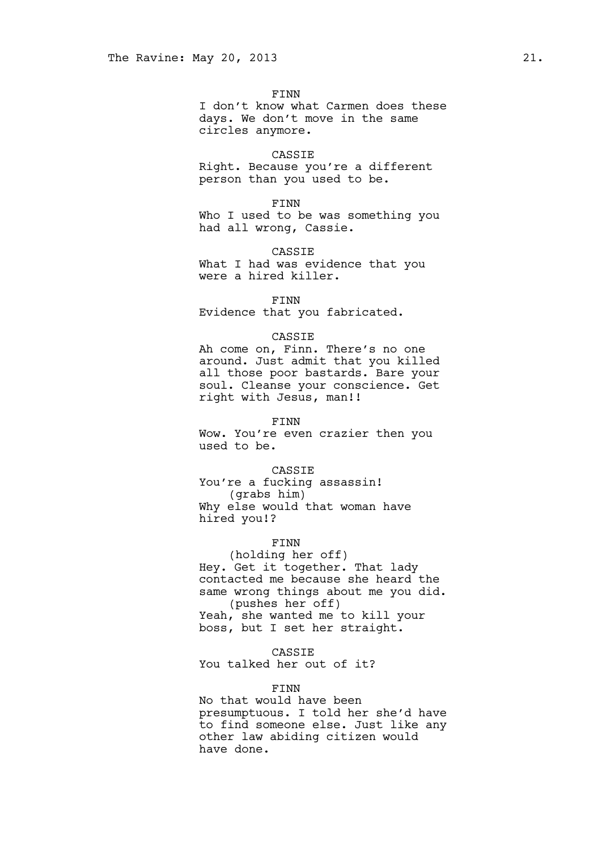FINN

I don't know what Carmen does these days. We don't move in the same circles anymore.

#### CASSIE

Right. Because you're a different person than you used to be.

#### FINN

Who I used to be was something you had all wrong, Cassie.

CASSIE

What I had was evidence that you were a hired killer.

### FINN

Evidence that you fabricated.

#### CASSIE

Ah come on, Finn. There's no one around. Just admit that you killed all those poor bastards. Bare your soul. Cleanse your conscience. Get right with Jesus, man!!

#### FINN

Wow. You're even crazier then you used to be.

#### CASSIE

You're a fucking assassin! (grabs him) Why else would that woman have hired you!?

## FINN

(holding her off) Hey. Get it together. That lady contacted me because she heard the same wrong things about me you did. (pushes her off) Yeah, she wanted me to kill your boss, but I set her straight.

### CASSIE

You talked her out of it?

## FINN

No that would have been presumptuous. I told her she'd have to find someone else. Just like any other law abiding citizen would have done.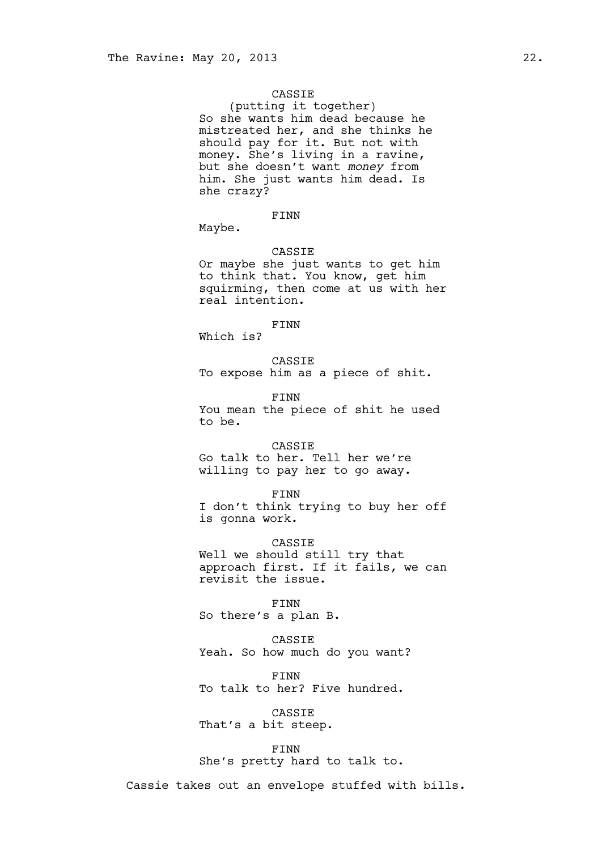### CASSIE

(putting it together) So she wants him dead because he mistreated her, and she thinks he should pay for it. But not with money. She's living in a ravine, but she doesn't want *money* from him. She just wants him dead. Is she crazy?

# FINN

Maybe.

## CASSIE

Or maybe she just wants to get him to think that. You know, get him squirming, then come at us with her real intention.

# FINN

Which is?

CASSIE To expose him as a piece of shit.

FINN You mean the piece of shit he used to be.

# CASSIE Go talk to her. Tell her we're willing to pay her to go away.

FINN

I don't think trying to buy her off is gonna work.

CASSIE Well we should still try that approach first. If it fails, we can revisit the issue.

FINN So there's a plan B.

CASSIE Yeah. So how much do you want?

FINN To talk to her? Five hundred.

CASSIE That's a bit steep.

# FINN

She's pretty hard to talk to.

Cassie takes out an envelope stuffed with bills.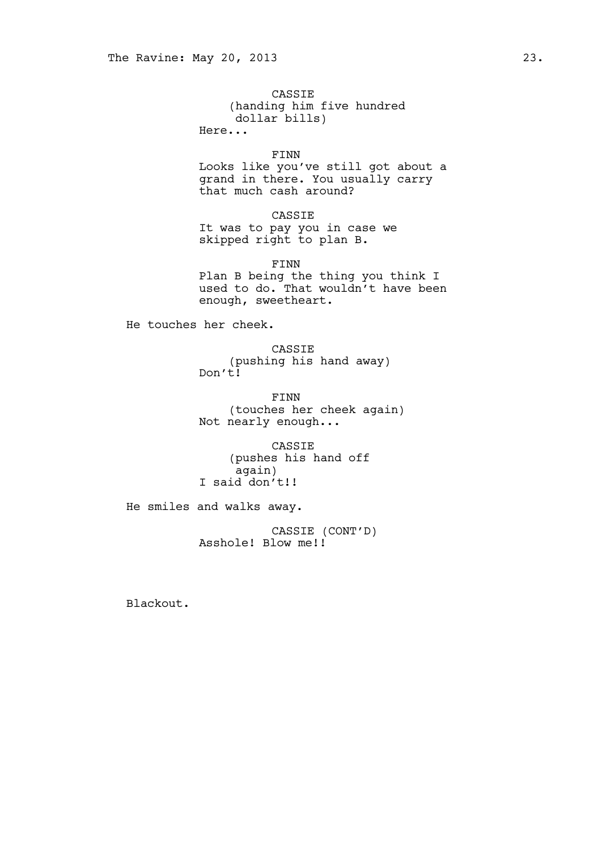CASSIE (handing him five hundred dollar bills) Here...

FINN

Looks like you've still got about a grand in there. You usually carry that much cash around?

CASSIE It was to pay you in case we skipped right to plan B.

FINN Plan B being the thing you think I used to do. That wouldn't have been enough, sweetheart.

He touches her cheek.

CASSIE (pushing his hand away) Don't!

FINN (touches her cheek again) Not nearly enough...

CASSIE (pushes his hand off again) I said don't!!

He smiles and walks away.

CASSIE (CONT'D) Asshole! Blow me!!

Blackout.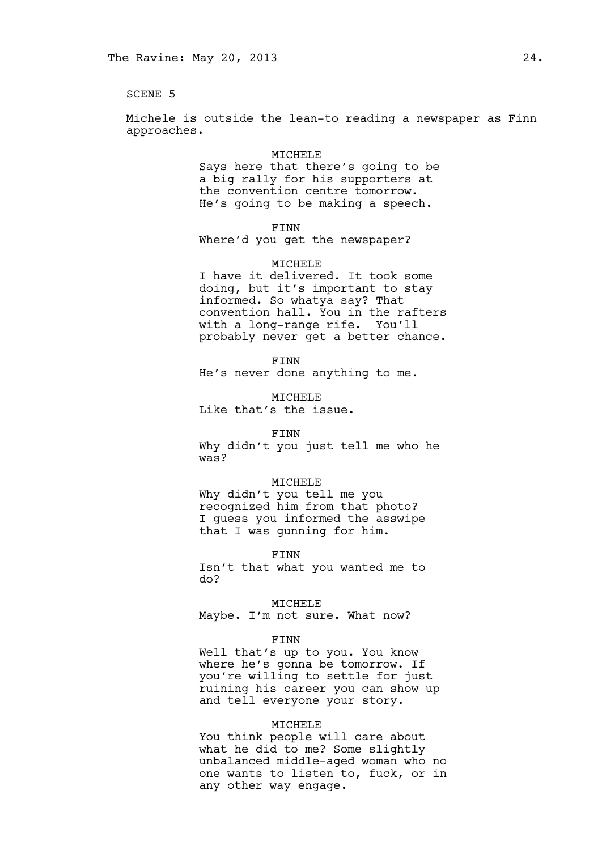SCENE 5

Michele is outside the lean-to reading a newspaper as Finn approaches.

#### MICHELE

Says here that there's going to be a big rally for his supporters at the convention centre tomorrow. He's going to be making a speech.

FINN

Where'd you get the newspaper?

### MICHELE

I have it delivered. It took some doing, but it's important to stay informed. So whatya say? That convention hall. You in the rafters with a long-range rife. You'll probably never get a better chance.

FINN He's never done anything to me.

MICHELE Like that's the issue.

#### FINN

Why didn't you just tell me who he was?

## MICHELE

Why didn't you tell me you recognized him from that photo? I guess you informed the asswipe that I was gunning for him.

FINN

Isn't that what you wanted me to do?

#### MICHELE

Maybe. I'm not sure. What now?

#### FINN

Well that's up to you. You know where he's gonna be tomorrow. If you're willing to settle for just ruining his career you can show up and tell everyone your story.

#### MICHELE

You think people will care about what he did to me? Some slightly unbalanced middle-aged woman who no one wants to listen to, fuck, or in any other way engage.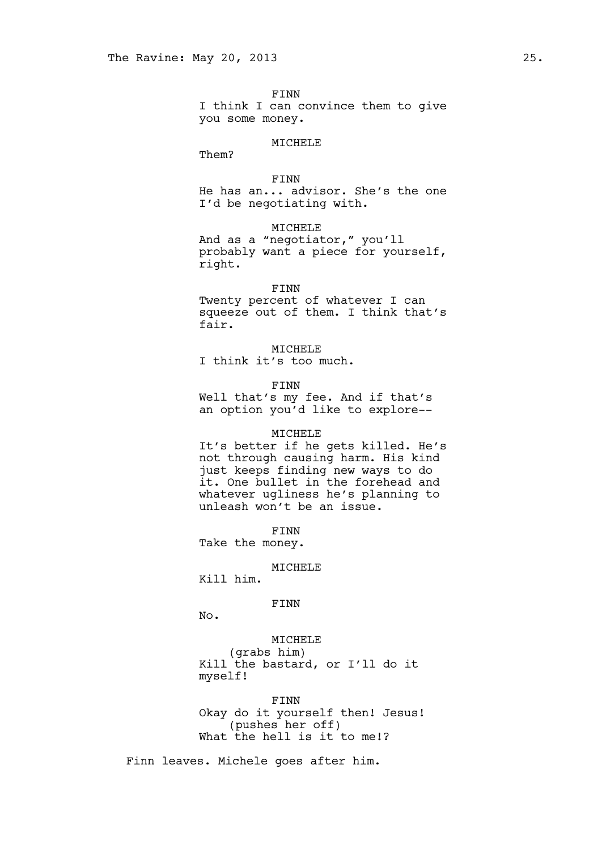FINN I think I can convince them to give you some money.

### MICHELE

Them?

# FINN

He has an... advisor. She's the one I'd be negotiating with.

# MICHELE

And as a "negotiator," you'll probably want a piece for yourself, right.

#### FINN

Twenty percent of whatever I can squeeze out of them. I think that's fair.

### MICHELE

I think it's too much.

FINN

Well that's my fee. And if that's an option you'd like to explore--

### MICHELE

It's better if he gets killed. He's not through causing harm. His kind just keeps finding new ways to do it. One bullet in the forehead and whatever ugliness he's planning to unleash won't be an issue.

FINN

Take the money.

# MICHELE

Kill him.

# FINN

No.

## MICHELE

(grabs him) Kill the bastard, or I'll do it myself!

### FINN

Okay do it yourself then! Jesus! (pushes her off) What the hell is it to me!?

Finn leaves. Michele goes after him.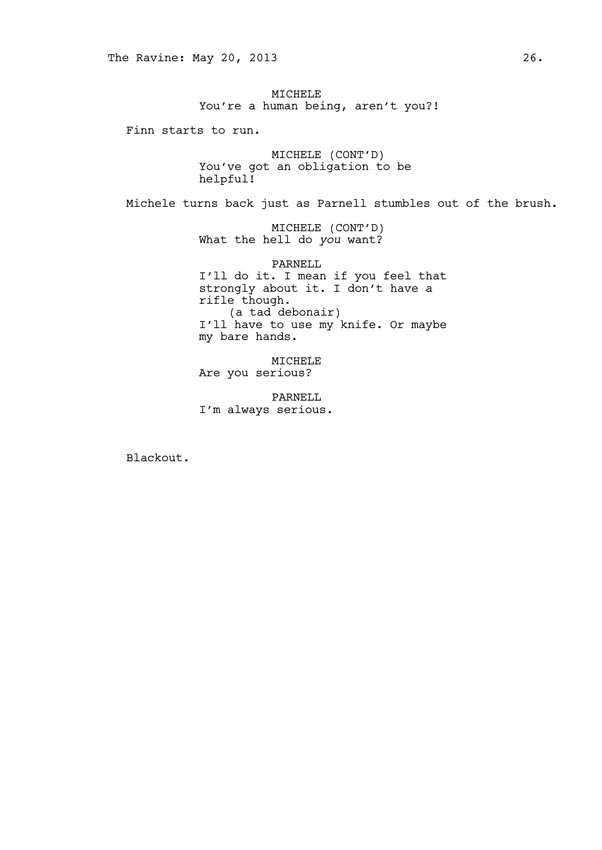MICHELE You're a human being, aren't you?!

Finn starts to run.

MICHELE (CONT'D) You've got an obligation to be helpful!

Michele turns back just as Parnell stumbles out of the brush.

MICHELE (CONT'D) What the hell do *you* want?

PARNELL I'll do it. I mean if you feel that strongly about it. I don't have a rifle though. (a tad debonair) I'll have to use my knife. Or maybe my bare hands.

MICHELE Are you serious?

PARNELL I'm always serious.

Blackout.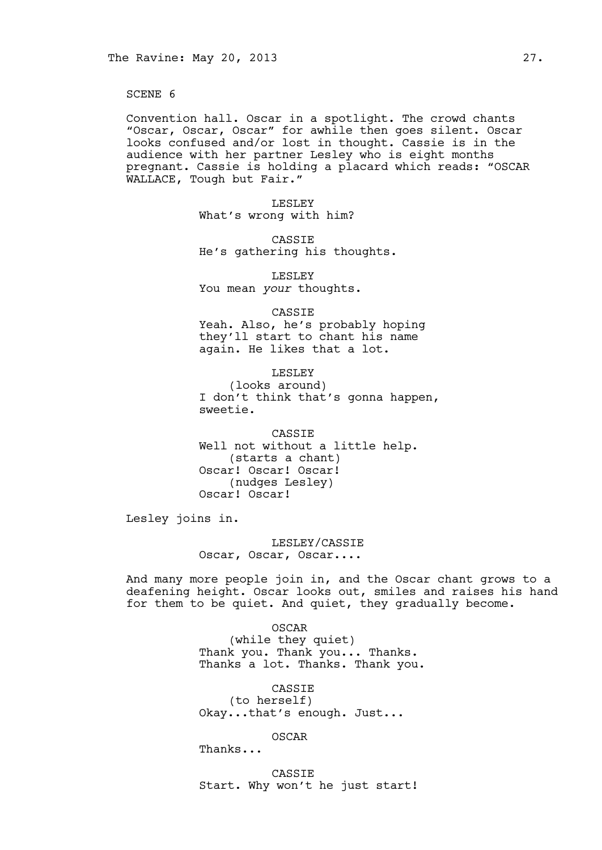SCENE 6

Convention hall. Oscar in a spotlight. The crowd chants "Oscar, Oscar, Oscar" for awhile then goes silent. Oscar looks confused and/or lost in thought. Cassie is in the audience with her partner Lesley who is eight months pregnant. Cassie is holding a placard which reads: "OSCAR WALLACE, Tough but Fair."

> LESLEY What's wrong with him?

CASSIE He's gathering his thoughts.

LESLEY You mean *your* thoughts.

CASSIE Yeah. Also, he's probably hoping they'll start to chant his name again. He likes that a lot.

LESLEY (looks around) I don't think that's gonna happen, sweetie.

CASSIE Well not without a little help. (starts a chant) Oscar! Oscar! Oscar! (nudges Lesley) Oscar! Oscar!

Lesley joins in.

LESLEY/CASSIE Oscar, Oscar, Oscar....

And many more people join in, and the Oscar chant grows to a deafening height. Oscar looks out, smiles and raises his hand for them to be quiet. And quiet, they gradually become.

> OSCAR (while they quiet) Thank you. Thank you... Thanks. Thanks a lot. Thanks. Thank you.

CASSIE (to herself) Okay...that's enough. Just...

OSCAR

Thanks...

CASSIE Start. Why won't he just start!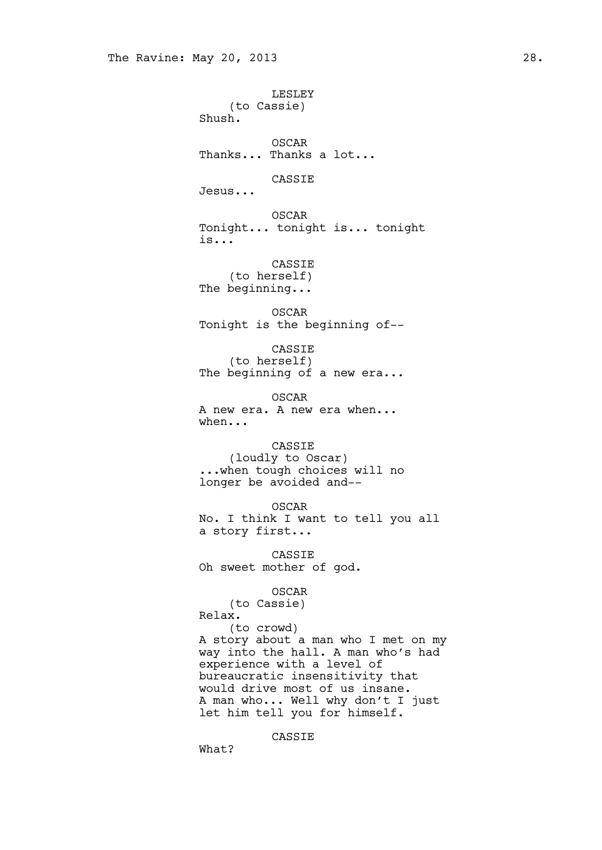LESLEY (to Cassie) Shush. OSCAR Thanks... Thanks a lot... CASSIE Jesus... OSCAR Tonight... tonight is... tonight is... CASSIE (to herself) The beginning... OSCAR Tonight is the beginning of-- CASSIE (to herself) The beginning of a new era... OSCAR A new era. A new era when... when... CASSIE (loudly to Oscar) ... when tough choices will no longer be avoided and-- OSCAR No. I think I want to tell you all a story first... CASSIE Oh sweet mother of god. OSCAR (to Cassie) Relax. (to crowd) A story about a man who I met on my way into the hall. A man who's had experience with a level of bureaucratic insensitivity that would drive most of us insane. A man who... Well why don't I just let him tell you for himself.

CASSIE

What?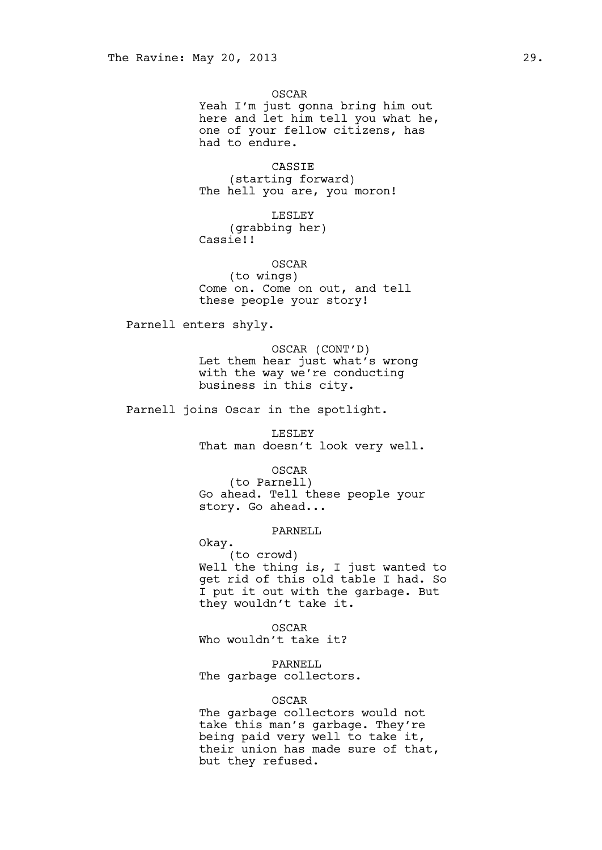OSCAR Yeah I'm just gonna bring him out here and let him tell you what he, one of your fellow citizens, has had to endure.

CASSIE (starting forward) The hell you are, you moron!

LESLEY (grabbing her) Cassie!!

OSCAR (to wings) Come on. Come on out, and tell these people your story!

Parnell enters shyly.

OSCAR (CONT'D) Let them hear just what's wrong with the way we're conducting business in this city.

Parnell joins Oscar in the spotlight.

LESLEY That man doesn't look very well.

OSCAR (to Parnell) Go ahead. Tell these people your story. Go ahead...

# PARNELL

Okay.

(to crowd) Well the thing is, I just wanted to get rid of this old table I had. So I put it out with the garbage. But they wouldn't take it.

OSCAR Who wouldn't take it?

PARNELL The garbage collectors.

## OSCAR

The garbage collectors would not take this man's garbage. They're being paid very well to take it, their union has made sure of that, but they refused.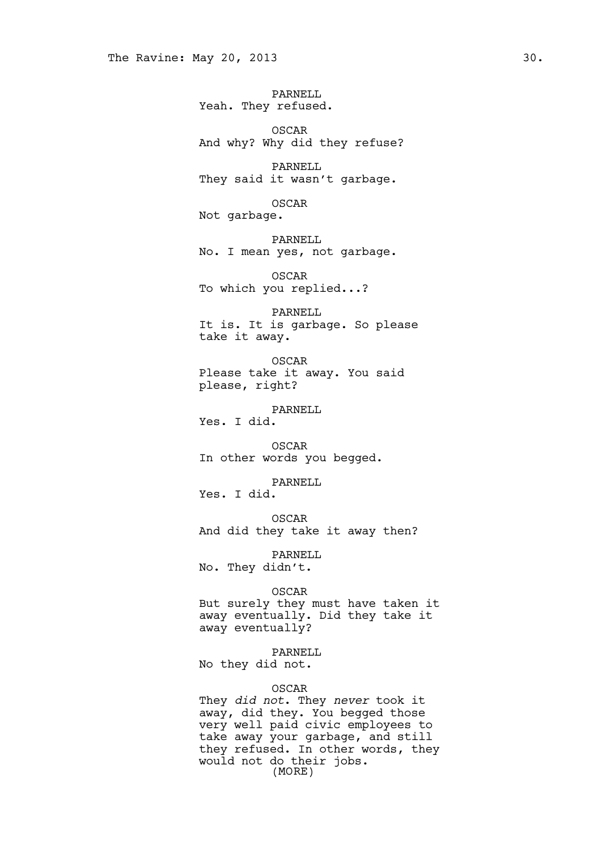PARNELL Yeah. They refused.

OSCAR And why? Why did they refuse?

PARNELL They said it wasn't garbage.

OSCAR Not garbage.

PARNELL No. I mean yes, not garbage.

OSCAR To which you replied...?

PARNELL It is. It is garbage. So please take it away.

OSCAR Please take it away. You said please, right?

PARNELL Yes. I did.

OSCAR In other words you begged.

PARNELL

Yes. I did.

OSCAR And did they take it away then?

PARNELL No. They didn't.

OSCAR

But surely they must have taken it away eventually. Did they take it away eventually?

PARNELL

No they did not.

# OSCAR

They *did not*. They *never* took it away, did they. You begged those very well paid civic employees to take away your garbage, and still they refused. In other words, they would not do their jobs. (MORE)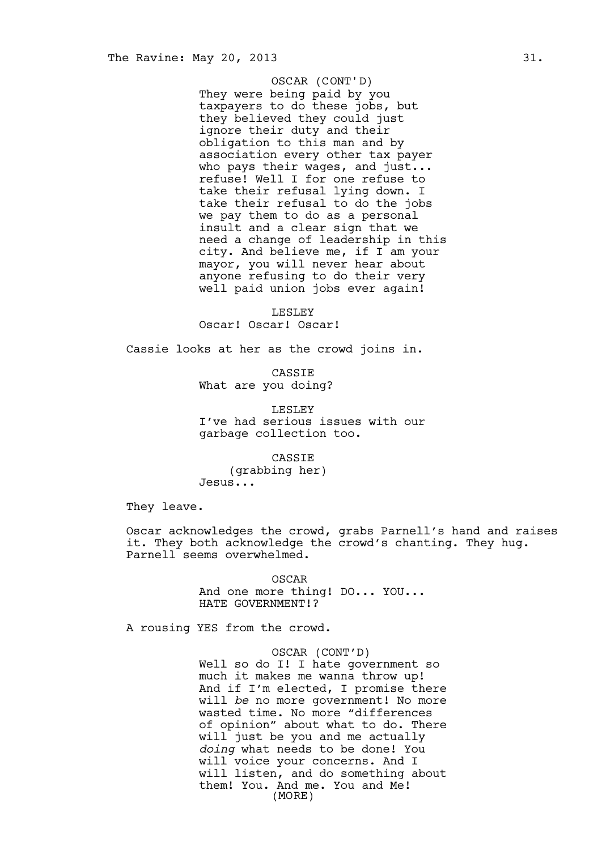# OSCAR (CONT'D)

They were being paid by you taxpayers to do these jobs, but they believed they could just ignore their duty and their obligation to this man and by association every other tax payer who pays their wages, and just... refuse! Well I for one refuse to take their refusal lying down. I take their refusal to do the jobs we pay them to do as a personal insult and a clear sign that we need a change of leadership in this city. And believe me, if I am your mayor, you will never hear about anyone refusing to do their very well paid union jobs ever again!

LESLEY Oscar! Oscar! Oscar!

Cassie looks at her as the crowd joins in.

CASSIE What are you doing?

LESLEY I've had serious issues with our garbage collection too.

CASSIE (grabbing her) Jesus...

They leave.

Oscar acknowledges the crowd, grabs Parnell's hand and raises it. They both acknowledge the crowd's chanting. They hug. Parnell seems overwhelmed.

> OSCAR And one more thing! DO... YOU... HATE GOVERNMENT!?

A rousing YES from the crowd.

OSCAR (CONT'D) Well so do I! I hate government so much it makes me wanna throw up! And if I'm elected, I promise there will *be* no more government! No more wasted time. No more "differences of opinion" about what to do. There will just be you and me actually *doing* what needs to be done! You will voice your concerns. And I will listen, and do something about them! You. And me. You and Me! (MORE)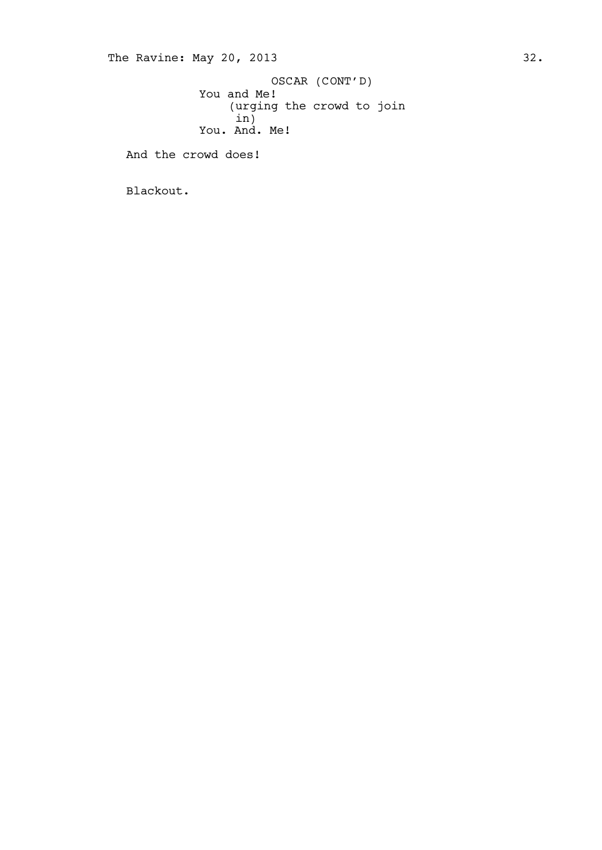You and Me! (urging the crowd to join  $\sin$ ) You. And. Me! OSCAR (CONT'D)

And the crowd does!

Blackout.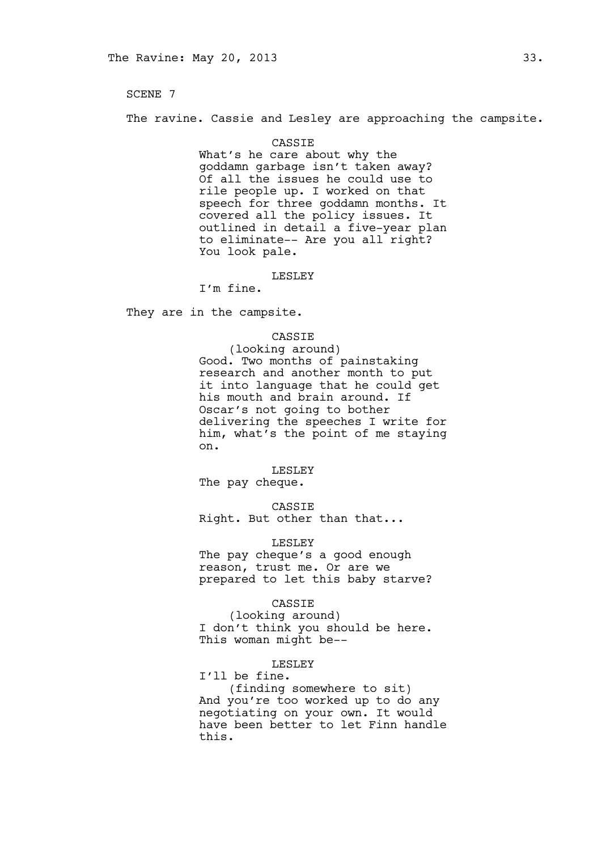SCENE 7

The ravine. Cassie and Lesley are approaching the campsite.

#### CASSIE

What's he care about why the goddamn garbage isn't taken away? Of all the issues he could use to rile people up. I worked on that speech for three goddamn months. It covered all the policy issues. It outlined in detail a five-year plan to eliminate-- Are you all right? You look pale.

#### LESLEY

I'm fine.

They are in the campsite.

## CASSIE

(looking around) Good. Two months of painstaking research and another month to put it into language that he could get his mouth and brain around. If Oscar's not going to bother delivering the speeches I write for him, what's the point of me staying on.

#### LESLEY

The pay cheque.

CASSIE

Right. But other than that...

### LESLEY

The pay cheque's a good enough reason, trust me. Or are we prepared to let this baby starve?

## CASSIE

(looking around) I don't think you should be here. This woman might be--

# LESLEY

I'll be fine. (finding somewhere to sit) And you're too worked up to do any negotiating on your own. It would have been better to let Finn handle this.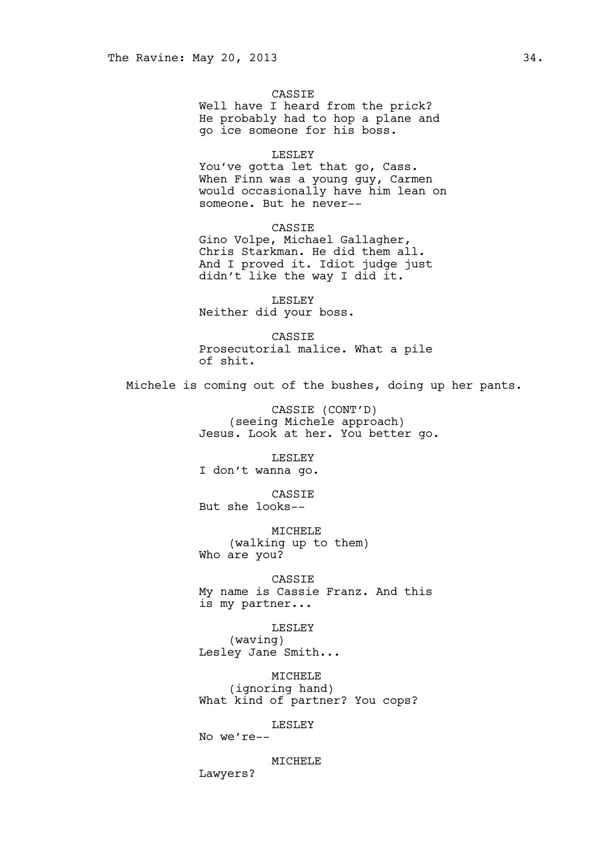### CASSIE

Well have I heard from the prick? He probably had to hop a plane and go ice someone for his boss.

#### LESLEY

You've gotta let that go, Cass. When Finn was a young guy, Carmen would occasionally have him lean on someone. But he never--

# CASSIE

Gino Volpe, Michael Gallagher, Chris Starkman. He did them all. And I proved it. Idiot judge just didn't like the way I did it.

LESLEY Neither did your boss.

CASSIE Prosecutorial malice. What a pile of shit.

Michele is coming out of the bushes, doing up her pants.

CASSIE (CONT'D) (seeing Michele approach) Jesus. Look at her. You better go.

LESLEY

I don't wanna go.

CASSIE But she looks--

MICHELE (walking up to them) Who are you?

CASSIE My name is Cassie Franz. And this is my partner...

LESLEY

(waving) Lesley Jane Smith...

> MICHELE (ignoring hand)

What kind of partner? You cops?

LESLEY

No we're--

MICHELE Lawyers?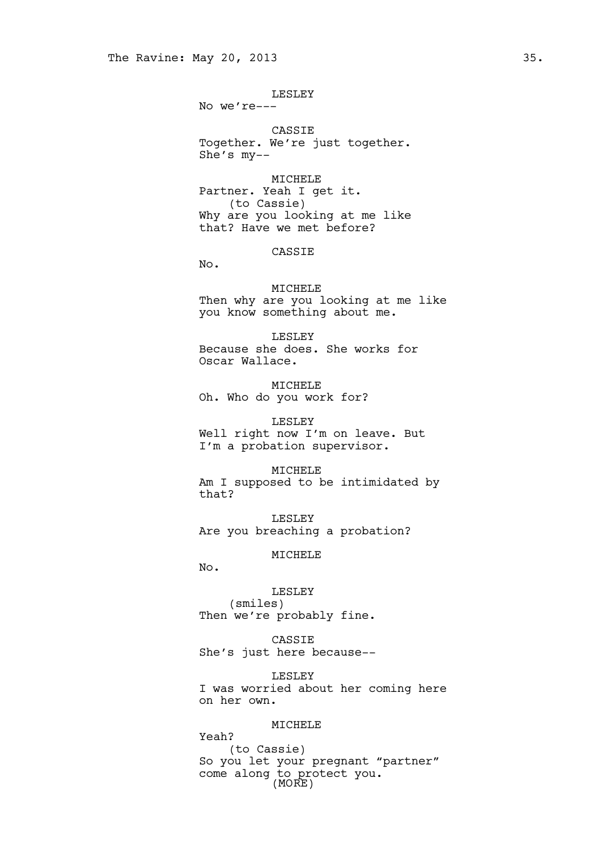LESLEY

No we're---

CASSIE Together. We're just together. She's my--

MICHELE Partner. Yeah I get it. (to Cassie) Why are you looking at me like that? Have we met before?

# CASSIE

No.

MICHELE Then why are you looking at me like you know something about me.

LESLEY Because she does. She works for Oscar Wallace.

MICHELE Oh. Who do you work for?

LESLEY Well right now I'm on leave. But I'm a probation supervisor.

### MICHELE

Am I supposed to be intimidated by that?

LESLEY Are you breaching a probation?

### MICHELE

No.

LESLEY (smiles) Then we're probably fine.

CASSIE She's just here because--

LESLEY I was worried about her coming here on her own.

## MICHELE

Yeah? (to Cassie) So you let your pregnant "partner" come along to protect you. (MORE)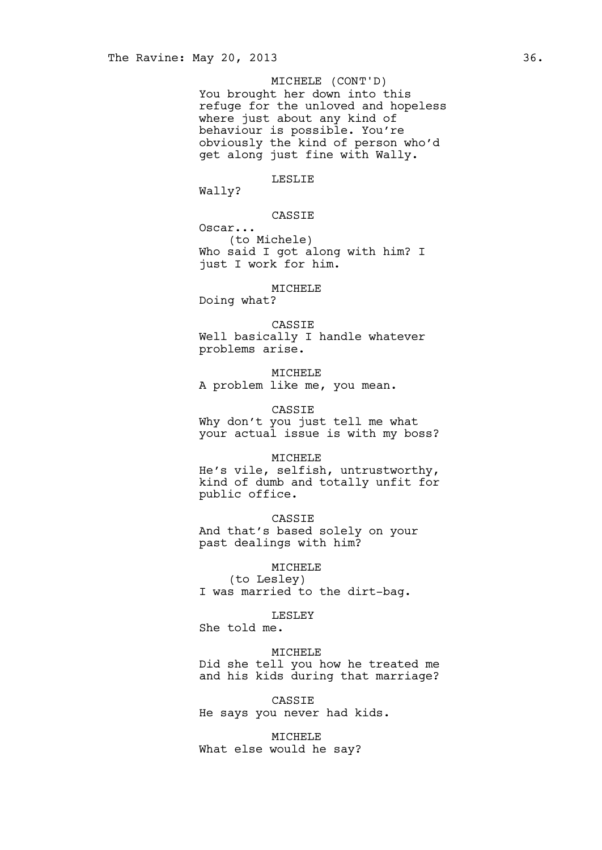### MICHELE (CONT'D)

You brought her down into this refuge for the unloved and hopeless where just about any kind of behaviour is possible. You're obviously the kind of person who'd get along just fine with Wally.

### LESLIE

Wally?

### CASSIE

Oscar... (to Michele) Who said I got along with him? I just I work for him.

#### MICHELE

Doing what?

### CASSIE Well basically I handle whatever problems arise.

MICHELE A problem like me, you mean.

### CASSIE

Why don't you just tell me what your actual issue is with my boss?

#### MICHELE

He's vile, selfish, untrustworthy, kind of dumb and totally unfit for public office.

CASSIE And that's based solely on your past dealings with him?

MICHELE (to Lesley) I was married to the dirt-bag.

#### LESLEY

She told me.

#### MICHELE

Did she tell you how he treated me and his kids during that marriage?

CASSIE He says you never had kids.

MICHELE What else would he say?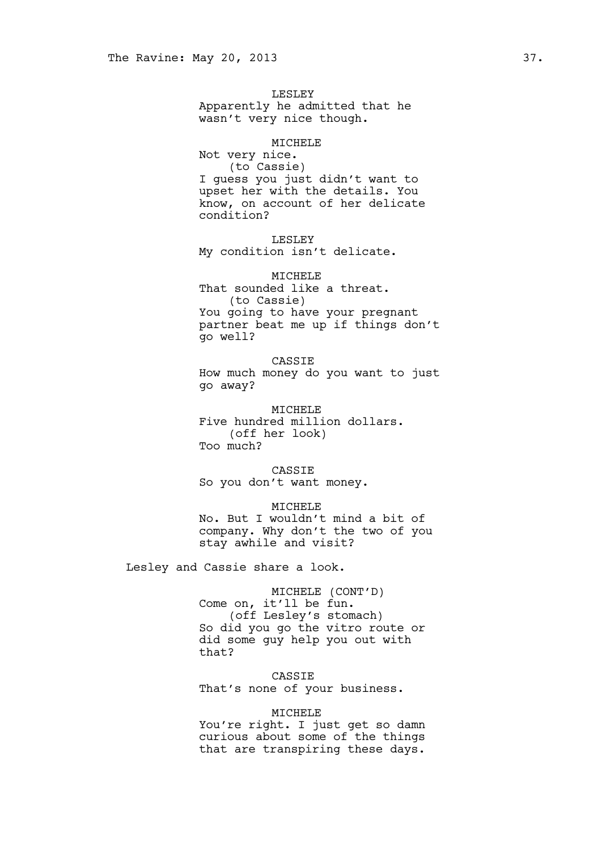LESLEY Apparently he admitted that he wasn't very nice though. MICHELE Not very nice. (to Cassie) I guess you just didn't want to upset her with the details. You know, on account of her delicate condition? LESLEY My condition isn't delicate. MICHELE That sounded like a threat. (to Cassie) You going to have your pregnant partner beat me up if things don't go well? CASSIE How much money do you want to just go away? MICHELE Five hundred million dollars. (off her look) Too much?

CASSIE So you don't want money.

MICHELE No. But I wouldn't mind a bit of company. Why don't the two of you stay awhile and visit?

Lesley and Cassie share a look.

MICHELE (CONT'D) Come on, it'll be fun. (off Lesley's stomach) So did you go the vitro route or did some guy help you out with that?

CASSIE That's none of your business.

### MICHELE

You're right. I just get so damn curious about some of the things that are transpiring these days.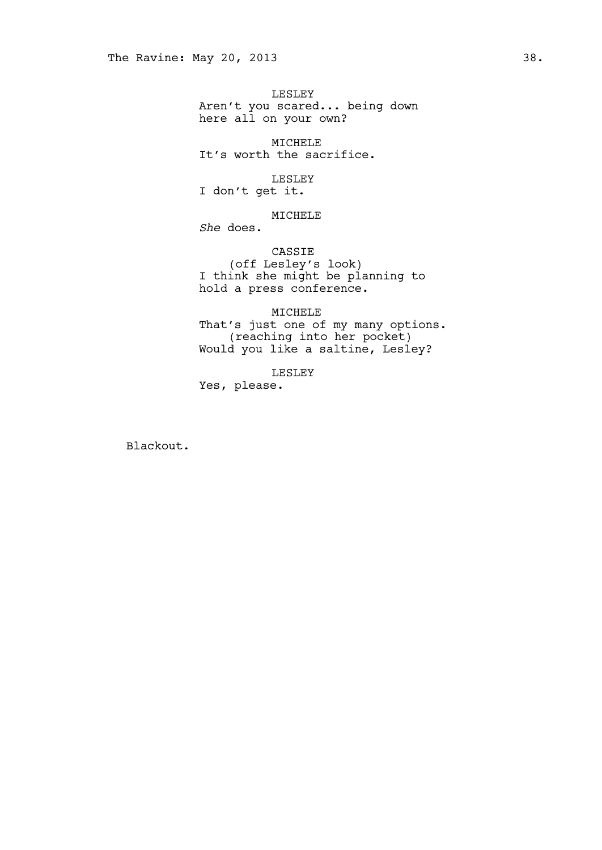LESLEY Aren't you scared... being down here all on your own?

MICHELE It's worth the sacrifice.

LESLEY I don't get it.

### MICHELE

*She* does.

CASSIE (off Lesley's look) I think she might be planning to hold a press conference.

MICHELE That's just one of my many options. (reaching into her pocket) Would you like a saltine, Lesley?

LESLEY

Yes, please.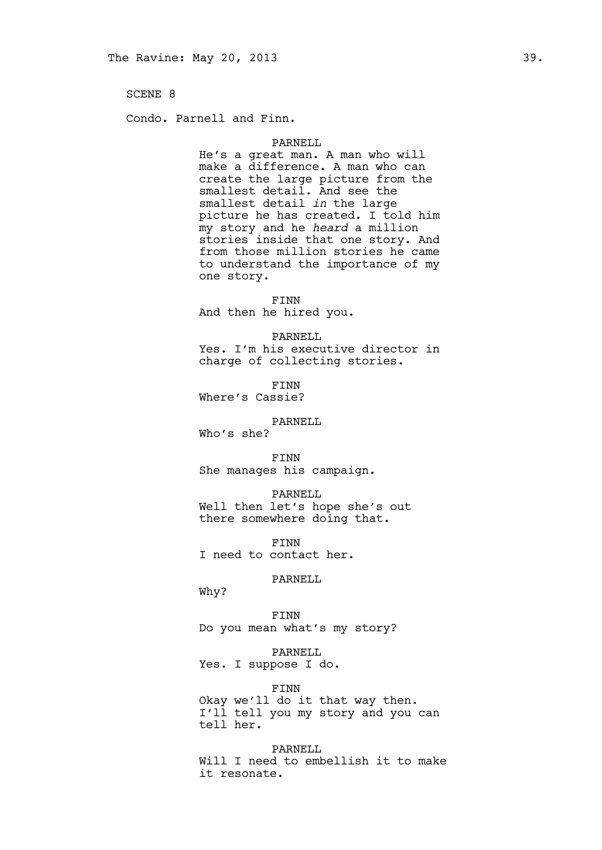Condo. Parnell and Finn.

#### PARNELL

He's a great man. A man who will make a difference. A man who can create the large picture from the smallest detail. And see the smallest detail *in* the large picture he has created. I told him my story and he *heard* a million stories inside that one story. And from those million stories he came to understand the importance of my one story.

FINN

And then he hired you.

#### PARNELL

Yes. I'm his executive director in charge of collecting stories.

FINN Where's Cassie?

#### PARNELL

Who's she?

FINN She manages his campaign.

### PARNELL

Well then let's hope she's out there somewhere doing that.

FINN I need to contact her.

#### PARNELL

Why?

FINN Do you mean what's my story?

PARNELL Yes. I suppose I do.

#### FINN

Okay we'll do it that way then. I'll tell you my story and you can tell her.

PARNELL Will I need to embellish it to make it resonate.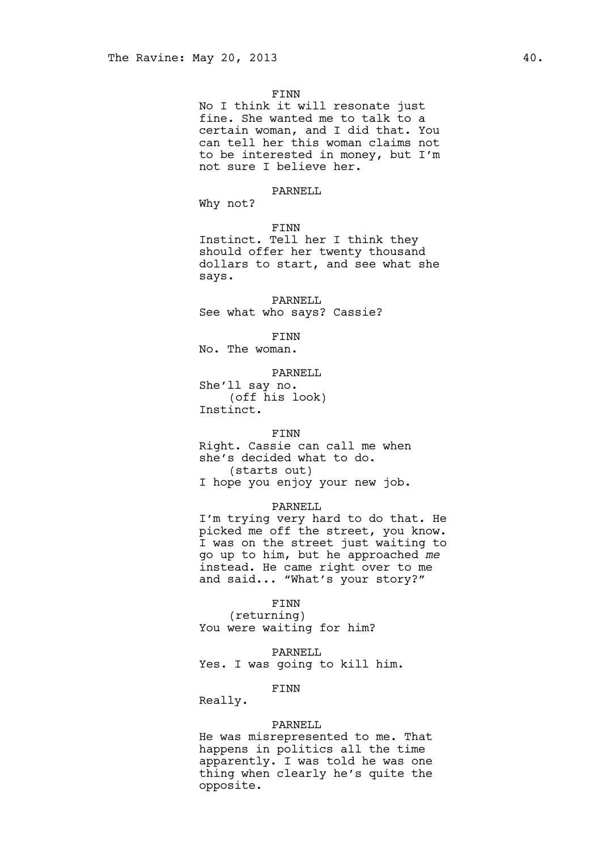#### FINN

No I think it will resonate just fine. She wanted me to talk to a certain woman, and I did that. You can tell her this woman claims not to be interested in money, but I'm not sure I believe her.

#### PARNELL

Why not?

```
FINN
```
Instinct. Tell her I think they should offer her twenty thousand dollars to start, and see what she says.

PARNELL See what who says? Cassie?

FINN No. The woman.

PARNELL

She'll say no. (off his look) Instinct.

### FINN

Right. Cassie can call me when she's decided what to do. (starts out) I hope you enjoy your new job.

#### PARNELL

I'm trying very hard to do that. He picked me off the street, you know. I was on the street just waiting to go up to him, but he approached *me* instead. He came right over to me and said... "What's your story?"

#### FINN

(returning) You were waiting for him?

PARNELL

Yes. I was going to kill him.

#### FINN

Really.

#### PARNELL

He was misrepresented to me. That happens in politics all the time apparently. I was told he was one thing when clearly he's quite the opposite.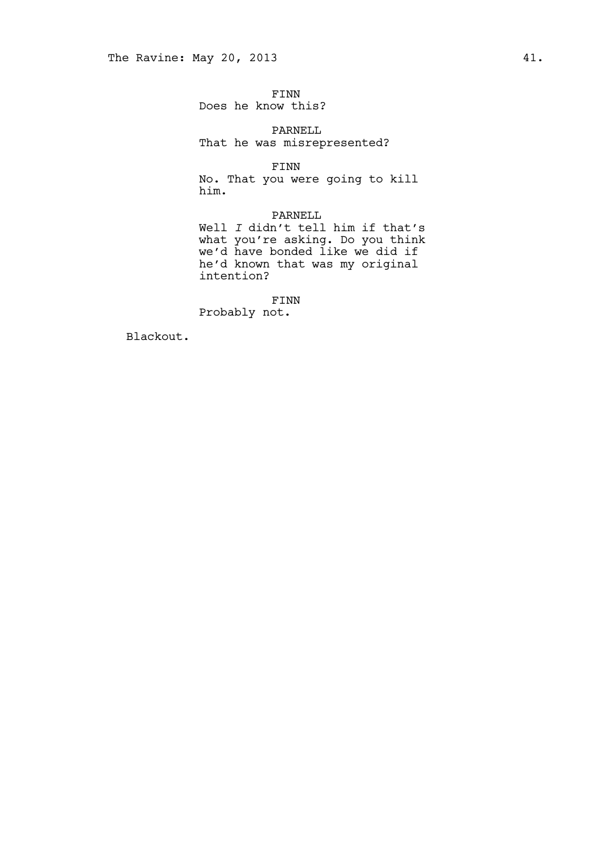FINN Does he know this?

PARNELL That he was misrepresented?

FINN

No. That you were going to kill him.

### PARNELL

Well *I* didn't tell him if that's what you're asking. Do you think we'd have bonded like we did if he'd known that was my original intention?

FINN Probably not.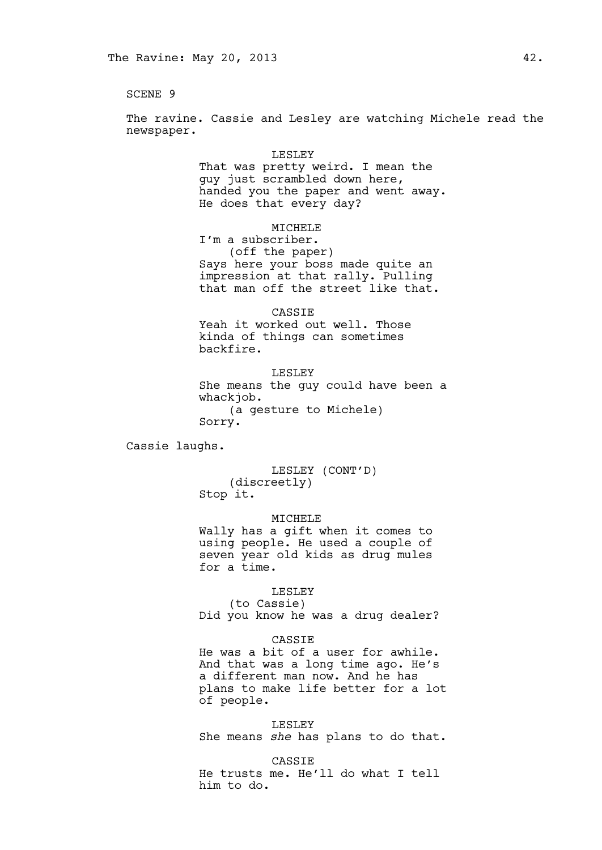The ravine. Cassie and Lesley are watching Michele read the newspaper.

> LESLEY That was pretty weird. I mean the guy just scrambled down here, handed you the paper and went away. He does that every day?

> > MICHELE

I'm a subscriber. (off the paper) Says here your boss made quite an impression at that rally. Pulling that man off the street like that.

CASSIE

Yeah it worked out well. Those kinda of things can sometimes backfire.

LESLEY She means the guy could have been a whackjob. (a gesture to Michele) Sorry.

Cassie laughs.

LESLEY (CONT'D) (discreetly) Stop it.

#### MICHELE

Wally has a gift when it comes to using people. He used a couple of seven year old kids as drug mules for a time.

#### LESLEY

(to Cassie) Did you know he was a drug dealer?

#### CASSIE

He was a bit of a user for awhile. And that was a long time ago. He's a different man now. And he has plans to make life better for a lot of people.

LESLEY She means *she* has plans to do that.

CASSIE He trusts me. He'll do what I tell him to do.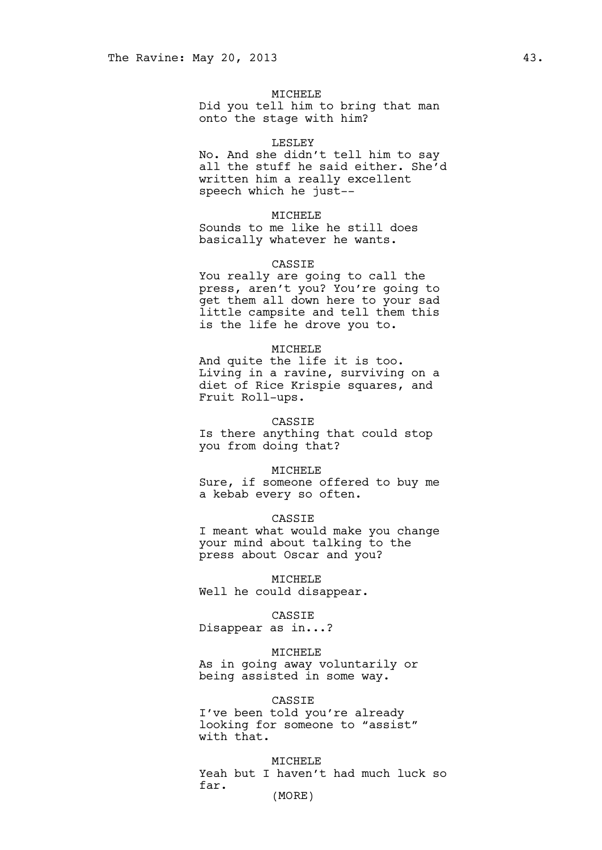#### MICHELE

Did you tell him to bring that man onto the stage with him?

#### LESLEY

No. And she didn't tell him to say all the stuff he said either. She'd written him a really excellent speech which he just--

### MICHELE

Sounds to me like he still does basically whatever he wants.

#### CASSIE

You really are going to call the press, aren't you? You're going to get them all down here to your sad little campsite and tell them this is the life he drove you to.

#### MICHELE

And quite the life it is too. Living in a ravine, surviving on a diet of Rice Krispie squares, and Fruit Roll-ups.

#### CASSIE

Is there anything that could stop you from doing that?

#### MICHELE

Sure, if someone offered to buy me a kebab every so often.

### CASSIE

I meant what would make you change your mind about talking to the press about Oscar and you?

MICHELE Well he could disappear.

#### CASSIE

Disappear as in...?

### MICHELE

As in going away voluntarily or being assisted in some way.

#### CASSIE

I've been told you're already looking for someone to "assist" with that.

MICHELE Yeah but I haven't had much luck so far. (MORE)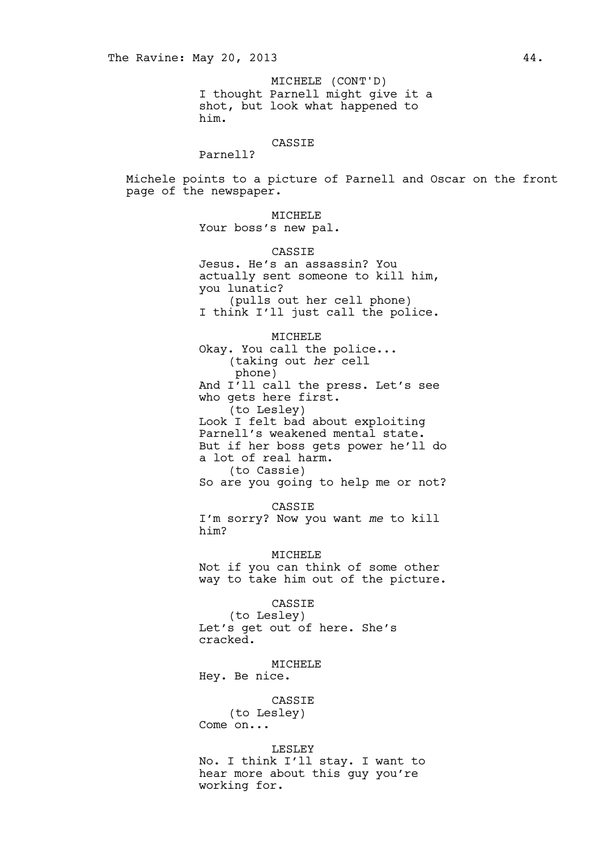I thought Parnell might give it a shot, but look what happened to him. MICHELE (CONT'D)

### CASSIE

Parnell?

Michele points to a picture of Parnell and Oscar on the front page of the newspaper.

MICHELE

Your boss's new pal.

CASSIE

Jesus. He's an assassin? You actually sent someone to kill him, you lunatic? (pulls out her cell phone) I think I'll just call the police.

MICHELE

Okay. You call the police... (taking out *her* cell phone) And I'll call the press. Let's see who gets here first. (to Lesley) Look I felt bad about exploiting Parnell's weakened mental state. But if her boss gets power he'll do a lot of real harm. (to Cassie) So are you going to help me or not?

CASSIE I'm sorry? Now you want *me* to kill him?

MICHELE Not if you can think of some other way to take him out of the picture.

CASSIE (to Lesley) Let's get out of here. She's cracked.

MICHELE

Hey. Be nice.

#### CASSIE

(to Lesley) Come on...

LESLEY

No. I think I'll stay. I want to hear more about this guy you're working for.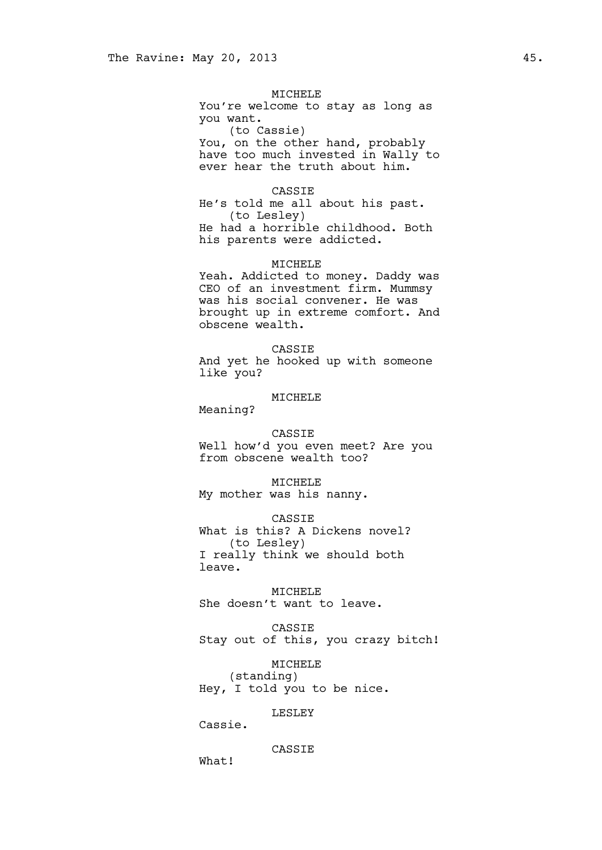### MICHELE

You're welcome to stay as long as you want. (to Cassie) You, on the other hand, probably have too much invested in Wally to ever hear the truth about him.

### CASSIE

He's told me all about his past. (to Lesley) He had a horrible childhood. Both his parents were addicted.

### MICHELE

Yeah. Addicted to money. Daddy was CEO of an investment firm. Mummsy was his social convener. He was brought up in extreme comfort. And obscene wealth.

#### CASSIE

And yet he hooked up with someone like you?

## MICHELE

Meaning?

#### CASSIE

Well how'd you even meet? Are you from obscene wealth too?

MICHELE My mother was his nanny.

CASSIE What is this? A Dickens novel? (to Lesley) I really think we should both leave.

MICHELE She doesn't want to leave.

CASSIE Stay out of this, you crazy bitch!

MICHELE (standing) Hey, I told you to be nice.

### LESLEY

Cassie.

#### CASSIE

What!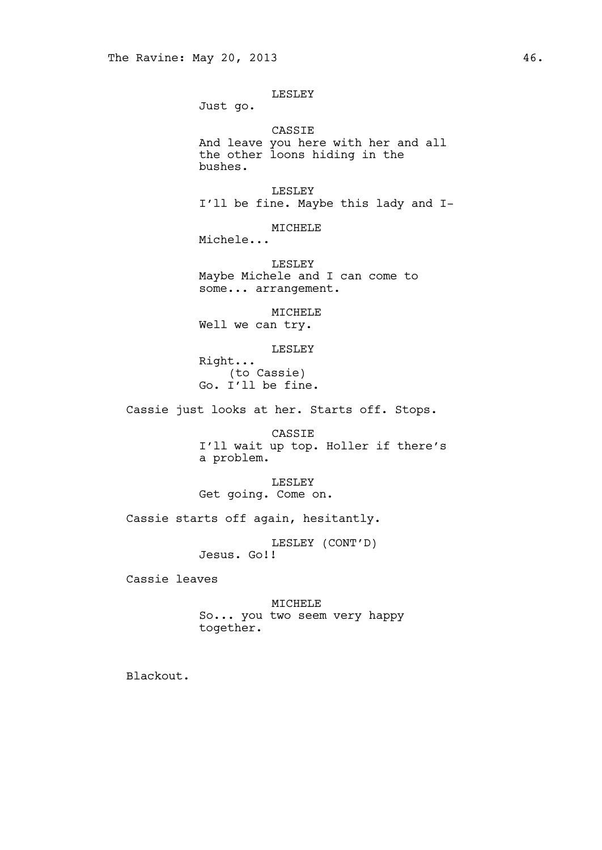### LESLEY

Just go.

CASSIE And leave you here with her and all the other loons hiding in the bushes.

LESLEY I'll be fine. Maybe this lady and I-

MICHELE

Michele...

LESLEY Maybe Michele and I can come to some... arrangement.

MICHELE

Well we can try.

LESLEY

Right... (to Cassie) Go. I'll be fine.

Cassie just looks at her. Starts off. Stops.

CASSIE I'll wait up top. Holler if there's a problem.

LESLEY Get going. Come on.

Cassie starts off again, hesitantly.

LESLEY (CONT'D) Jesus. Go!!

Cassie leaves

MICHELE So... you two seem very happy together.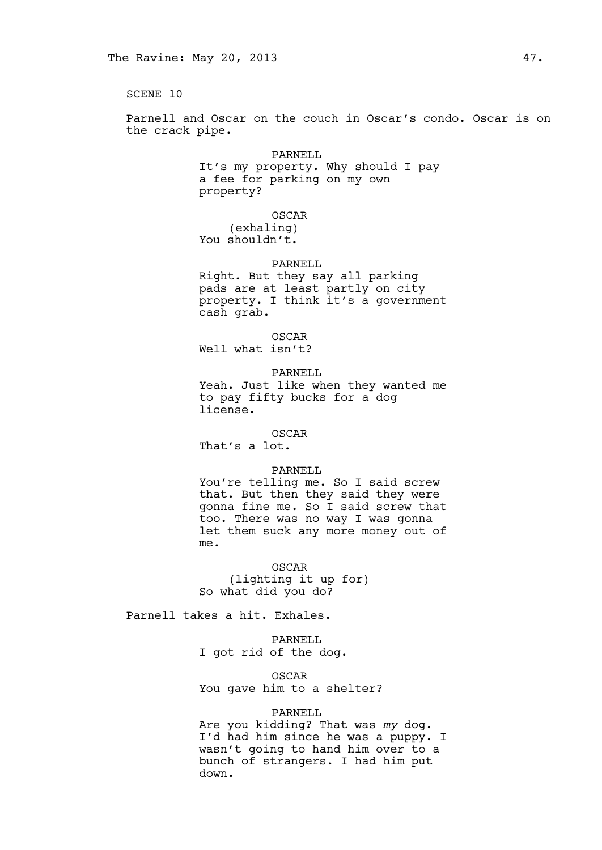Parnell and Oscar on the couch in Oscar's condo. Oscar is on the crack pipe.

#### PARNELL

It's my property. Why should I pay a fee for parking on my own property?

### OSCAR

(exhaling) You shouldn't.

### PARNELL

Right. But they say all parking pads are at least partly on city property. I think it's a government cash grab.

OSCAR Well what isn't?

#### PARNELL

Yeah. Just like when they wanted me to pay fifty bucks for a dog license.

### OSCAR

That's a lot.

### PARNELL

You're telling me. So I said screw that. But then they said they were gonna fine me. So I said screw that too. There was no way I was gonna let them suck any more money out of me.

OSCAR (lighting it up for) So what did you do?

Parnell takes a hit. Exhales.

PARNELL I got rid of the dog.

OSCAR You gave him to a shelter?

### PARNELL

Are you kidding? That was *my* dog. I'd had him since he was a puppy. I wasn't going to hand him over to a bunch of strangers. I had him put down.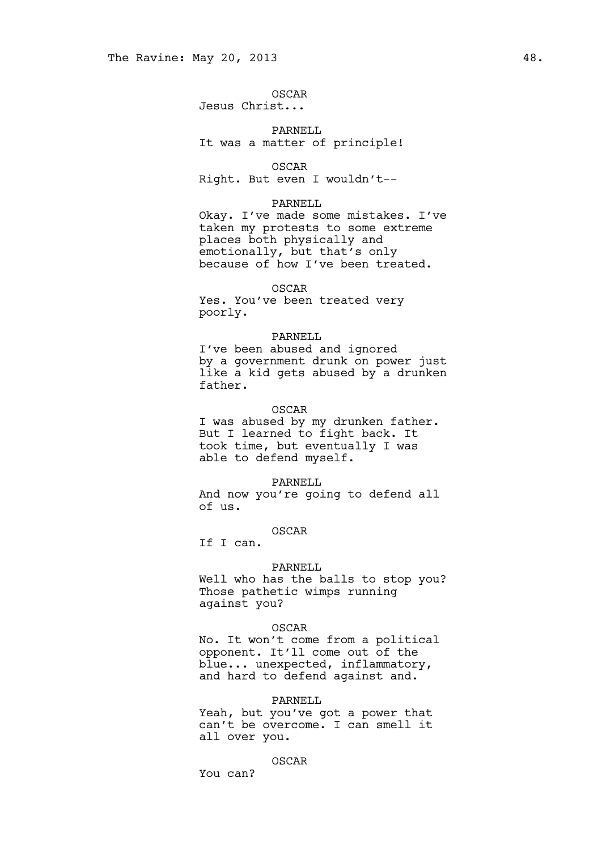OSCAR Jesus Christ...

### PARNELL It was a matter of principle!

OSCAR

Right. But even I wouldn't--

### PARNELL

Okay. I've made some mistakes. I've taken my protests to some extreme places both physically and emotionally, but that's only because of how I've been treated.

### OSCAR

Yes. You've been treated very poorly.

### PARNELL

I've been abused and ignored by a government drunk on power just like a kid gets abused by a drunken father.

### OSCAR

I was abused by my drunken father. But I learned to fight back. It took time, but eventually I was able to defend myself.

#### PARNELL

And now you're going to defend all of us.

OSCAR If I can.

### PARNELL

Well who has the balls to stop you? Those pathetic wimps running against you?

#### OSCAR

No. It won't come from a political opponent. It'll come out of the blue... unexpected, inflammatory, and hard to defend against and.

#### PARNELL

Yeah, but you've got a power that can't be overcome. I can smell it all over you.

#### OSCAR

You can?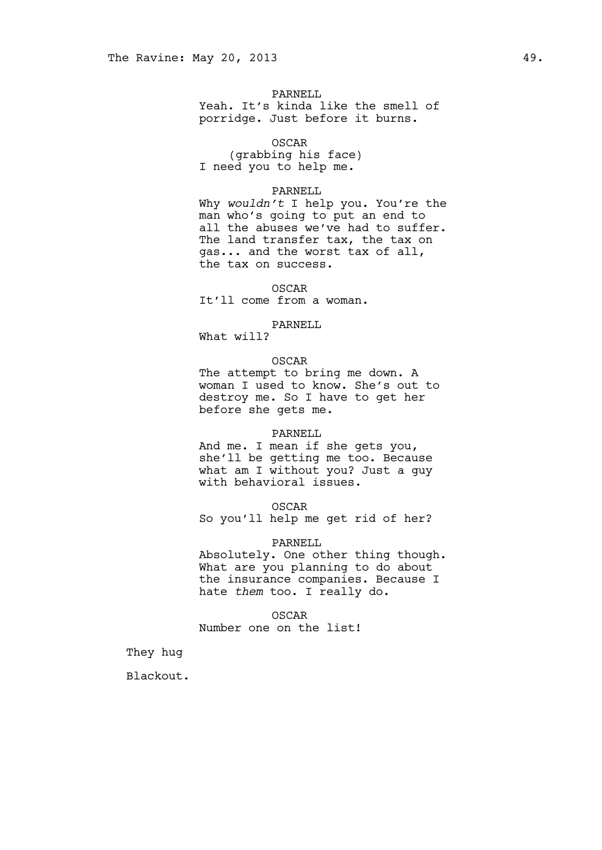PARNELL Yeah. It's kinda like the smell of porridge. Just before it burns.

#### OSCAR

(grabbing his face) I need you to help me.

#### PARNELL

Why *wouldn't* I help you. You're the man who's going to put an end to all the abuses we've had to suffer. The land transfer tax, the tax on gas... and the worst tax of all, the tax on success.

### OSCAR

It'll come from a woman.

### PARNELL

What will?

### OSCAR

The attempt to bring me down. A woman I used to know. She's out to destroy me. So I have to get her before she gets me.

#### PARNELL

And me. I mean if she gets you, she'll be getting me too. Because what am I without you? Just a guy with behavioral issues.

#### OSCAR

So you'll help me get rid of her?

#### PARNELL

Absolutely. One other thing though. What are you planning to do about the insurance companies. Because I hate *them* too. I really do.

OSCAR Number one on the list!

They hug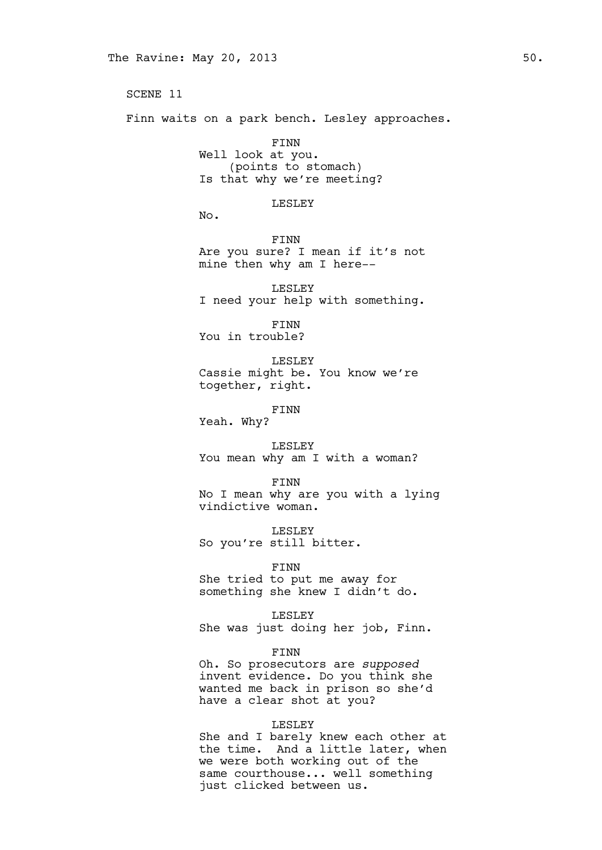SCENE 11 Finn waits on a park bench. Lesley approaches. FINN Well look at you. (points to stomach) Is that why we're meeting? LESLEY No. FINN Are you sure? I mean if it's not mine then why am I here-- LESLEY I need your help with something. FINN You in trouble? LESLEY Cassie might be. You know we're together, right. FINN Yeah. Why? LESLEY You mean why am I with a woman? FINN No I mean why are you with a lying vindictive woman. LESLEY So you're still bitter. FINN She tried to put me away for something she knew I didn't do. LESLEY She was just doing her job, Finn. FINN Oh. So prosecutors are *supposed* invent evidence. Do you think she wanted me back in prison so she'd have a clear shot at you?

### LESLEY

She and I barely knew each other at the time. And a little later, when we were both working out of the same courthouse... well something just clicked between us.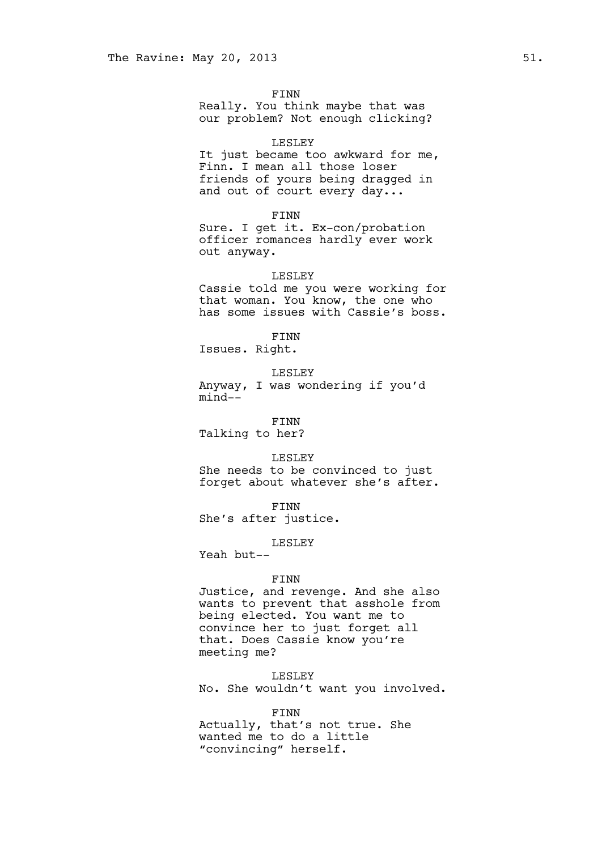FINN Really. You think maybe that was our problem? Not enough clicking?

#### LESLEY

It just became too awkward for me, Finn. I mean all those loser friends of yours being dragged in and out of court every day...

#### FINN

Sure. I get it. Ex-con/probation officer romances hardly ever work out anyway.

#### LESLEY

Cassie told me you were working for that woman. You know, the one who has some issues with Cassie's boss.

### FINN

Issues. Right.

LESLEY

Anyway, I was wondering if you'd mind--

FINN

Talking to her?

LESLEY

She needs to be convinced to just forget about whatever she's after.

FINN

She's after justice.

## LESLEY

Yeah but--

#### FINN

Justice, and revenge. And she also wants to prevent that asshole from being elected. You want me to convince her to just forget all that. Does Cassie know you're meeting me?

LESLEY No. She wouldn't want you involved.

#### FINN

Actually, that's not true. She wanted me to do a little "convincing" herself.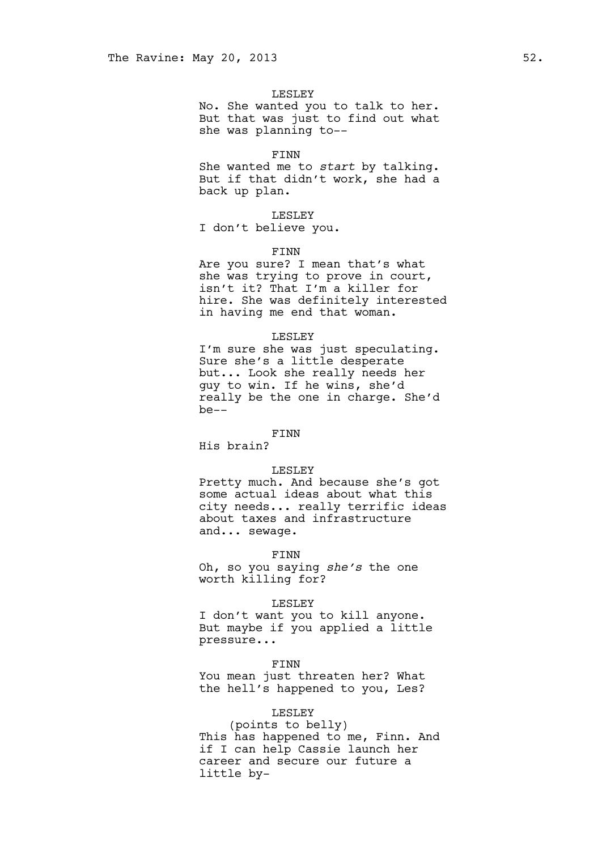#### LESLEY

No. She wanted you to talk to her. But that was just to find out what she was planning to--

#### FINN

She wanted me to *start* by talking. But if that didn't work, she had a back up plan.

#### LESLEY

I don't believe you.

#### FINN

Are you sure? I mean that's what she was trying to prove in court, isn't it? That I'm a killer for hire. She was definitely interested in having me end that woman.

#### LESLEY

I'm sure she was just speculating. Sure she's a little desperate but... Look she really needs her guy to win. If he wins, she'd really be the one in charge. She'd be--

### FINN

His brain?

#### LESLEY

Pretty much. And because she's got some actual ideas about what this city needs... really terrific ideas about taxes and infrastructure and... sewage.

FINN

Oh, so you saying *she's* the one worth killing for?

#### LESLEY

I don't want you to kill anyone. But maybe if you applied a little pressure...

FINN You mean just threaten her? What the hell's happened to you, Les?

### LESLEY

(points to belly) This has happened to me, Finn. And if I can help Cassie launch her career and secure our future a little by-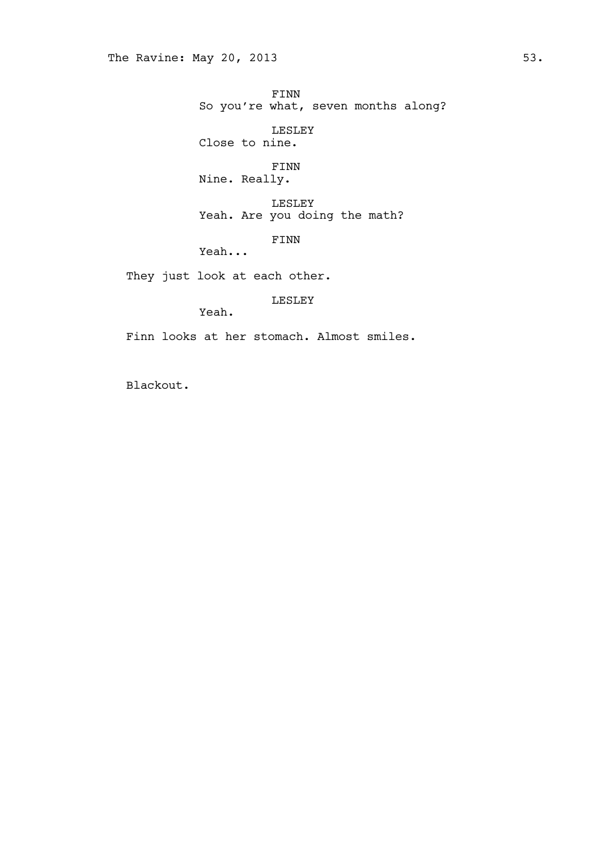FINN So you're what, seven months along? LESLEY

Close to nine.

FINN Nine. Really.

LESLEY Yeah. Are you doing the math?

FINN

Yeah...

They just look at each other.

LESLEY

Yeah.

Finn looks at her stomach. Almost smiles.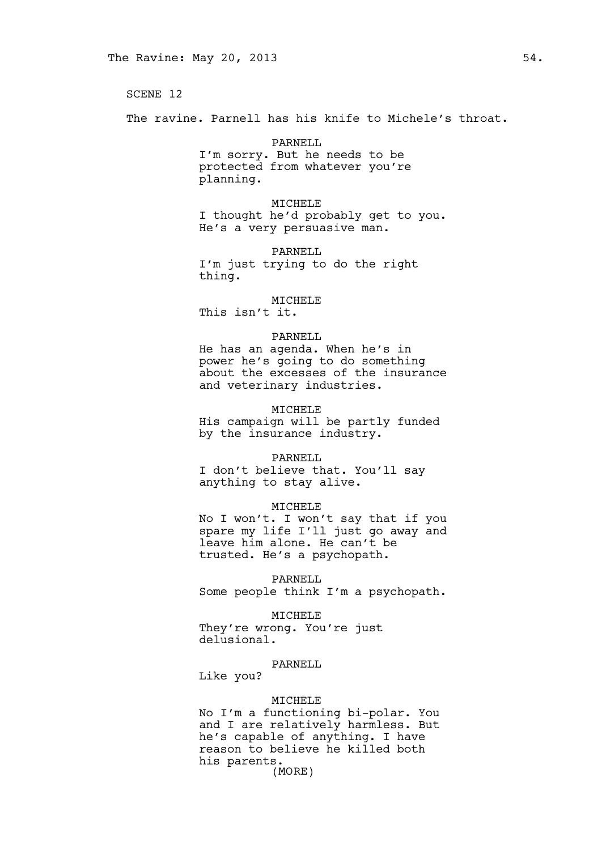The ravine. Parnell has his knife to Michele's throat.

PARNELL<sub>L</sub> I'm sorry. But he needs to be protected from whatever you're planning.

MICHELE I thought he'd probably get to you. He's a very persuasive man.

PARNELL I'm just trying to do the right thing.

MICHELE This isn't it.

### PARNELL

He has an agenda. When he's in power he's going to do something about the excesses of the insurance and veterinary industries.

### MICHELE

His campaign will be partly funded by the insurance industry.

#### PARNELL

I don't believe that. You'll say anything to stay alive.

#### MICHELE

No I won't. I won't say that if you spare my life I'll just go away and leave him alone. He can't be trusted. He's a psychopath.

PARNELL

Some people think I'm a psychopath.

#### MICHELE

They're wrong. You're just delusional.

### PARNELL

Like you?

#### MICHELE

No I'm a functioning bi-polar. You and I are relatively harmless. But he's capable of anything. I have reason to believe he killed both his parents. (MORE)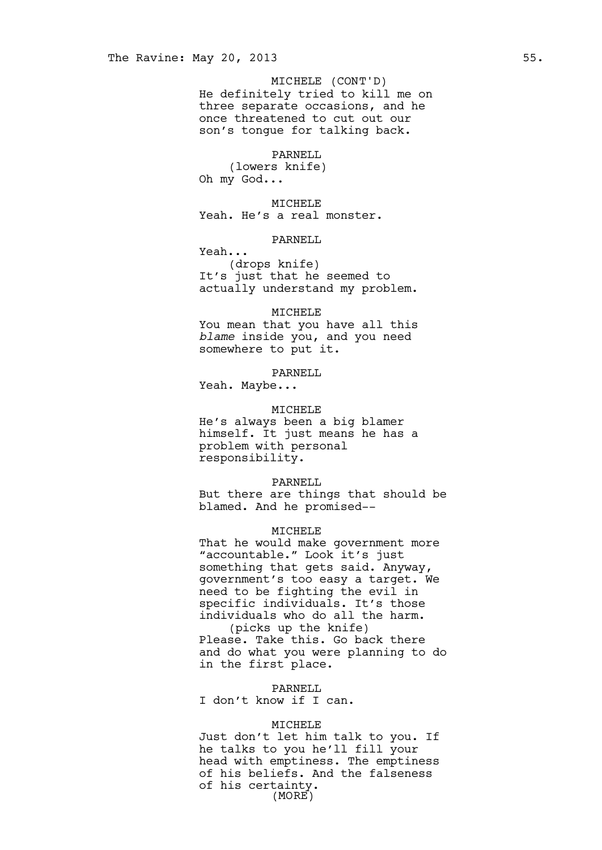He definitely tried to kill me on three separate occasions, and he once threatened to cut out our son's tongue for talking back. MICHELE (CONT'D)

#### PARNELL

(lowers knife) Oh my God...

MICHELE Yeah. He's a real monster.

### PARNELL

Yeah...

(drops knife) It's just that he seemed to actually understand my problem.

#### MICHELE

You mean that you have all this *blame* inside you, and you need somewhere to put it.

#### PARNELL

Yeah. Maybe...

### MICHELE

He's always been a big blamer himself. It just means he has a problem with personal responsibility.

#### PARNELL

But there are things that should be blamed. And he promised--

### **MTCHELE**

That he would make government more "accountable." Look it's just something that gets said. Anyway, government's too easy a target. We need to be fighting the evil in specific individuals. It's those individuals who do all the harm.

(picks up the knife) Please. Take this. Go back there and do what you were planning to do in the first place.

### PARNELL

I don't know if I can.

#### MICHELE

Just don't let him talk to you. If he talks to you he'll fill your head with emptiness. The emptiness of his beliefs. And the falseness of his certainty. (MORE)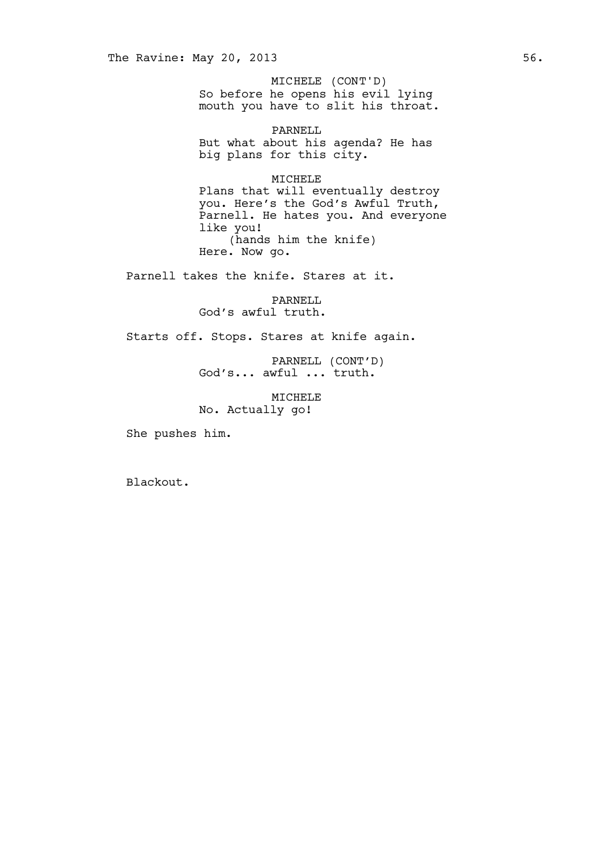So before he opens his evil lying mouth you have to slit his throat. MICHELE (CONT'D)

PARNELL But what about his agenda? He has big plans for this city.

MICHELE

Plans that will eventually destroy you. Here's the God's Awful Truth, Parnell. He hates you. And everyone like you! (hands him the knife) Here. Now go.

Parnell takes the knife. Stares at it.

PARNELL God's awful truth.

Starts off. Stops. Stares at knife again.

PARNELL (CONT'D) God's... awful ... truth.

MICHELE No. Actually go!

She pushes him.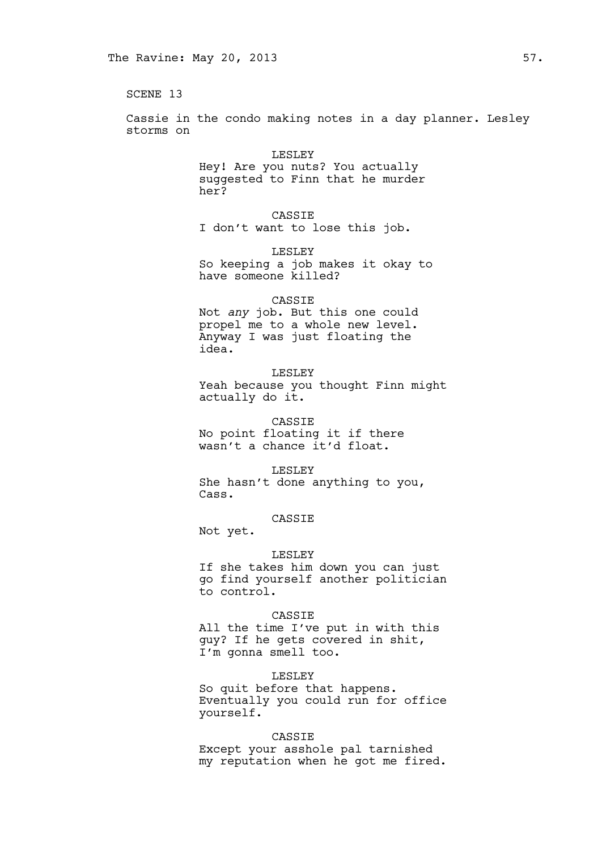Cassie in the condo making notes in a day planner. Lesley storms on

> LESLEY Hey! Are you nuts? You actually suggested to Finn that he murder her?

CASSIE I don't want to lose this job.

LESLEY So keeping a job makes it okay to have someone killed?

### CASSIE

Not *any* job. But this one could propel me to a whole new level. Anyway I was just floating the idea.

LESLEY Yeah because you thought Finn might actually do it.

CASSIE No point floating it if there wasn't a chance it'd float.

#### LESLEY

She hasn't done anything to you, Cass.

#### CASSIE

Not yet.

### LESLEY

If she takes him down you can just go find yourself another politician to control.

### CASSIE

All the time I've put in with this guy? If he gets covered in shit, I'm gonna smell too.

#### LESLEY

So quit before that happens. Eventually you could run for office yourself.

#### CASSIE

Except your asshole pal tarnished my reputation when he got me fired.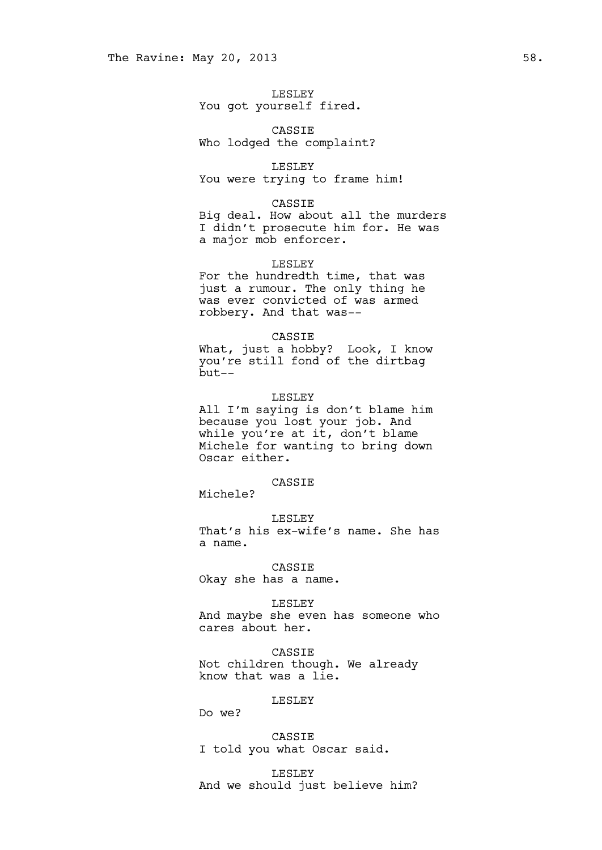### LESLEY You got yourself fired.

CASSIE Who lodged the complaint?

### LESLEY You were trying to frame him!

#### CASSIE

Big deal. How about all the murders I didn't prosecute him for. He was a major mob enforcer.

### LESLEY

For the hundredth time, that was just a rumour. The only thing he was ever convicted of was armed robbery. And that was--

#### CASSIE

What, just a hobby? Look, I know you're still fond of the dirtbag but--

### LESLEY

All I'm saying is don't blame him because you lost your job. And while you're at it, don't blame Michele for wanting to bring down Oscar either.

### CASSIE

Michele?

LESLEY That's his ex-wife's name. She has a name.

# CASSIE

Okay she has a name.

#### LESLEY

And maybe she even has someone who cares about her.

CASSIE Not children though. We already know that was a lie.

### LESLEY

Do we?

## CASSIE

I told you what Oscar said.

LESLEY And we should just believe him?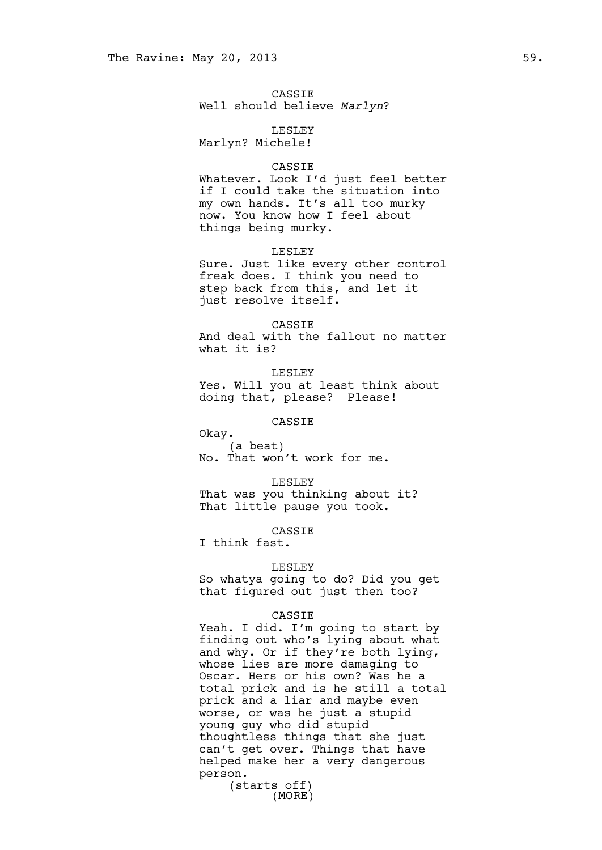CASSIE Well should believe *Marlyn*?

LESLEY Marlyn? Michele!

#### CASSIE

Whatever. Look I'd just feel better if I could take the situation into my own hands. It's all too murky now. You know how I feel about things being murky.

#### LESLEY

Sure. Just like every other control freak does. I think you need to step back from this, and let it just resolve itself.

### **CASSIE**

And deal with the fallout no matter what it is?

LESLEY Yes. Will you at least think about doing that, please? Please!

### CASSIE

Okay. (a beat) No. That won't work for me.

LESLEY That was you thinking about it? That little pause you took.

CASSIE

I think fast.

#### LESLEY

So whatya going to do? Did you get that figured out just then too?

#### CASSIE

Yeah. I did. I'm going to start by finding out who's lying about what and why. Or if they're both lying, whose lies are more damaging to Oscar. Hers or his own? Was he a total prick and is he still a total prick and a liar and maybe even worse, or was he just a stupid young guy who did stupid thoughtless things that she just can't get over. Things that have helped make her a very dangerous person.

(starts off) (MORE)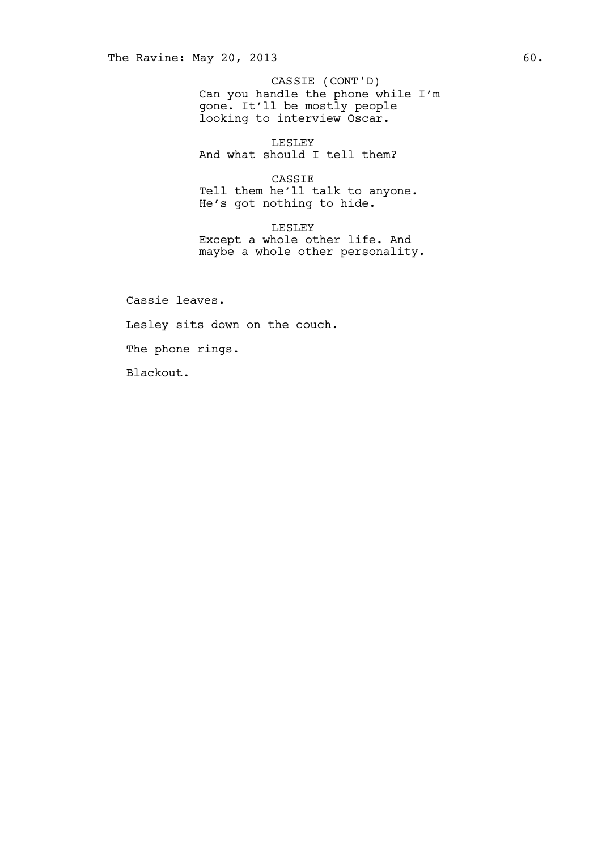Can you handle the phone while I'm gone. It'll be mostly people looking to interview Oscar. CASSIE (CONT'D)

LESLEY And what should I tell them?

CASSIE Tell them he'll talk to anyone. He's got nothing to hide.

LESLEY Except a whole other life. And maybe a whole other personality.

Cassie leaves. Lesley sits down on the couch. The phone rings. Blackout.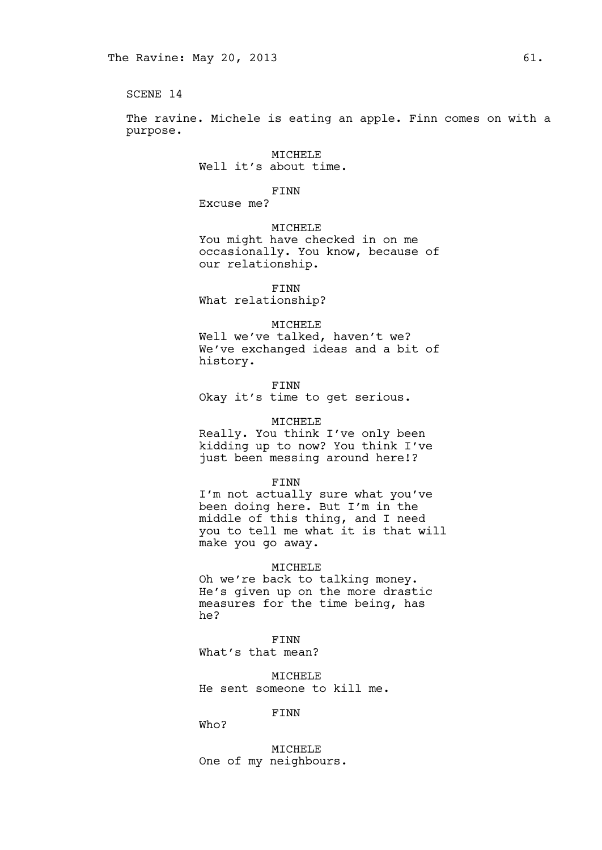The ravine. Michele is eating an apple. Finn comes on with a purpose.

> MICHELE Well it's about time.

> > FINN

Excuse me?

MICHELE You might have checked in on me occasionally. You know, because of our relationship.

FINN What relationship?

#### MICHELE

Well we've talked, haven't we? We've exchanged ideas and a bit of history.

FINN

Okay it's time to get serious.

#### MICHELE

Really. You think I've only been kidding up to now? You think I've just been messing around here!?

FINN

I'm not actually sure what you've been doing here. But I'm in the middle of this thing, and I need you to tell me what it is that will make you go away.

#### MICHELE

Oh we're back to talking money. He's given up on the more drastic measures for the time being, has he?

FINN

What's that mean?

MICHELE He sent someone to kill me.

### FINN

Who?

MICHELE One of my neighbours.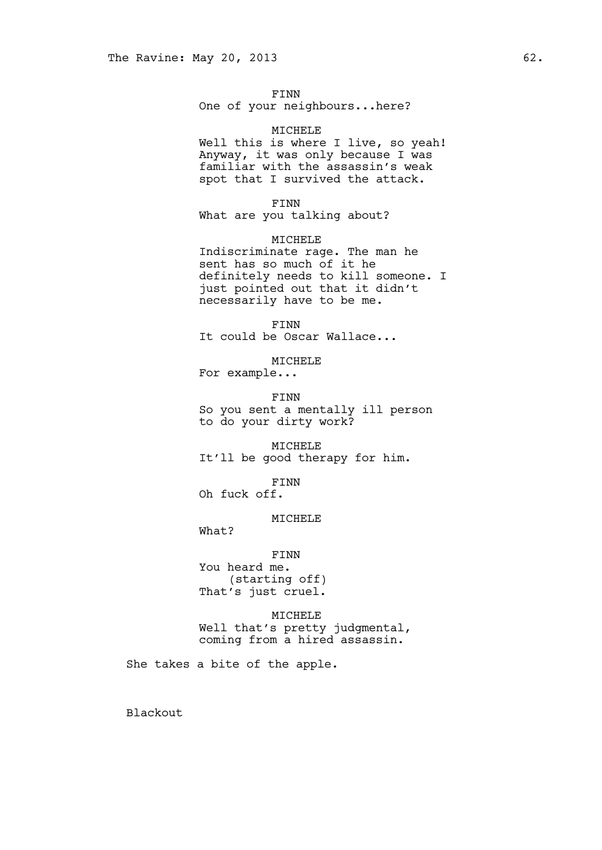FINN One of your neighbours...here?

MICHELE Well this is where I live, so yeah! Anyway, it was only because I was familiar with the assassin's weak spot that I survived the attack.

FINN

What are you talking about?

MICHELE Indiscriminate rage. The man he sent has so much of it he definitely needs to kill someone. I just pointed out that it didn't necessarily have to be me.

FINN It could be Oscar Wallace...

MICHELE

For example...

FINN So you sent a mentally ill person to do your dirty work?

MICHELE It'll be good therapy for him.

FINN

Oh fuck off.

### MICHELE

What?

FINN

You heard me. (starting off) That's just cruel.

MICHELE

Well that's pretty judgmental, coming from a hired assassin.

She takes a bite of the apple.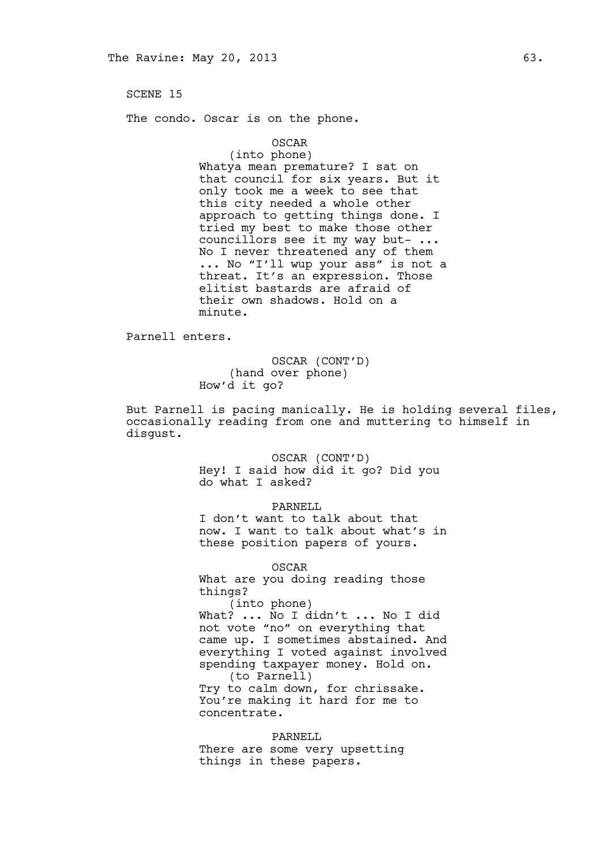The condo. Oscar is on the phone.

### OSCAR

(into phone) Whatya mean premature? I sat on that council for six years. But it only took me a week to see that this city needed a whole other approach to getting things done. I tried my best to make those other councillors see it my way but- ... No I never threatened any of them ... No "I'll wup your ass" is not a threat. It's an expression. Those elitist bastards are afraid of their own shadows. Hold on a minute.

Parnell enters.

### OSCAR (CONT'D) (hand over phone) How'd it go?

But Parnell is pacing manically. He is holding several files, occasionally reading from one and muttering to himself in disgust.

> OSCAR (CONT'D) Hey! I said how did it go? Did you do what I asked?

#### PARNELL

I don't want to talk about that now. I want to talk about what's in these position papers of yours.

OSCAR

What are you doing reading those things?

(into phone) What? ... No I didn't ... No I did not vote "no" on everything that came up. I sometimes abstained. And everything I voted against involved spending taxpayer money. Hold on. (to Parnell) Try to calm down, for chrissake. You're making it hard for me to

concentrate. PARNELL

There are some very upsetting things in these papers.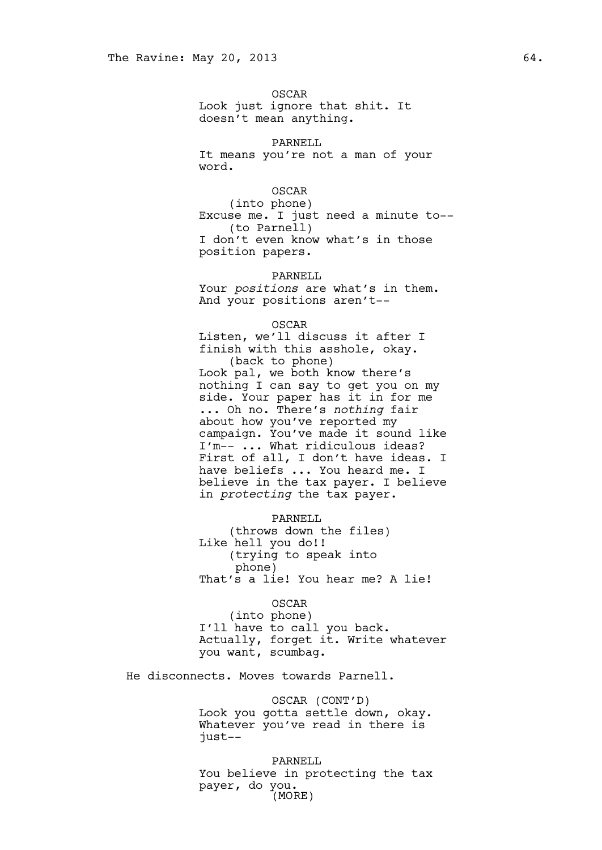OSCAR Look just ignore that shit. It doesn't mean anything.

PARNELL

It means you're not a man of your word.

OSCAR

(into phone) Excuse me. I just need a minute to-- (to Parnell) I don't even know what's in those position papers.

PARNELL

Your *positions* are what's in them. And your positions aren't--

OSCAR

Listen, we'll discuss it after I finish with this asshole, okay. (back to phone) Look pal, we both know there's nothing I can say to get you on my side. Your paper has it in for me ... Oh no. There's *nothing* fair about how you've reported my campaign. You've made it sound like I'm-- ... What ridiculous ideas? First of all, I don't have ideas. I have beliefs ... You heard me. I believe in the tax payer. I believe in *protecting* the tax payer.

PARNELL

(throws down the files) Like hell you do!! (trying to speak into phone) That's a lie! You hear me? A lie!

OSCAR

(into phone) I'll have to call you back. Actually, forget it. Write whatever you want, scumbag.

He disconnects. Moves towards Parnell.

OSCAR (CONT'D) Look you gotta settle down, okay. Whatever you've read in there is just--

PARNELL You believe in protecting the tax payer, do you. (MORE)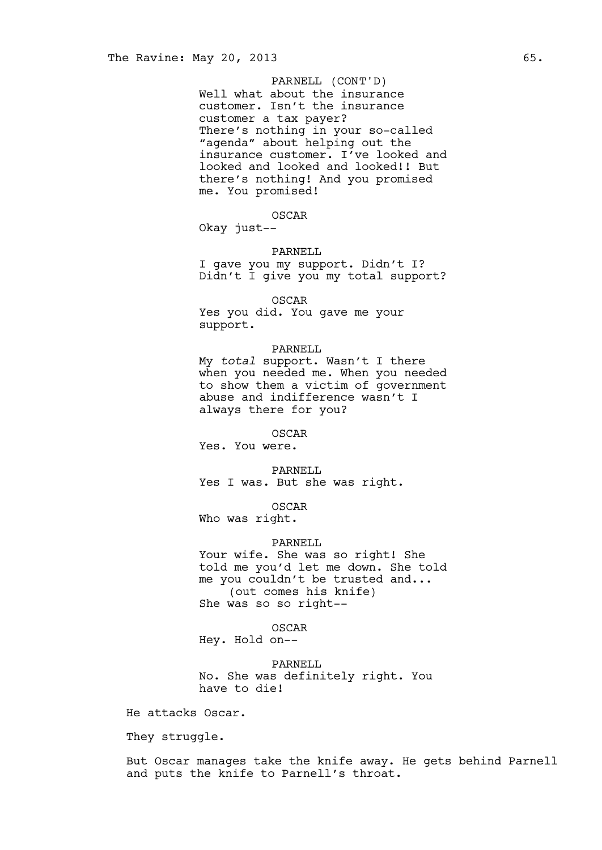### PARNELL (CONT'D)

Well what about the insurance customer. Isn't the insurance customer a tax payer? There's nothing in your so-called "agenda" about helping out the insurance customer. I've looked and looked and looked and looked!! But there's nothing! And you promised me. You promised!

### OSCAR

Okay just--

### PARNELL

I gave you my support. Didn't I? Didn't I give you my total support?

OSCAR Yes you did. You gave me your support.

#### PARNELL

My *total* support. Wasn't I there when you needed me. When you needed to show them a victim of government abuse and indifference wasn't I always there for you?

OSCAR

Yes. You were.

PARNELL

Yes I was. But she was right.

OSCAR

Who was right.

### PARNELL

Your wife. She was so right! She told me you'd let me down. She told me you couldn't be trusted and... (out comes his knife) She was so so right--

OSCAR

Hey. Hold on--

PARNELL No. She was definitely right. You have to die!

He attacks Oscar.

They struggle.

But Oscar manages take the knife away. He gets behind Parnell and puts the knife to Parnell's throat.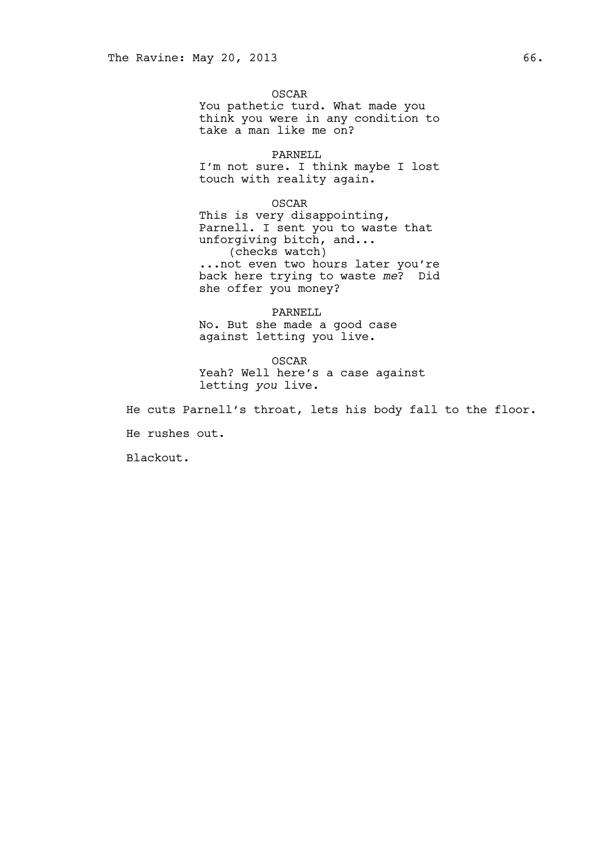OSCAR You pathetic turd. What made you think you were in any condition to take a man like me on?

PARNELL I'm not sure. I think maybe I lost touch with reality again.

OSCAR This is very disappointing, Parnell. I sent you to waste that unforgiving bitch, and... (checks watch) ...not even two hours later you're back here trying to waste *me*? Did she offer you money?

PARNELL No. But she made a good case against letting you live.

OSCAR Yeah? Well here's a case against letting *you* live.

He cuts Parnell's throat, lets his body fall to the floor.

He rushes out.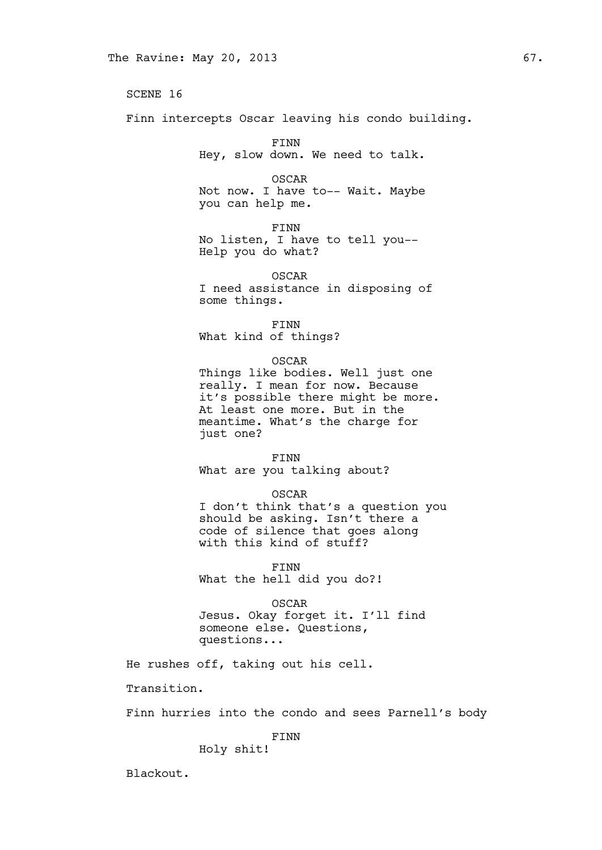Finn intercepts Oscar leaving his condo building.

FINN Hey, slow down. We need to talk.

OSCAR Not now. I have to-- Wait. Maybe you can help me.

FINN

No listen, I have to tell you-- Help you do what?

OSCAR I need assistance in disposing of some things.

FINN What kind of things?

OSCAR

Things like bodies. Well just one really. I mean for now. Because it's possible there might be more. At least one more. But in the meantime. What's the charge for just one?

FINN What are you talking about?

#### OSCAR

I don't think that's a question you should be asking. Isn't there a code of silence that goes along with this kind of stuff?

FINN What the hell did you do?!

OSCAR Jesus. Okay forget it. I'll find someone else. Questions, questions...

He rushes off, taking out his cell.

Transition.

Finn hurries into the condo and sees Parnell's body

FINN

Holy shit!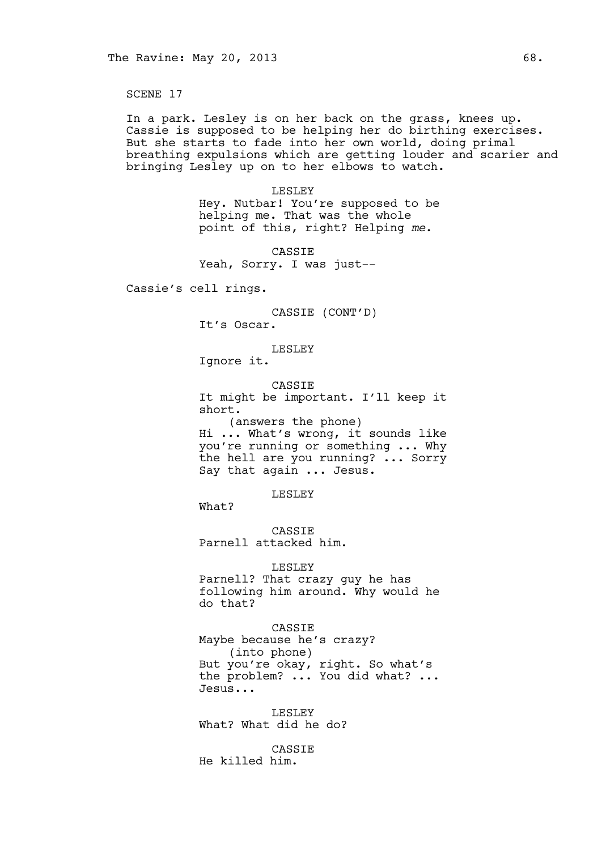In a park. Lesley is on her back on the grass, knees up. Cassie is supposed to be helping her do birthing exercises. But she starts to fade into her own world, doing primal breathing expulsions which are getting louder and scarier and bringing Lesley up on to her elbows to watch.

> LESLEY Hey. Nutbar! You're supposed to be helping me. That was the whole point of this, right? Helping *me*.

CASSIE Yeah, Sorry. I was just--

Cassie's cell rings.

CASSIE (CONT'D)

It's Oscar.

#### LESLEY

Ignore it.

CASSIE It might be important. I'll keep it short. (answers the phone) Hi ... What's wrong, it sounds like you're running or something ... Why

the hell are you running? ... Sorry Say that again ... Jesus.

LESLEY

What?

CASSIE Parnell attacked him.

#### LESLEY

Parnell? That crazy guy he has following him around. Why would he do that?

CASSIE Maybe because he's crazy? (into phone) But you're okay, right. So what's the problem? ... You did what? ... Jesus...

LESLEY What? What did he do?

CASSIE He killed him.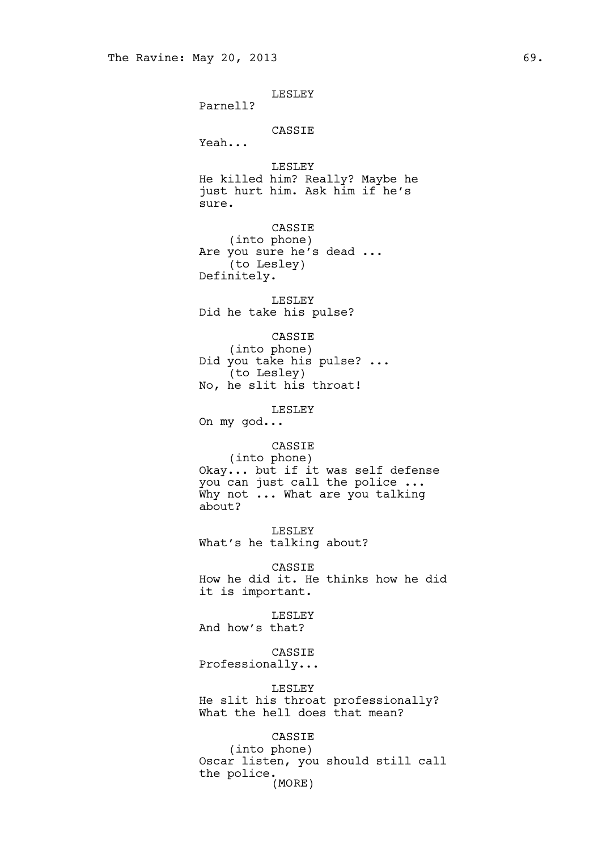LESLEY

Parnell?

### CASSIE

Yeah...

LESLEY He killed him? Really? Maybe he just hurt him. Ask him if he's sure.

CASSIE (into phone) Are you sure he's dead ... (to Lesley) Definitely.

LESLEY Did he take his pulse?

CASSIE (into phone) Did you take his pulse? ... (to Lesley) No, he slit his throat!

LESLEY

On my god...

### CASSIE

(into phone) Okay... but if it was self defense you can just call the police ... Why not ... What are you talking about?

LESLEY What's he talking about?

CASSIE How he did it. He thinks how he did it is important.

LESLEY

And how's that?

CASSIE Professionally...

#### LESLEY

He slit his throat professionally? What the hell does that mean?

## CASSIE

(into phone) Oscar listen, you should still call the police. (MORE)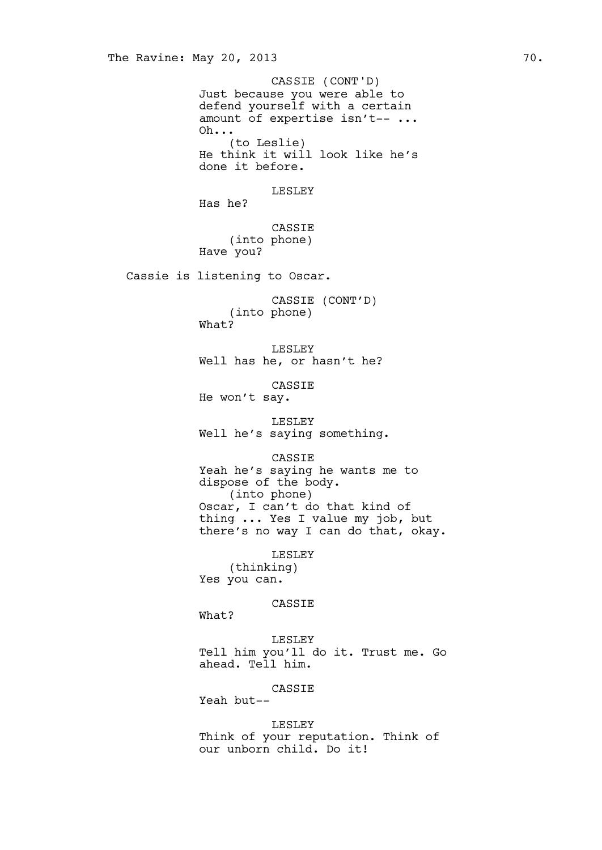Just because you were able to defend yourself with a certain amount of expertise isn't-- ... Oh... (to Leslie) He think it will look like he's done it before. LESLEY Has he? CASSIE (into phone) Have you? Cassie is listening to Oscar. CASSIE (CONT'D) (into phone) What? LESLEY Well has he, or hasn't he? CASSIE He won't say. LESLEY Well he's saying something. CASSIE Yeah he's saying he wants me to dispose of the body. (into phone) Oscar, I can't do that kind of thing ... Yes I value my job, but there's no way I can do that, okay. LESLEY The Ravine: May 20, 2013 70. CASSIE (CONT'D)

(thinking) Yes you can.

### CASSIE

What?

LESLEY Tell him you'll do it. Trust me. Go ahead. Tell him.

#### CASSIE

Yeah but--

LESLEY Think of your reputation. Think of our unborn child. Do it!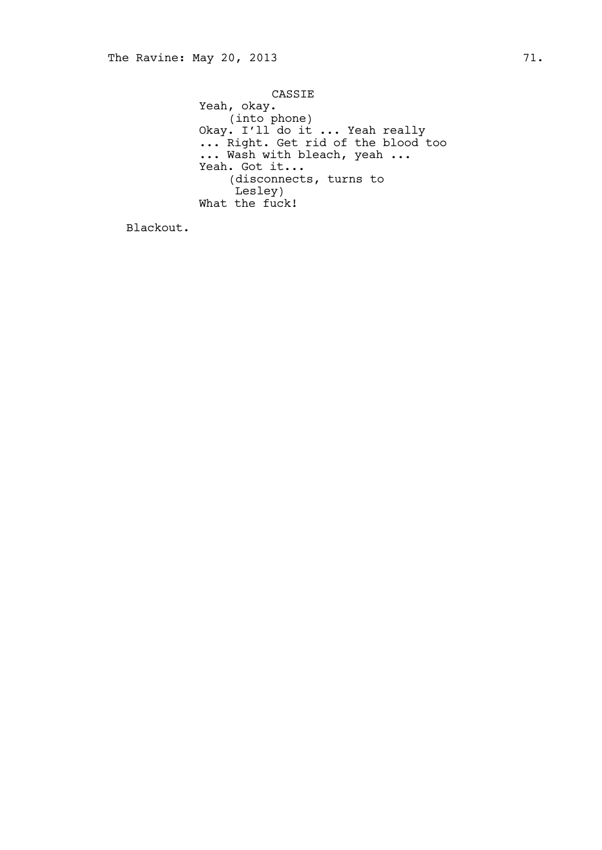CASSIE Yeah, okay. (into phone) Okay. I'll do it ... Yeah really ... Right. Get rid of the blood too ... Wash with bleach, yeah ... Yeah. Got it... (disconnects, turns to Lesley) What the fuck!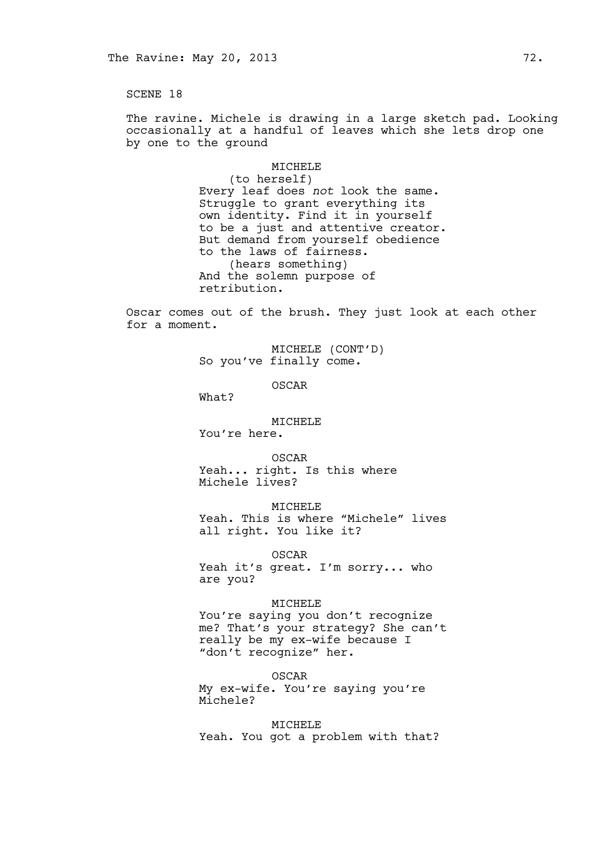The ravine. Michele is drawing in a large sketch pad. Looking occasionally at a handful of leaves which she lets drop one by one to the ground

### MICHELE

(to herself) Every leaf does *not* look the same. Struggle to grant everything its own identity. Find it in yourself to be a just and attentive creator. But demand from yourself obedience to the laws of fairness. (hears something) And the solemn purpose of retribution.

Oscar comes out of the brush. They just look at each other for a moment.

> MICHELE (CONT'D) So you've finally come.

> > OSCAR

What?

MICHELE

You're here.

OSCAR Yeah... right. Is this where Michele lives?

MICHELE

Yeah. This is where "Michele" lives all right. You like it?

OSCAR Yeah it's great. I'm sorry... who are you?

MICHELE

You're saying you don't recognize me? That's your strategy? She can't really be my ex-wife because I "don't recognize" her.

OSCAR My ex-wife. You're saying you're Michele?

MICHELE Yeah. You got a problem with that?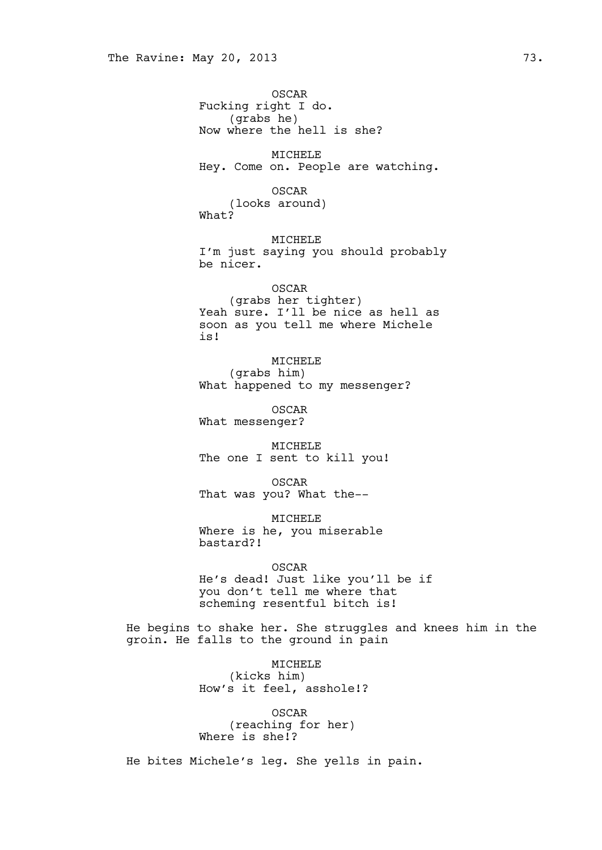OSCAR Fucking right I do. (grabs he) Now where the hell is she? MICHELE Hey. Come on. People are watching. OSCAR (looks around) What? MICHELE I'm just saying you should probably be nicer. OSCAR (grabs her tighter) Yeah sure. I'll be nice as hell as soon as you tell me where Michele is! MICHELE (grabs him) What happened to my messenger? OSCAR What messenger? MICHELE The one I sent to kill you! OSCAR That was you? What the-- MICHELE Where is he, you miserable bastard?! OSCAR He's dead! Just like you'll be if you don't tell me where that scheming resentful bitch is! He begins to shake her. She struggles and knees him in the groin. He falls to the ground in pain MICHELE (kicks him)

How's it feel, asshole!?

OSCAR (reaching for her) Where is she!?

He bites Michele's leg. She yells in pain.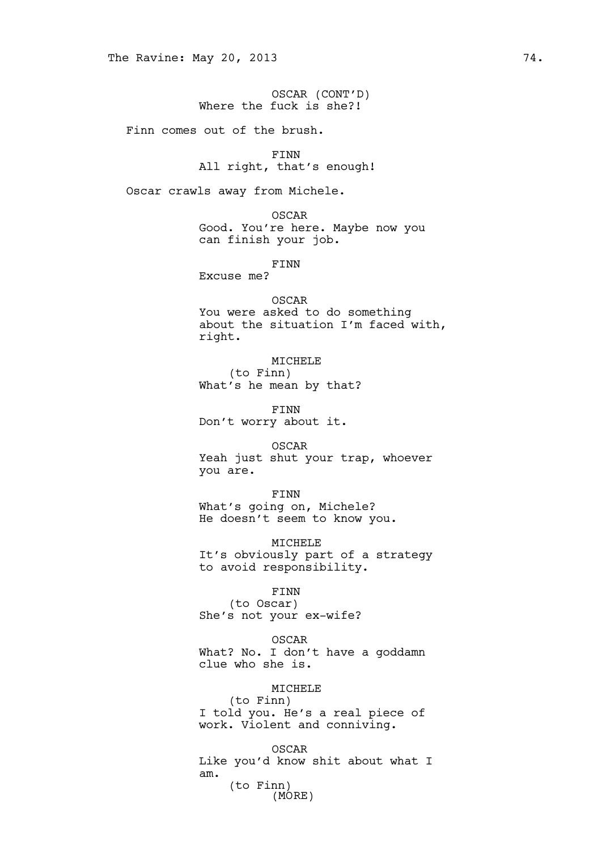|                         |  | OSCAR (CONT'D) |  |
|-------------------------|--|----------------|--|
| Where the fuck is she?! |  |                |  |

Finn comes out of the brush.

FINN All right, that's enough!

Oscar crawls away from Michele.

OSCAR Good. You're here. Maybe now you can finish your job.

FINN

Excuse me?

OSCAR You were asked to do something about the situation I'm faced with, right.

MICHELE (to Finn) What's he mean by that?

FINN Don't worry about it.

OSCAR Yeah just shut your trap, whoever you are.

FINN What's going on, Michele? He doesn't seem to know you.

MICHELE It's obviously part of a strategy to avoid responsibility.

> FINN (to Oscar)

She's not your ex-wife?

OSCAR

What? No. I don't have a goddamn clue who she is.

# MICHELE

(to Finn) I told you. He's a real piece of work. Violent and conniving.

OSCAR Like you'd know shit about what I am. (to Finn) (MORE)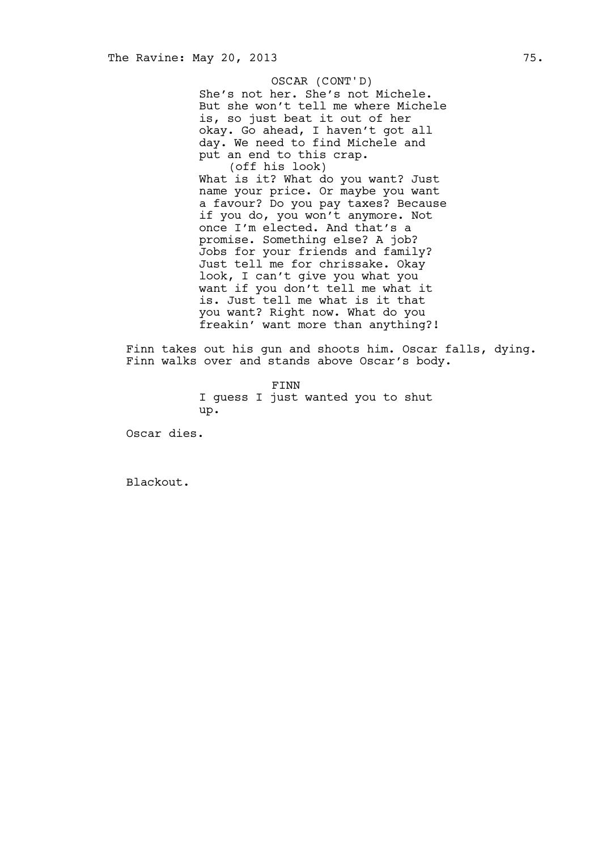She's not her. She's not Michele. But she won't tell me where Michele is, so just beat it out of her okay. Go ahead, I haven't got all day. We need to find Michele and put an end to this crap. (off his look) What is it? What do you want? Just name your price. Or maybe you want a favour? Do you pay taxes? Because if you do, you won't anymore. Not once I'm elected. And that's a promise. Something else? A job? Jobs for your friends and family? Just tell me for chrissake. Okay look, I can't give you what you want if you don't tell me what it is. Just tell me what is it that you want? Right now. What do you freakin' want more than anything?! OSCAR (CONT'D)

Finn takes out his gun and shoots him. Oscar falls, dying. Finn walks over and stands above Oscar's body.

> FINN I guess I just wanted you to shut up.

Oscar dies.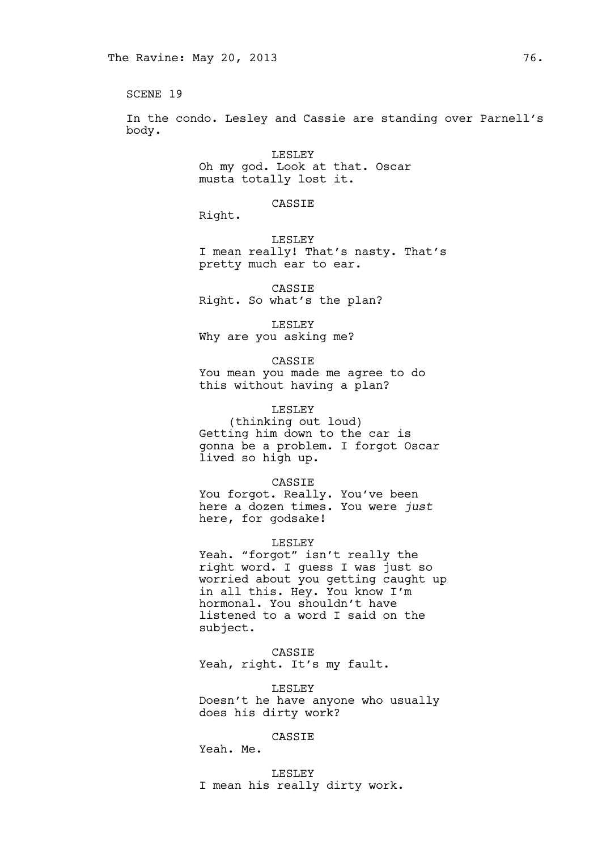In the condo. Lesley and Cassie are standing over Parnell's body.

> LESLEY Oh my god. Look at that. Oscar musta totally lost it.

> > CASSIE

Right.

LESLEY I mean really! That's nasty. That's pretty much ear to ear.

CASSIE Right. So what's the plan?

LESLEY Why are you asking me?

CASSIE You mean you made me agree to do this without having a plan?

# LESLEY

(thinking out loud) Getting him down to the car is gonna be a problem. I forgot Oscar lived so high up.

CASSIE

You forgot. Really. You've been here a dozen times. You were *just* here, for godsake!

LESLEY

Yeah. "forgot" isn't really the right word. I guess I was just so worried about you getting caught up in all this. Hey. You know I'm hormonal. You shouldn't have listened to a word I said on the subject.

CASSIE Yeah, right. It's my fault.

LESLEY Doesn't he have anyone who usually does his dirty work?

# CASSIE

Yeah. Me.

LESLEY I mean his really dirty work.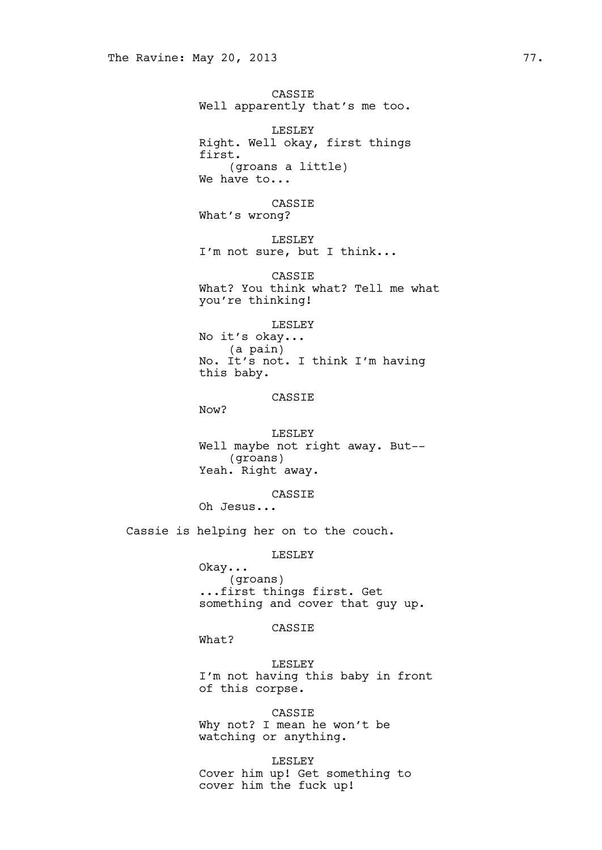CASSIE Well apparently that's me too. LESLEY Right. Well okay, first things first. (groans a little) We have to... CASSIE What's wrong? LESLEY I'm not sure, but I think... CASSIE What? You think what? Tell me what you're thinking! LESLEY No it's okay... (a pain) No. It's not. I think I'm having this baby. CASSIE Now? LESLEY Well maybe not right away. But-- (groans) Yeah. Right away. CASSIE Oh Jesus... Cassie is helping her on to the couch.

LESLEY

Okay... (groans) ...first things first. Get something and cover that guy up.

CASSIE

What?

LESLEY I'm not having this baby in front of this corpse.

CASSIE Why not? I mean he won't be watching or anything.

LESLEY Cover him up! Get something to cover him the fuck up!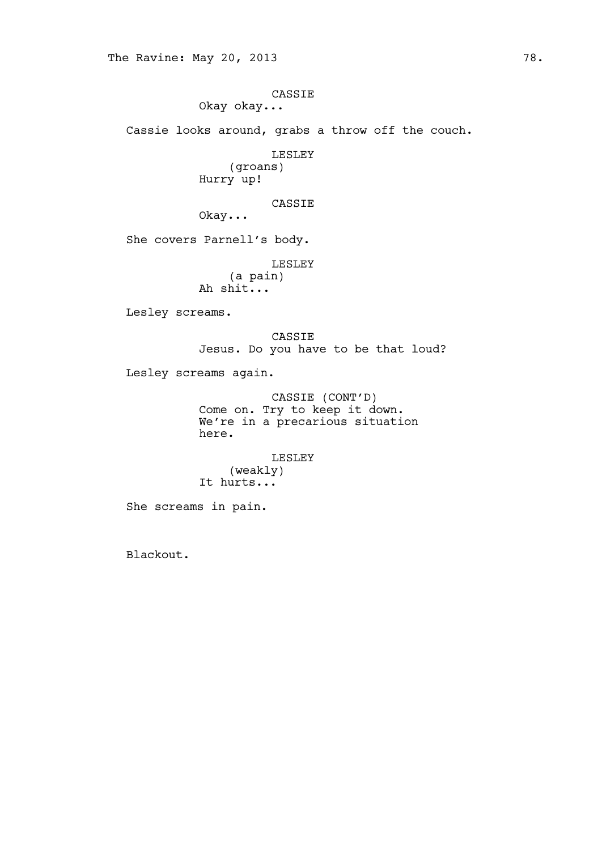CASSIE Okay okay...

Cassie looks around, grabs a throw off the couch.

LESLEY

(groans) Hurry up!

CASSIE

Okay...

She covers Parnell's body.

LESLEY

(a pain) Ah shit...

Lesley screams.

CASSIE Jesus. Do you have to be that loud?

Lesley screams again.

CASSIE (CONT'D) Come on. Try to keep it down. We're in a precarious situation here.

> LESLEY (weakly)

It hurts...

She screams in pain.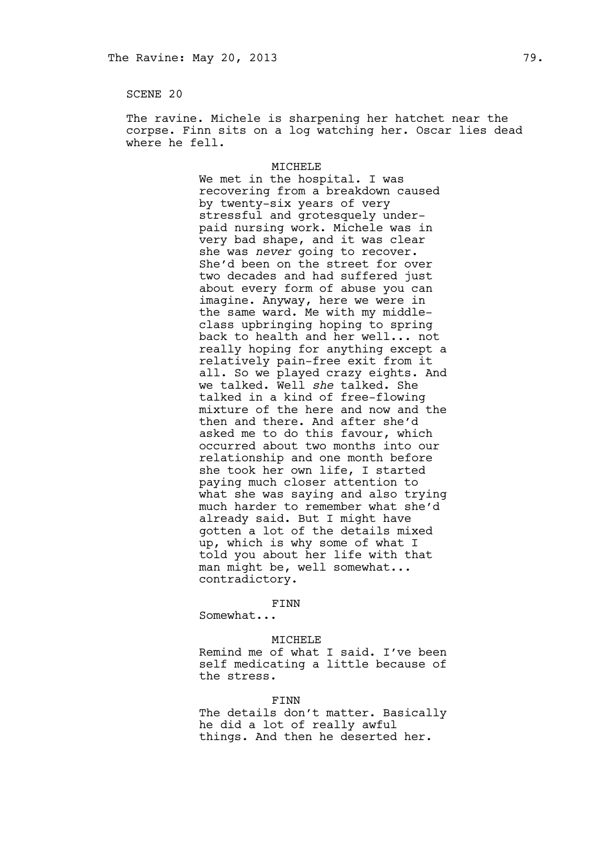The ravine. Michele is sharpening her hatchet near the corpse. Finn sits on a log watching her. Oscar lies dead where he fell.

#### MICHELE

We met in the hospital. I was recovering from a breakdown caused by twenty-six years of very stressful and grotesquely underpaid nursing work. Michele was in very bad shape, and it was clear she was *never* going to recover. She'd been on the street for over two decades and had suffered just about every form of abuse you can imagine. Anyway, here we were in the same ward. Me with my middleclass upbringing hoping to spring back to health and her well... not really hoping for anything except a relatively pain-free exit from it all. So we played crazy eights. And we talked. Well *she* talked. She talked in a kind of free-flowing mixture of the here and now and the then and there. And after she'd asked me to do this favour, which occurred about two months into our relationship and one month before she took her own life, I started paying much closer attention to what she was saying and also trying much harder to remember what she'd already said. But I might have gotten a lot of the details mixed up, which is why some of what I told you about her life with that man might be, well somewhat... contradictory.

### FINN

Somewhat...

#### MICHELE

Remind me of what I said. I've been self medicating a little because of the stress.

### FINN

The details don't matter. Basically he did a lot of really awful things. And then he deserted her.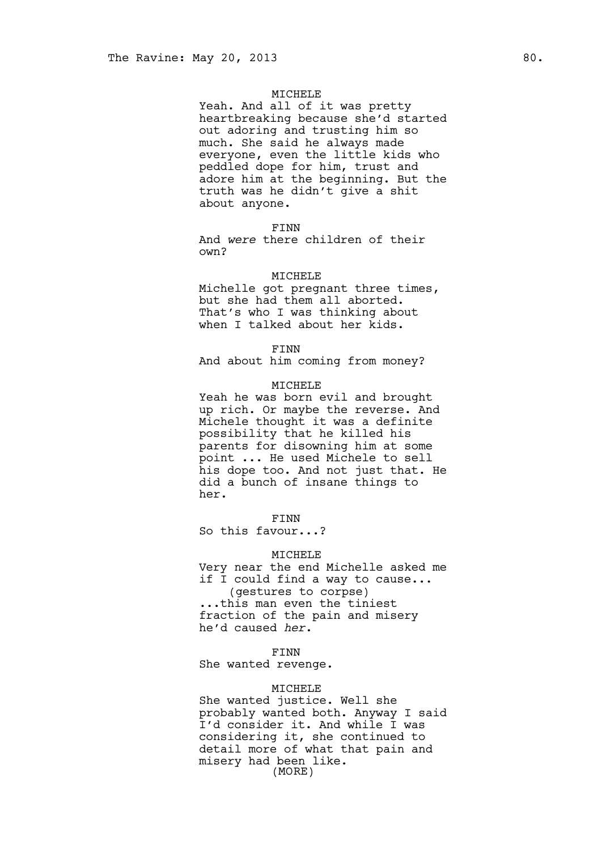### MICHELE

Yeah. And all of it was pretty heartbreaking because she'd started out adoring and trusting him so much. She said he always made everyone, even the little kids who peddled dope for him, trust and adore him at the beginning. But the truth was he didn't give a shit about anyone.

FINN

And *were* there children of their own?

### MICHELE

Michelle got pregnant three times, but she had them all aborted. That's who I was thinking about when I talked about her kids.

FINN

And about him coming from money?

#### MICHELE

Yeah he was born evil and brought up rich. Or maybe the reverse. And Michele thought it was a definite possibility that he killed his parents for disowning him at some point ... He used Michele to sell his dope too. And not just that. He did a bunch of insane things to her.

FINN

So this favour...?

## MICHELE

Very near the end Michelle asked me if I could find a way to cause... (gestures to corpse) ...this man even the tiniest fraction of the pain and misery he'd caused *her*.

#### FINN

She wanted revenge.

## MICHELE

She wanted justice. Well she probably wanted both. Anyway I said I'd consider it. And while I was considering it, she continued to detail more of what that pain and misery had been like. (MORE)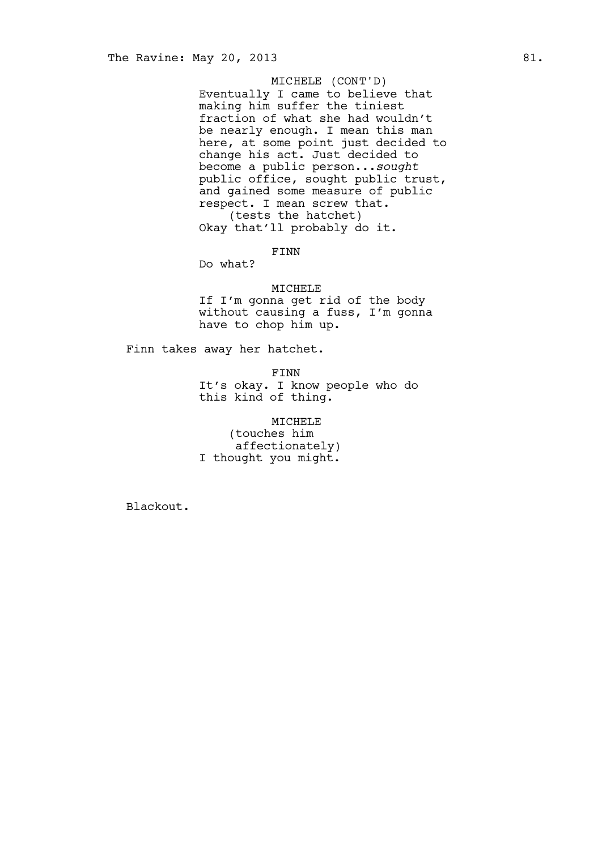# MICHELE (CONT'D)

Eventually I came to believe that making him suffer the tiniest fraction of what she had wouldn't be nearly enough. I mean this man here, at some point just decided to change his act. Just decided to become a public person...*sought* public office, sought public trust, and gained some measure of public respect. I mean screw that. (tests the hatchet) Okay that'll probably do it.

# FINN

Do what?

## MICHELE

If I'm gonna get rid of the body without causing a fuss, I'm gonna have to chop him up.

Finn takes away her hatchet.

FINN

It's okay. I know people who do this kind of thing.

MICHELE (touches him affectionately) I thought you might.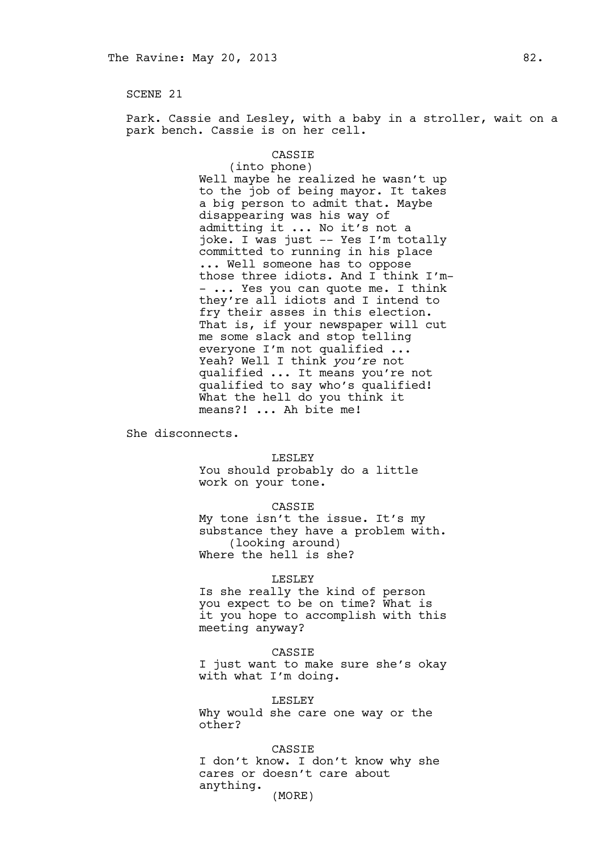Park. Cassie and Lesley, with a baby in a stroller, wait on a park bench. Cassie is on her cell.

### CASSIE

(into phone) Well maybe he realized he wasn't up to the job of being mayor. It takes a big person to admit that. Maybe disappearing was his way of admitting it ... No it's not a joke. I was just -- Yes I'm totally committed to running in his place ... Well someone has to oppose those three idiots. And I think I'm- - ... Yes you can quote me. I think they're all idiots and I intend to fry their asses in this election. That is, if your newspaper will cut me some slack and stop telling everyone I'm not qualified ... Yeah? Well I think *you're* not qualified ... It means you're not qualified to say who's qualified! What the hell do you think it means?! ... Ah bite me!

She disconnects.

### LESLEY

You should probably do a little work on your tone.

#### CASSIE

My tone isn't the issue. It's my substance they have a problem with. (looking around) Where the hell is she?

### LESLEY

Is she really the kind of person you expect to be on time? What is it you hope to accomplish with this meeting anyway?

### CASSIE

I just want to make sure she's okay with what I'm doing.

## LESLEY

Why would she care one way or the other?

#### CASSIE

I don't know. I don't know why she cares or doesn't care about anything.

(MORE)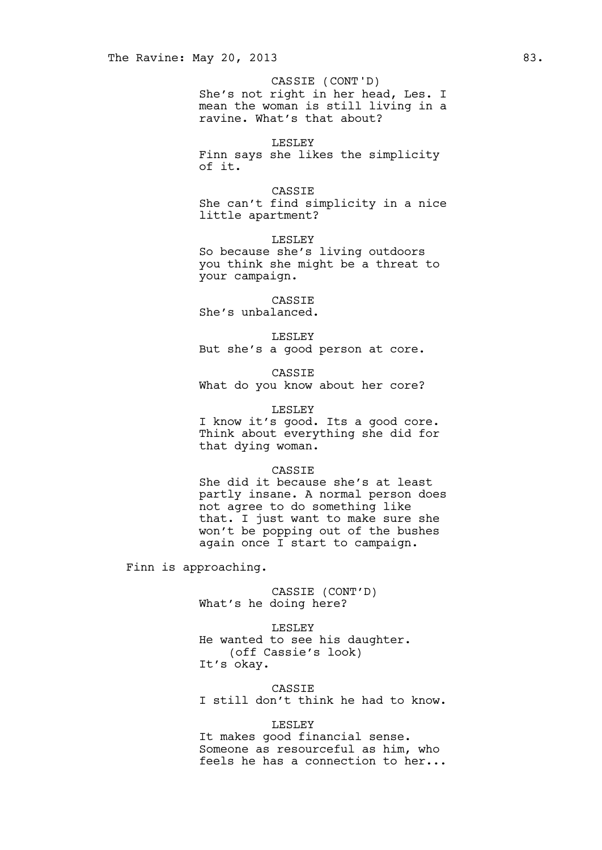She's not right in her head, Les. I mean the woman is still living in a ravine. What's that about? CASSIE (CONT'D)

## LESLEY

Finn says she likes the simplicity of it.

CASSIE

She can't find simplicity in a nice little apartment?

LESLEY So because she's living outdoors you think she might be a threat to your campaign.

CASSIE She's unbalanced.

LESLEY But she's a good person at core.

CASSIE What do you know about her core?

## LESLEY

I know it's good. Its a good core. Think about everything she did for that dying woman.

## CASSIE

She did it because she's at least partly insane. A normal person does not agree to do something like that. I just want to make sure she won't be popping out of the bushes again once I start to campaign.

Finn is approaching.

CASSIE (CONT'D) What's he doing here?

LESLEY He wanted to see his daughter. (off Cassie's look) It's okay.

CASSIE I still don't think he had to know.

# LESLEY

It makes good financial sense. Someone as resourceful as him, who feels he has a connection to her...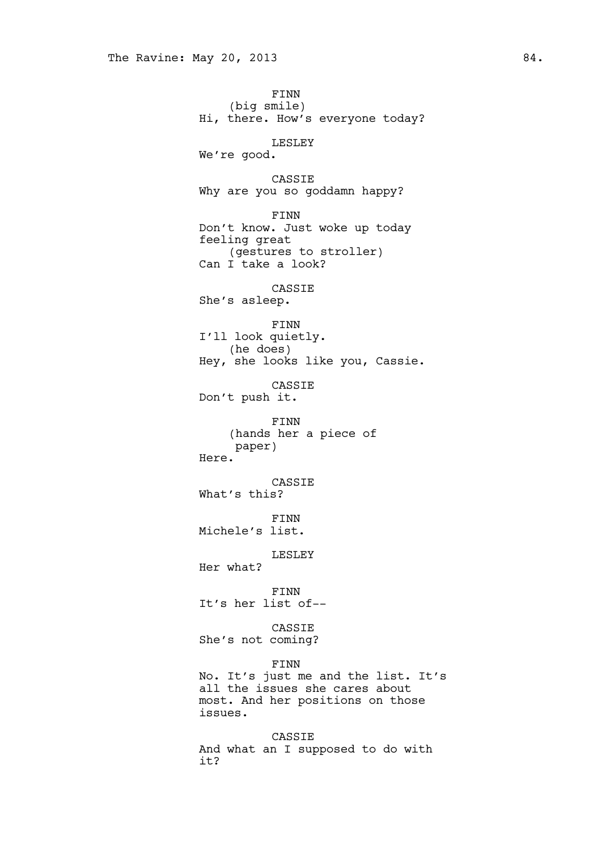FINN (big smile) Hi, there. How's everyone today? LESLEY We're good. CASSIE Why are you so goddamn happy? FINN Don't know. Just woke up today feeling great (gestures to stroller) Can I take a look? CASSIE She's asleep. FINN I'll look quietly. (he does) Hey, she looks like you, Cassie. CASSIE Don't push it. FINN (hands her a piece of paper) Here. CASSIE What's this? FINN Michele's list. LESLEY Her what? FINN It's her list of-- CASSIE She's not coming? FINN No. It's just me and the list. It's all the issues she cares about most. And her positions on those issues. CASSIE And what an I supposed to do with it?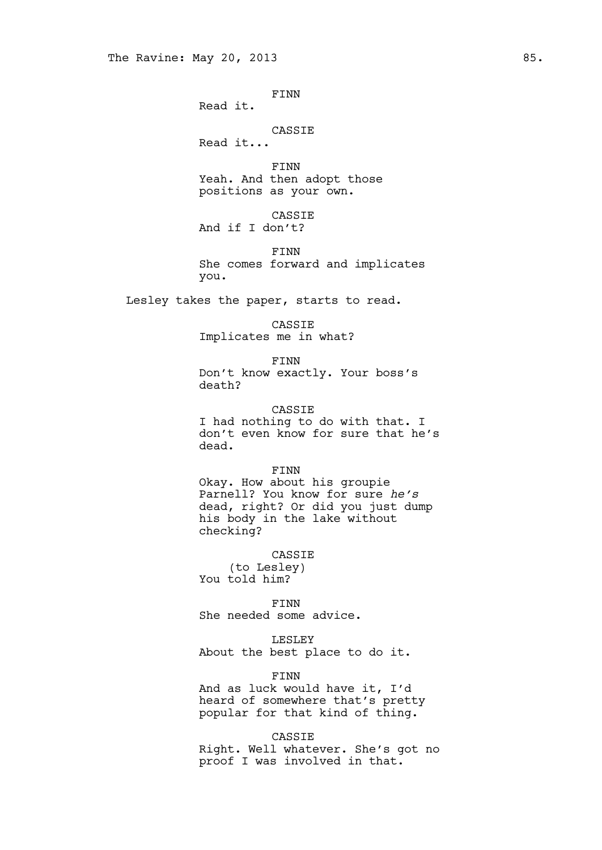FINN Read it. CASSIE Read it... FINN Yeah. And then adopt those positions as your own. CASSIE And if I don't? FINN She comes forward and implicates you. Lesley takes the paper, starts to read. CASSIE Implicates me in what? FINN Don't know exactly. Your boss's death? CASSIE I had nothing to do with that. I don't even know for sure that he's dead. FINN Okay. How about his groupie Parnell? You know for sure *he's* dead, right? Or did you just dump his body in the lake without checking? CASSIE (to Lesley) You told him? FINN She needed some advice. LESLEY About the best place to do it.

> FINN And as luck would have it, I'd heard of somewhere that's pretty popular for that kind of thing.

CASSIE Right. Well whatever. She's got no proof I was involved in that.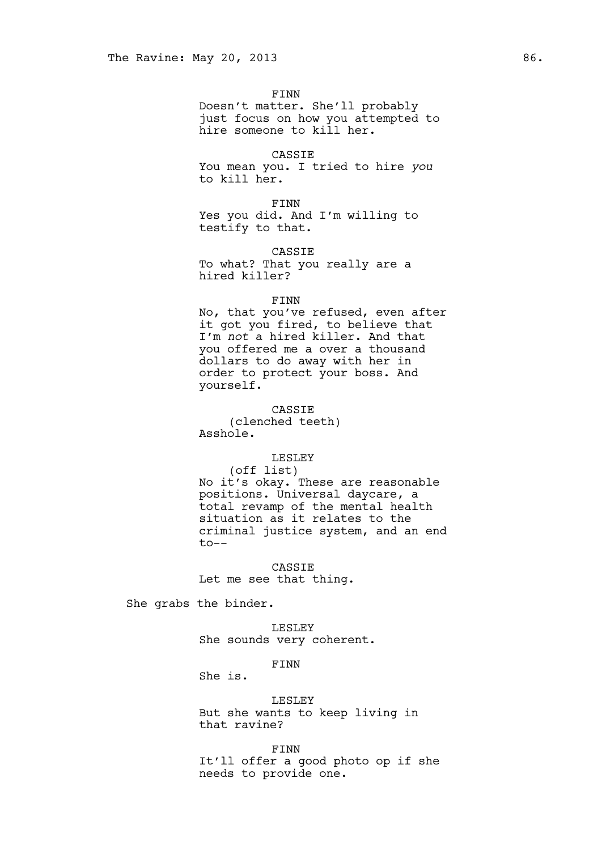FINN Doesn't matter. She'll probably just focus on how you attempted to hire someone to kill her.

CASSIE You mean you. I tried to hire *you* to kill her.

FINN Yes you did. And I'm willing to testify to that.

CASSIE To what? That you really are a hired killer?

## FINN

No, that you've refused, even after it got you fired, to believe that I'm *not* a hired killer. And that you offered me a over a thousand dollars to do away with her in order to protect your boss. And yourself.

CASSIE (clenched teeth) Asshole.

# LESLEY

(off list) No it's okay. These are reasonable positions. Universal daycare, a total revamp of the mental health situation as it relates to the criminal justice system, and an end to--

CASSIE Let me see that thing.

She grabs the binder.

LESLEY She sounds very coherent.

## FINN

She is.

LESLEY But she wants to keep living in that ravine?

FINN It'll offer a good photo op if she needs to provide one.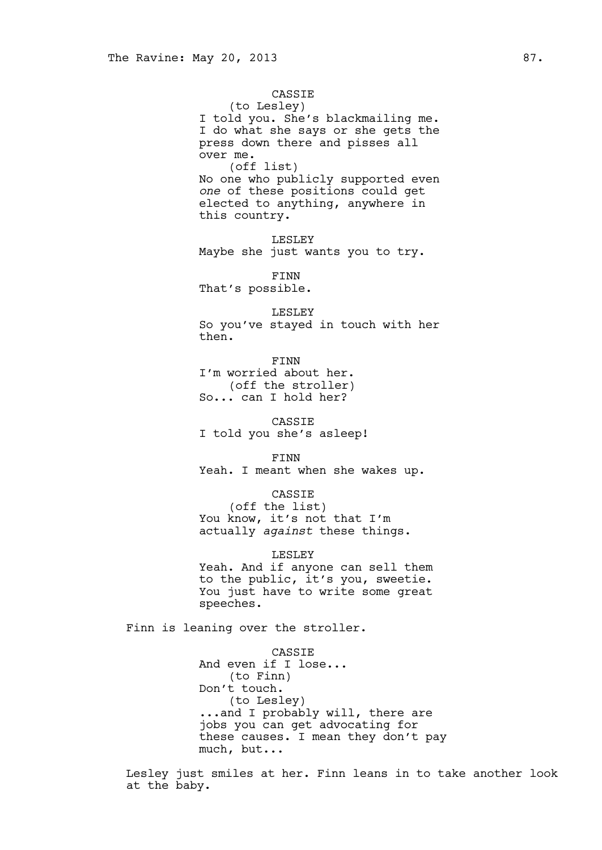## CASSIE

(to Lesley) I told you. She's blackmailing me. I do what she says or she gets the press down there and pisses all

over me. (off list) No one who publicly supported even *one* of these positions could get elected to anything, anywhere in this country.

LESLEY Maybe she just wants you to try.

FINN That's possible.

### LESLEY

So you've stayed in touch with her then.

FINN I'm worried about her. (off the stroller) So... can I hold her?

CASSIE I told you she's asleep!

FINN

Yeah. I meant when she wakes up.

## CASSIE

(off the list) You know, it's not that I'm actually *against* these things.

LESLEY

Yeah. And if anyone can sell them to the public, it's you, sweetie. You just have to write some great speeches.

Finn is leaning over the stroller.

CASSIE And even if I lose... (to Finn) Don't touch. (to Lesley) ...and I probably will, there are jobs you can get advocating for these causes. I mean they don't pay much, but...

Lesley just smiles at her. Finn leans in to take another look at the baby.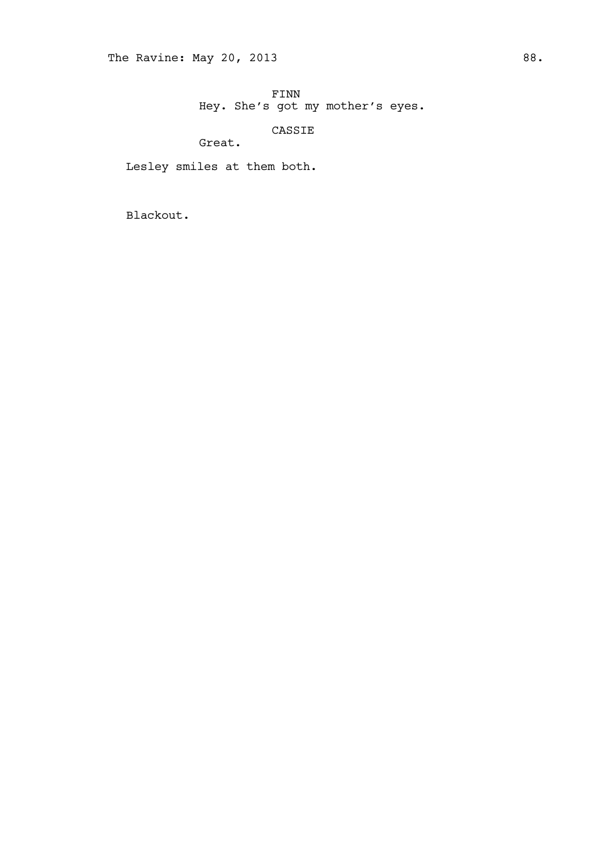CASSIE

Great.

Lesley smiles at them both.